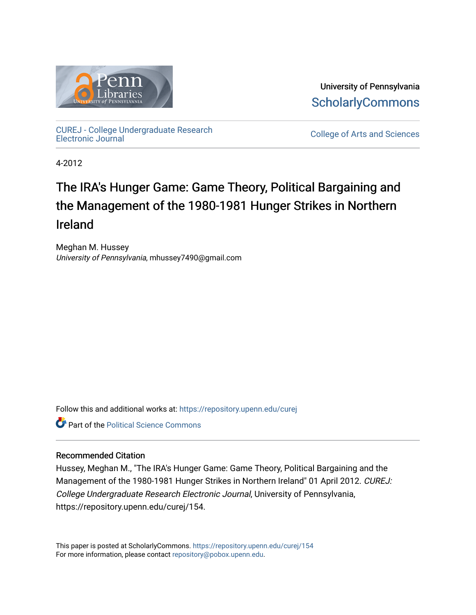

University of Pennsylvania **ScholarlyCommons** 

[CUREJ - College Undergraduate Research](https://repository.upenn.edu/curej) 

College of Arts and Sciences

4-2012

# The IRA's Hunger Game: Game Theory, Political Bargaining and the Management of the 1980-1981 Hunger Strikes in Northern Ireland

Meghan M. Hussey University of Pennsylvania, mhussey7490@gmail.com

Follow this and additional works at: [https://repository.upenn.edu/curej](https://repository.upenn.edu/curej?utm_source=repository.upenn.edu%2Fcurej%2F154&utm_medium=PDF&utm_campaign=PDFCoverPages)

**C** Part of the Political Science Commons

#### Recommended Citation

Hussey, Meghan M., "The IRA's Hunger Game: Game Theory, Political Bargaining and the Management of the 1980-1981 Hunger Strikes in Northern Ireland" 01 April 2012. CUREJ: College Undergraduate Research Electronic Journal, University of Pennsylvania, https://repository.upenn.edu/curej/154.

This paper is posted at ScholarlyCommons.<https://repository.upenn.edu/curej/154> For more information, please contact [repository@pobox.upenn.edu.](mailto:repository@pobox.upenn.edu)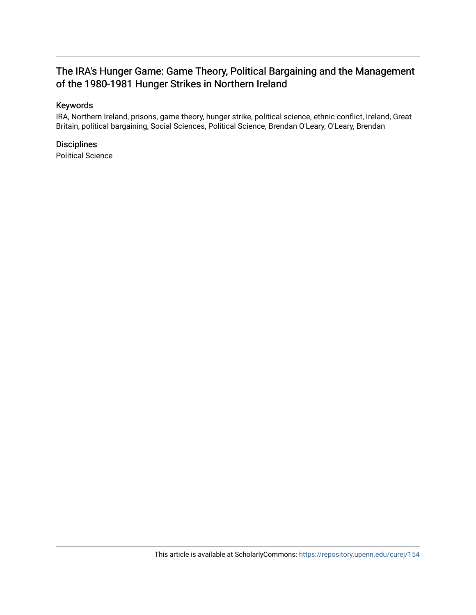# The IRA's Hunger Game: Game Theory, Political Bargaining and the Management of the 1980-1981 Hunger Strikes in Northern Ireland

# Keywords

IRA, Northern Ireland, prisons, game theory, hunger strike, political science, ethnic conflict, Ireland, Great Britain, political bargaining, Social Sciences, Political Science, Brendan O'Leary, O'Leary, Brendan

# **Disciplines**

Political Science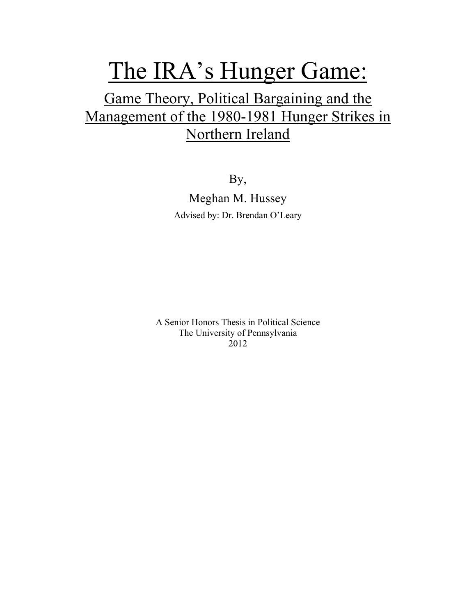# The IRA's Hunger Game:

# Game Theory, Political Bargaining and the Management of the 1980-1981 Hunger Strikes in Northern Ireland

By, Meghan M. Hussey Advised by: Dr. Brendan O'Leary

A Senior Honors Thesis in Political Science The University of Pennsylvania 2012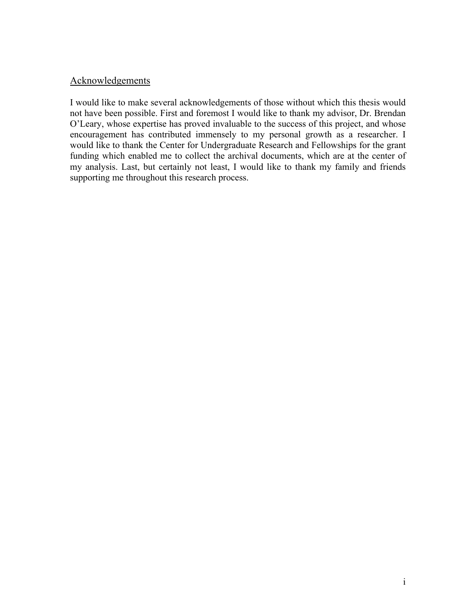# Acknowledgements

I would like to make several acknowledgements of those without which this thesis would not have been possible. First and foremost I would like to thank my advisor, Dr. Brendan O'Leary, whose expertise has proved invaluable to the success of this project, and whose encouragement has contributed immensely to my personal growth as a researcher. I would like to thank the Center for Undergraduate Research and Fellowships for the grant funding which enabled me to collect the archival documents, which are at the center of my analysis. Last, but certainly not least, I would like to thank my family and friends supporting me throughout this research process.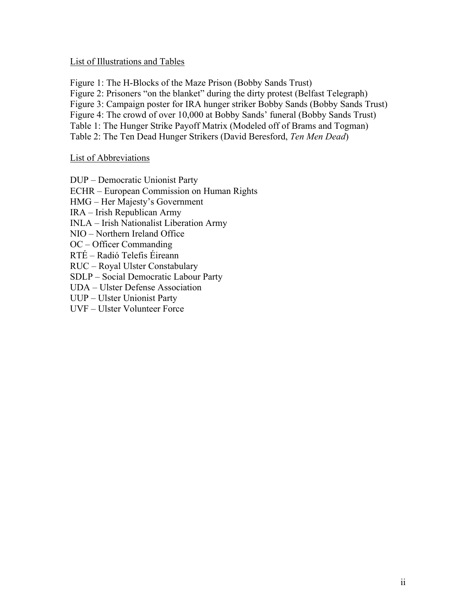#### List of Illustrations and Tables

Figure 1: The H-Blocks of the Maze Prison (Bobby Sands Trust)

Figure 2: Prisoners "on the blanket" during the dirty protest (Belfast Telegraph)

Figure 3: Campaign poster for IRA hunger striker Bobby Sands (Bobby Sands Trust)

Figure 4: The crowd of over 10,000 at Bobby Sands' funeral (Bobby Sands Trust)

Table 1: The Hunger Strike Payoff Matrix (Modeled off of Brams and Togman)

Table 2: The Ten Dead Hunger Strikers (David Beresford, *Ten Men Dead*)

## List of Abbreviations

DUP – Democratic Unionist Party ECHR – European Commission on Human Rights HMG – Her Majesty's Government IRA – Irish Republican Army INLA – Irish Nationalist Liberation Army NIO – Northern Ireland Office OC – Officer Commanding RTÉ – Radió Telefis Éireann RUC – Royal Ulster Constabulary SDLP – Social Democratic Labour Party UDA – Ulster Defense Association UUP – Ulster Unionist Party UVF – Ulster Volunteer Force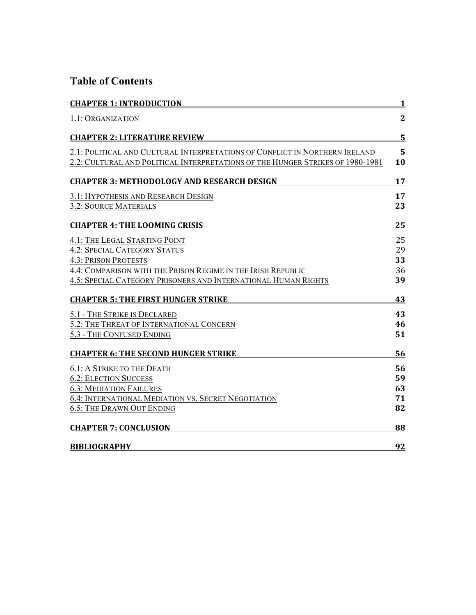# **Table of Contents**

| <b>CHAPTER 1: INTRODUCTION</b>                                                 | <u>1</u>       |
|--------------------------------------------------------------------------------|----------------|
| 1.1: ORGANIZATION                                                              | $\overline{2}$ |
| <b>CHAPTER 2: LITERATURE REVIEW</b>                                            | $\overline{5}$ |
| 2.1: POLITICAL AND CULTURAL INTERPRETATIONS OF CONFLICT IN NORTHERN IRELAND    | 5              |
| 2.2: CULTURAL AND POLITICAL INTERPRETATIONS OF THE HUNGER STRIKES OF 1980-1981 | 10             |
| <b>CHAPTER 3: METHODOLOGY AND RESEARCH DESIGN</b>                              | 17             |
| 3.1: HYPOTHESIS AND RESEARCH DESIGN                                            | 17             |
| 3.2: SOURCE MATERIALS                                                          | 23             |
| <b>CHAPTER 4: THE LOOMING CRISIS</b>                                           | 25             |
| 4.1: THE LEGAL STARTING POINT                                                  | 25             |
| <b>4.2: SPECIAL CATEGORY STATUS</b>                                            | 29             |
| <b>4.3: PRISON PROTESTS</b>                                                    | 33             |
| 4.4: COMPARISON WITH THE PRISON REGIME IN THE IRISH REPUBLIC                   | 36             |
| 4.5: SPECIAL CATEGORY PRISONERS AND INTERNATIONAL HUMAN RIGHTS                 | 39             |
| <b>CHAPTER 5: THE FIRST HUNGER STRIKE</b>                                      | 43             |
| 5.1 - THE STRIKE IS DECLARED                                                   | 43             |
| 5.2: THE THREAT OF INTERNATIONAL CONCERN                                       | 46             |
| 5.3 - THE CONFUSED ENDING                                                      | 51             |
| <b>CHAPTER 6: THE SECOND HUNGER STRIKE</b>                                     | 56             |
| <b>6.1: A STRIKE TO THE DEATH</b>                                              | 56             |
| <b>6.2: ELECTION SUCCESS</b>                                                   | 59             |
| <b>6.3: MEDIATION FAILURES</b>                                                 | 63             |
| 6.4: INTERNATIONAL MEDIATION VS. SECRET NEGOTIATION                            | 71             |
| <b>6.5: THE DRAWN OUT ENDING</b>                                               | 82             |
| <b>CHAPTER 7: CONCLUSION</b>                                                   | 88             |
| <b>BIBLIOGRAPHY</b>                                                            | 92             |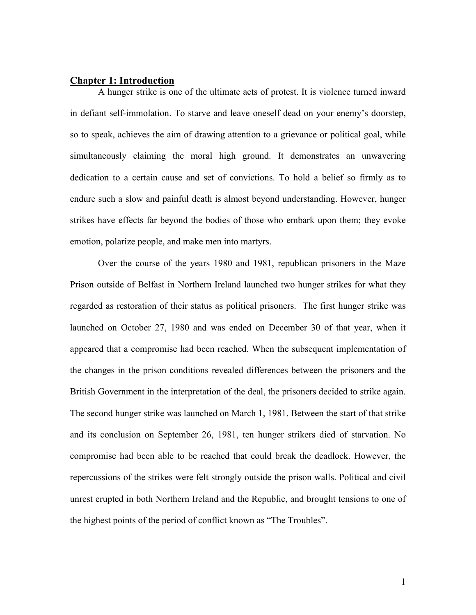#### **Chapter 1: Introduction**

A hunger strike is one of the ultimate acts of protest. It is violence turned inward in defiant self-immolation. To starve and leave oneself dead on your enemy's doorstep, so to speak, achieves the aim of drawing attention to a grievance or political goal, while simultaneously claiming the moral high ground. It demonstrates an unwavering dedication to a certain cause and set of convictions. To hold a belief so firmly as to endure such a slow and painful death is almost beyond understanding. However, hunger strikes have effects far beyond the bodies of those who embark upon them; they evoke emotion, polarize people, and make men into martyrs.

Over the course of the years 1980 and 1981, republican prisoners in the Maze Prison outside of Belfast in Northern Ireland launched two hunger strikes for what they regarded as restoration of their status as political prisoners. The first hunger strike was launched on October 27, 1980 and was ended on December 30 of that year, when it appeared that a compromise had been reached. When the subsequent implementation of the changes in the prison conditions revealed differences between the prisoners and the British Government in the interpretation of the deal, the prisoners decided to strike again. The second hunger strike was launched on March 1, 1981. Between the start of that strike and its conclusion on September 26, 1981, ten hunger strikers died of starvation. No compromise had been able to be reached that could break the deadlock. However, the repercussions of the strikes were felt strongly outside the prison walls. Political and civil unrest erupted in both Northern Ireland and the Republic, and brought tensions to one of the highest points of the period of conflict known as "The Troubles".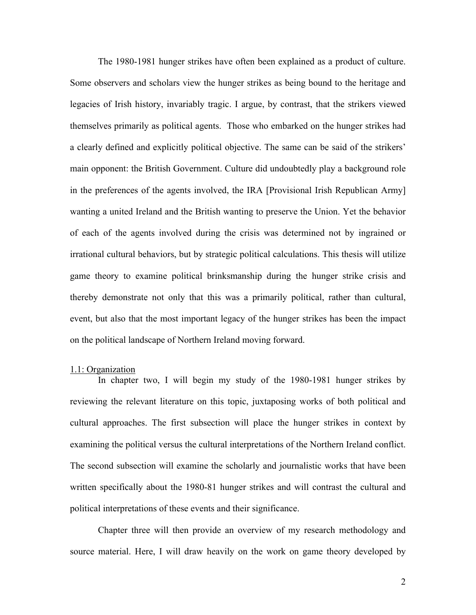The 1980-1981 hunger strikes have often been explained as a product of culture. Some observers and scholars view the hunger strikes as being bound to the heritage and legacies of Irish history, invariably tragic. I argue, by contrast, that the strikers viewed themselves primarily as political agents. Those who embarked on the hunger strikes had a clearly defined and explicitly political objective. The same can be said of the strikers' main opponent: the British Government. Culture did undoubtedly play a background role in the preferences of the agents involved, the IRA [Provisional Irish Republican Army] wanting a united Ireland and the British wanting to preserve the Union. Yet the behavior of each of the agents involved during the crisis was determined not by ingrained or irrational cultural behaviors, but by strategic political calculations. This thesis will utilize game theory to examine political brinksmanship during the hunger strike crisis and thereby demonstrate not only that this was a primarily political, rather than cultural, event, but also that the most important legacy of the hunger strikes has been the impact on the political landscape of Northern Ireland moving forward.

#### 1.1: Organization

In chapter two, I will begin my study of the 1980-1981 hunger strikes by reviewing the relevant literature on this topic, juxtaposing works of both political and cultural approaches. The first subsection will place the hunger strikes in context by examining the political versus the cultural interpretations of the Northern Ireland conflict. The second subsection will examine the scholarly and journalistic works that have been written specifically about the 1980-81 hunger strikes and will contrast the cultural and political interpretations of these events and their significance.

Chapter three will then provide an overview of my research methodology and source material. Here, I will draw heavily on the work on game theory developed by

2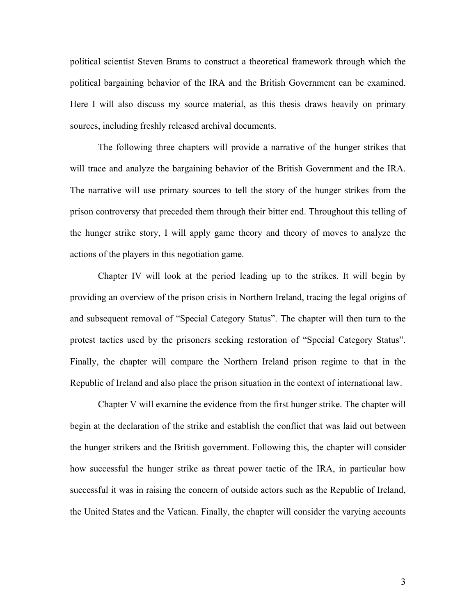political scientist Steven Brams to construct a theoretical framework through which the political bargaining behavior of the IRA and the British Government can be examined. Here I will also discuss my source material, as this thesis draws heavily on primary sources, including freshly released archival documents.

The following three chapters will provide a narrative of the hunger strikes that will trace and analyze the bargaining behavior of the British Government and the IRA. The narrative will use primary sources to tell the story of the hunger strikes from the prison controversy that preceded them through their bitter end. Throughout this telling of the hunger strike story, I will apply game theory and theory of moves to analyze the actions of the players in this negotiation game.

Chapter IV will look at the period leading up to the strikes. It will begin by providing an overview of the prison crisis in Northern Ireland, tracing the legal origins of and subsequent removal of "Special Category Status". The chapter will then turn to the protest tactics used by the prisoners seeking restoration of "Special Category Status". Finally, the chapter will compare the Northern Ireland prison regime to that in the Republic of Ireland and also place the prison situation in the context of international law.

Chapter V will examine the evidence from the first hunger strike. The chapter will begin at the declaration of the strike and establish the conflict that was laid out between the hunger strikers and the British government. Following this, the chapter will consider how successful the hunger strike as threat power tactic of the IRA, in particular how successful it was in raising the concern of outside actors such as the Republic of Ireland, the United States and the Vatican. Finally, the chapter will consider the varying accounts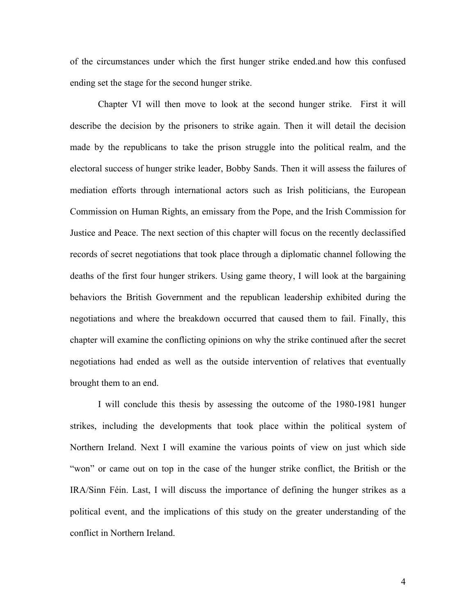of the circumstances under which the first hunger strike ended.and how this confused ending set the stage for the second hunger strike.

Chapter VI will then move to look at the second hunger strike. First it will describe the decision by the prisoners to strike again. Then it will detail the decision made by the republicans to take the prison struggle into the political realm, and the electoral success of hunger strike leader, Bobby Sands. Then it will assess the failures of mediation efforts through international actors such as Irish politicians, the European Commission on Human Rights, an emissary from the Pope, and the Irish Commission for Justice and Peace. The next section of this chapter will focus on the recently declassified records of secret negotiations that took place through a diplomatic channel following the deaths of the first four hunger strikers. Using game theory, I will look at the bargaining behaviors the British Government and the republican leadership exhibited during the negotiations and where the breakdown occurred that caused them to fail. Finally, this chapter will examine the conflicting opinions on why the strike continued after the secret negotiations had ended as well as the outside intervention of relatives that eventually brought them to an end.

I will conclude this thesis by assessing the outcome of the 1980-1981 hunger strikes, including the developments that took place within the political system of Northern Ireland. Next I will examine the various points of view on just which side "won" or came out on top in the case of the hunger strike conflict, the British or the IRA/Sinn Féin. Last, I will discuss the importance of defining the hunger strikes as a political event, and the implications of this study on the greater understanding of the conflict in Northern Ireland.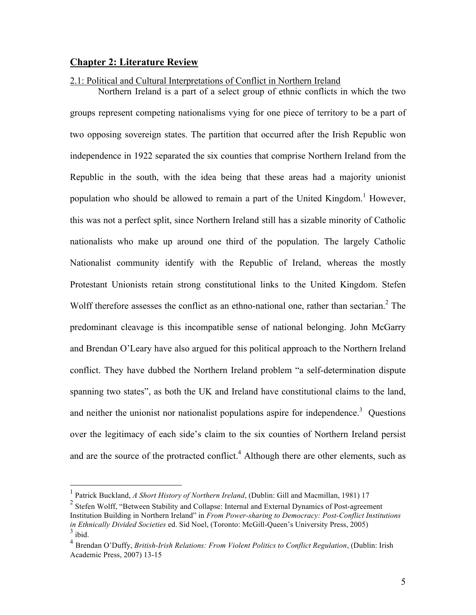#### **Chapter 2: Literature Review**

#### 2.1: Political and Cultural Interpretations of Conflict in Northern Ireland

Northern Ireland is a part of a select group of ethnic conflicts in which the two groups represent competing nationalisms vying for one piece of territory to be a part of two opposing sovereign states. The partition that occurred after the Irish Republic won independence in 1922 separated the six counties that comprise Northern Ireland from the Republic in the south, with the idea being that these areas had a majority unionist population who should be allowed to remain a part of the United Kingdom.<sup>1</sup> However, this was not a perfect split, since Northern Ireland still has a sizable minority of Catholic nationalists who make up around one third of the population. The largely Catholic Nationalist community identify with the Republic of Ireland, whereas the mostly Protestant Unionists retain strong constitutional links to the United Kingdom. Stefen Wolff therefore assesses the conflict as an ethno-national one, rather than sectarian. $2$  The predominant cleavage is this incompatible sense of national belonging. John McGarry and Brendan O'Leary have also argued for this political approach to the Northern Ireland conflict. They have dubbed the Northern Ireland problem "a self-determination dispute spanning two states", as both the UK and Ireland have constitutional claims to the land, and neither the unionist nor nationalist populations aspire for independence.<sup>3</sup> Questions over the legitimacy of each side's claim to the six counties of Northern Ireland persist and are the source of the protracted conflict.<sup>4</sup> Although there are other elements, such as

 <sup>1</sup> Patrick Buckland, *A Short History of Northern Ireland*, (Dublin: Gill and Macmillan, 1981) 17

<sup>&</sup>lt;sup>2</sup> Stefen Wolff, "Between Stability and Collapse: Internal and External Dynamics of Post-agreement Institution Building in Northern Ireland" in *From Power-sharing to Democracy: Post-Conflict Institutions in Ethnically Divided Societies* ed. Sid Noel, (Toronto: McGill-Queen's University Press, 2005) 3 ibid.

<sup>4</sup> Brendan O'Duffy, *British-Irish Relations: From Violent Politics to Conflict Regulation*, (Dublin: Irish Academic Press, 2007) 13-15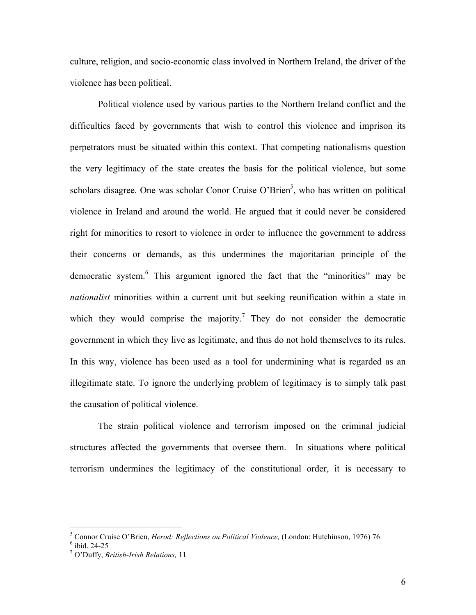culture, religion, and socio-economic class involved in Northern Ireland, the driver of the violence has been political.

Political violence used by various parties to the Northern Ireland conflict and the difficulties faced by governments that wish to control this violence and imprison its perpetrators must be situated within this context. That competing nationalisms question the very legitimacy of the state creates the basis for the political violence, but some scholars disagree. One was scholar Conor Cruise O'Brien<sup>5</sup>, who has written on political violence in Ireland and around the world. He argued that it could never be considered right for minorities to resort to violence in order to influence the government to address their concerns or demands, as this undermines the majoritarian principle of the democratic system.<sup>6</sup> This argument ignored the fact that the "minorities" may be *nationalist* minorities within a current unit but seeking reunification within a state in which they would comprise the majority.<sup>7</sup> They do not consider the democratic government in which they live as legitimate, and thus do not hold themselves to its rules. In this way, violence has been used as a tool for undermining what is regarded as an illegitimate state. To ignore the underlying problem of legitimacy is to simply talk past the causation of political violence.

The strain political violence and terrorism imposed on the criminal judicial structures affected the governments that oversee them. In situations where political terrorism undermines the legitimacy of the constitutional order, it is necessary to

 <sup>5</sup> <sup>5</sup> Connor Cruise O'Brien, *Herod: Reflections on Political Violence*, (London: Hutchinson, 1976) 76<br><sup>6</sup> ibid 24.25

<sup>&</sup>lt;sup>6</sup> ibid. 24-25<br><sup>7</sup> O'Duffy, <sup>p</sup>

O'Duffy, *British-Irish Relations,* 11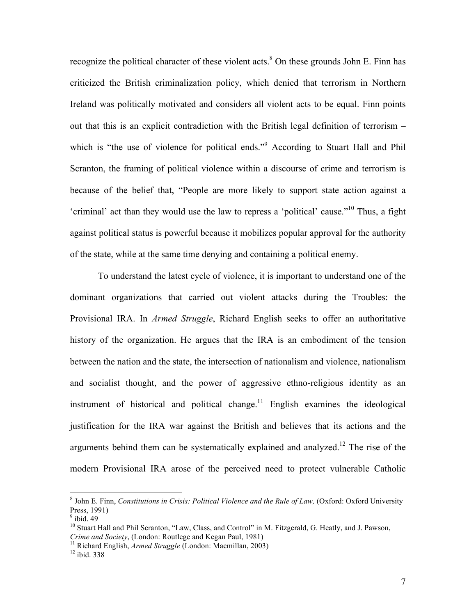recognize the political character of these violent acts.<sup>8</sup> On these grounds John E. Finn has criticized the British criminalization policy, which denied that terrorism in Northern Ireland was politically motivated and considers all violent acts to be equal. Finn points out that this is an explicit contradiction with the British legal definition of terrorism – which is "the use of violence for political ends."<sup>9</sup> According to Stuart Hall and Phil Scranton, the framing of political violence within a discourse of crime and terrorism is because of the belief that, "People are more likely to support state action against a 'criminal' act than they would use the law to repress a 'political' cause."10 Thus, a fight against political status is powerful because it mobilizes popular approval for the authority of the state, while at the same time denying and containing a political enemy.

To understand the latest cycle of violence, it is important to understand one of the dominant organizations that carried out violent attacks during the Troubles: the Provisional IRA. In *Armed Struggle*, Richard English seeks to offer an authoritative history of the organization. He argues that the IRA is an embodiment of the tension between the nation and the state, the intersection of nationalism and violence, nationalism and socialist thought, and the power of aggressive ethno-religious identity as an instrument of historical and political change.<sup>11</sup> English examines the ideological justification for the IRA war against the British and believes that its actions and the arguments behind them can be systematically explained and analyzed.<sup>12</sup> The rise of the modern Provisional IRA arose of the perceived need to protect vulnerable Catholic

 <sup>8</sup> John E. Finn, *Constitutions in Crisis: Political Violence and the Rule of Law,* (Oxford: Oxford University Press, 1991)

 $<sup>9</sup>$  ibid. 49</sup>

<sup>&</sup>lt;sup>10</sup> Stuart Hall and Phil Scranton, "Law, Class, and Control" in M. Fitzgerald, G. Heatly, and J. Pawson, *Crime and Society*, (London: Routlege and Kegan Paul, 1981)

<sup>&</sup>lt;sup>11</sup> Richard English, *Armed Struggle* (London: Macmillan, 2003) <sup>12</sup> ibid. 338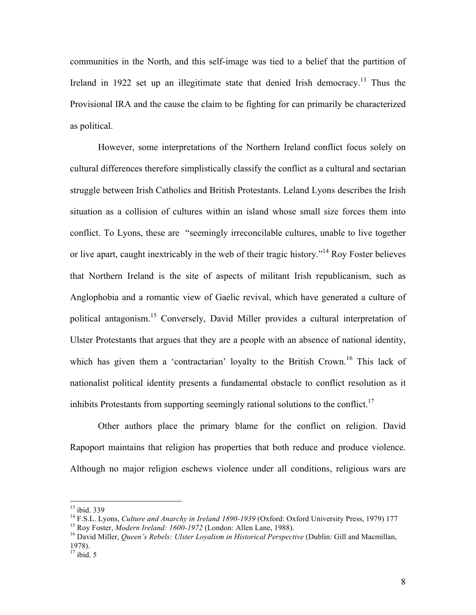communities in the North, and this self-image was tied to a belief that the partition of Ireland in 1922 set up an illegitimate state that denied Irish democracy.<sup>13</sup> Thus the Provisional IRA and the cause the claim to be fighting for can primarily be characterized as political.

However, some interpretations of the Northern Ireland conflict focus solely on cultural differences therefore simplistically classify the conflict as a cultural and sectarian struggle between Irish Catholics and British Protestants. Leland Lyons describes the Irish situation as a collision of cultures within an island whose small size forces them into conflict. To Lyons, these are "seemingly irreconcilable cultures, unable to live together or live apart, caught inextricably in the web of their tragic history."<sup>14</sup> Roy Foster believes that Northern Ireland is the site of aspects of militant Irish republicanism, such as Anglophobia and a romantic view of Gaelic revival, which have generated a culture of political antagonism.15 Conversely, David Miller provides a cultural interpretation of Ulster Protestants that argues that they are a people with an absence of national identity, which has given them a 'contractarian' loyalty to the British Crown.<sup>16</sup> This lack of nationalist political identity presents a fundamental obstacle to conflict resolution as it inhibits Protestants from supporting seemingly rational solutions to the conflict.<sup>17</sup>

Other authors place the primary blame for the conflict on religion. David Rapoport maintains that religion has properties that both reduce and produce violence. Although no major religion eschews violence under all conditions, religious wars are

 <sup>13</sup> ibid. 339

<sup>&</sup>lt;sup>14</sup> F.S.L. Lyons, *Culture and Anarchy in Ireland 1890-1939* (Oxford: Oxford University Press, 1979) 177<br><sup>15</sup> Roy Foster, *Modern Ireland: 1600-1972* (London: Allen Lane, 1988).<br><sup>16</sup> David Miller, *Queen's Rebels: Ulster* 

<sup>1978).</sup>

 $17$  ibid. 5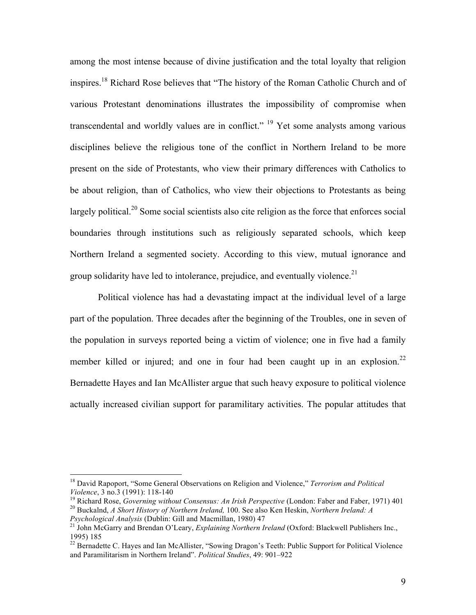among the most intense because of divine justification and the total loyalty that religion inspires.18 Richard Rose believes that "The history of the Roman Catholic Church and of various Protestant denominations illustrates the impossibility of compromise when transcendental and worldly values are in conflict."  $19$  Yet some analysts among various disciplines believe the religious tone of the conflict in Northern Ireland to be more present on the side of Protestants, who view their primary differences with Catholics to be about religion, than of Catholics, who view their objections to Protestants as being largely political.<sup>20</sup> Some social scientists also cite religion as the force that enforces social boundaries through institutions such as religiously separated schools, which keep Northern Ireland a segmented society. According to this view, mutual ignorance and group solidarity have led to intolerance, prejudice, and eventually violence.<sup>21</sup>

Political violence has had a devastating impact at the individual level of a large part of the population. Three decades after the beginning of the Troubles, one in seven of the population in surveys reported being a victim of violence; one in five had a family member killed or injured; and one in four had been caught up in an explosion.<sup>22</sup> Bernadette Hayes and Ian McAllister argue that such heavy exposure to political violence actually increased civilian support for paramilitary activities. The popular attitudes that

 <sup>18</sup> David Rapoport, "Some General Observations on Religion and Violence," *Terrorism and Political* 

Violence, 3 no.3 (1991): 118-140<br><sup>19</sup> Richard Rose, *Governing without Consensus: An Irish Perspective* (London: Faber and Faber, 1971) 401<br><sup>20</sup> Buckalnd, *A Short History of Northern Ireland*, 100. See also Ken Heskin, *N* 

*Psychological Analysis* (Dublin: Gill analysischer *Explaining Northern Ireland* (Oxford: Blackwell Publishers Inc., 1995) 185

<sup>&</sup>lt;sup>22</sup> Bernadette C. Hayes and Ian McAllister, "Sowing Dragon's Teeth: Public Support for Political Violence and Paramilitarism in Northern Ireland". *Political Studies*, 49: 901–922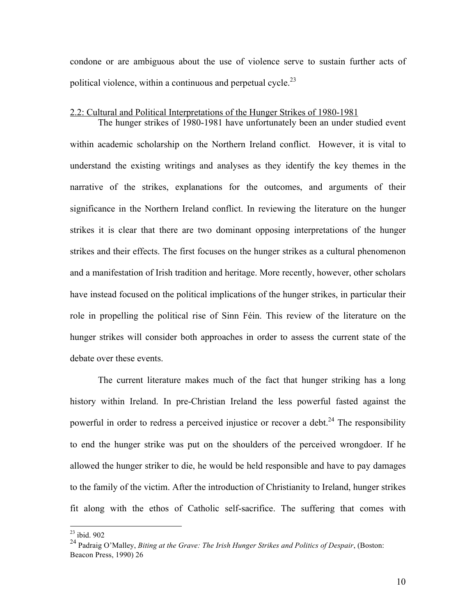condone or are ambiguous about the use of violence serve to sustain further acts of political violence, within a continuous and perpetual cycle.<sup>23</sup>

#### 2.2: Cultural and Political Interpretations of the Hunger Strikes of 1980-1981

The hunger strikes of 1980-1981 have unfortunately been an under studied event within academic scholarship on the Northern Ireland conflict. However, it is vital to understand the existing writings and analyses as they identify the key themes in the narrative of the strikes, explanations for the outcomes, and arguments of their significance in the Northern Ireland conflict. In reviewing the literature on the hunger strikes it is clear that there are two dominant opposing interpretations of the hunger strikes and their effects. The first focuses on the hunger strikes as a cultural phenomenon and a manifestation of Irish tradition and heritage. More recently, however, other scholars have instead focused on the political implications of the hunger strikes, in particular their role in propelling the political rise of Sinn Féin. This review of the literature on the hunger strikes will consider both approaches in order to assess the current state of the debate over these events.

The current literature makes much of the fact that hunger striking has a long history within Ireland. In pre-Christian Ireland the less powerful fasted against the powerful in order to redress a perceived injustice or recover a debt.<sup>24</sup> The responsibility to end the hunger strike was put on the shoulders of the perceived wrongdoer. If he allowed the hunger striker to die, he would be held responsible and have to pay damages to the family of the victim. After the introduction of Christianity to Ireland, hunger strikes fit along with the ethos of Catholic self-sacrifice. The suffering that comes with

 <sup>23</sup> ibid. 902

<sup>24</sup> Padraig O'Malley, *Biting at the Grave: The Irish Hunger Strikes and Politics of Despair*, (Boston: Beacon Press, 1990) 26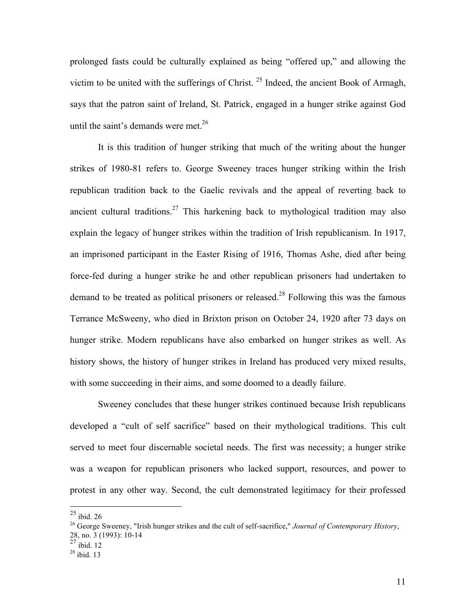prolonged fasts could be culturally explained as being "offered up," and allowing the victim to be united with the sufferings of Christ. 25 Indeed, the ancient Book of Armagh, says that the patron saint of Ireland, St. Patrick, engaged in a hunger strike against God until the saint's demands were met.<sup>26</sup>

It is this tradition of hunger striking that much of the writing about the hunger strikes of 1980-81 refers to. George Sweeney traces hunger striking within the Irish republican tradition back to the Gaelic revivals and the appeal of reverting back to ancient cultural traditions.<sup>27</sup> This harkening back to mythological tradition may also explain the legacy of hunger strikes within the tradition of Irish republicanism. In 1917, an imprisoned participant in the Easter Rising of 1916, Thomas Ashe, died after being force-fed during a hunger strike he and other republican prisoners had undertaken to demand to be treated as political prisoners or released.<sup>28</sup> Following this was the famous Terrance McSweeny, who died in Brixton prison on October 24, 1920 after 73 days on hunger strike. Modern republicans have also embarked on hunger strikes as well. As history shows, the history of hunger strikes in Ireland has produced very mixed results, with some succeeding in their aims, and some doomed to a deadly failure.

Sweeney concludes that these hunger strikes continued because Irish republicans developed a "cult of self sacrifice" based on their mythological traditions. This cult served to meet four discernable societal needs. The first was necessity; a hunger strike was a weapon for republican prisoners who lacked support, resources, and power to protest in any other way. Second, the cult demonstrated legitimacy for their professed

 $25$  ibid. 26

<sup>26</sup> George Sweeney, "Irish hunger strikes and the cult of self-sacrifice," *Journal of Contemporary History*, 28, no. 3 (1993): 10-14

 $^{27}$  ibid. 12

<sup>28</sup> ibid. 13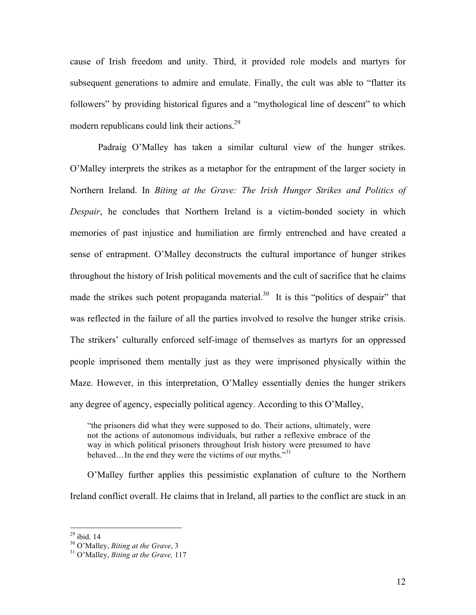cause of Irish freedom and unity. Third, it provided role models and martyrs for subsequent generations to admire and emulate. Finally, the cult was able to "flatter its followers" by providing historical figures and a "mythological line of descent" to which modern republicans could link their actions.29

Padraig O'Malley has taken a similar cultural view of the hunger strikes. O'Malley interprets the strikes as a metaphor for the entrapment of the larger society in Northern Ireland. In *Biting at the Grave: The Irish Hunger Strikes and Politics of Despair*, he concludes that Northern Ireland is a victim-bonded society in which memories of past injustice and humiliation are firmly entrenched and have created a sense of entrapment. O'Malley deconstructs the cultural importance of hunger strikes throughout the history of Irish political movements and the cult of sacrifice that he claims made the strikes such potent propaganda material.<sup>30</sup> It is this "politics of despair" that was reflected in the failure of all the parties involved to resolve the hunger strike crisis. The strikers' culturally enforced self-image of themselves as martyrs for an oppressed people imprisoned them mentally just as they were imprisoned physically within the Maze. However, in this interpretation, O'Malley essentially denies the hunger strikers any degree of agency, especially political agency. According to this O'Malley,

"the prisoners did what they were supposed to do. Their actions, ultimately, were not the actions of autonomous individuals, but rather a reflexive embrace of the way in which political prisoners throughout Irish history were presumed to have behaved...In the end they were the victims of our myths."<sup>31</sup>

O'Malley further applies this pessimistic explanation of culture to the Northern Ireland conflict overall. He claims that in Ireland, all parties to the conflict are stuck in an

<sup>&</sup>lt;sup>29</sup> ibid. 14<br><sup>30</sup> O'Malley, *Biting at the Grave*, 3

<sup>&</sup>lt;sup>31</sup> O'Malley, *Biting at the Grave*, 117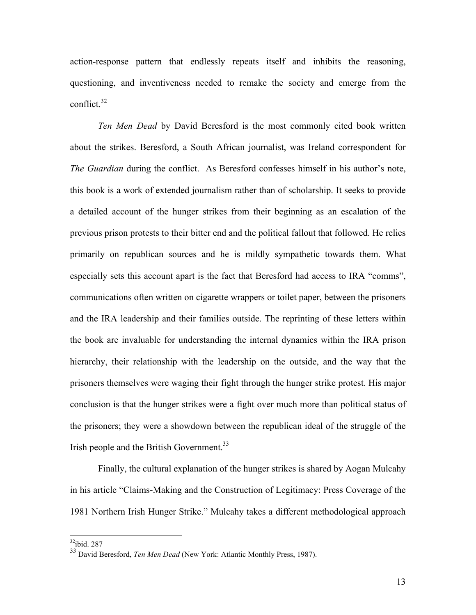action-response pattern that endlessly repeats itself and inhibits the reasoning, questioning, and inventiveness needed to remake the society and emerge from the conflict.32

*Ten Men Dead* by David Beresford is the most commonly cited book written about the strikes. Beresford, a South African journalist, was Ireland correspondent for *The Guardian* during the conflict. As Beresford confesses himself in his author's note, this book is a work of extended journalism rather than of scholarship. It seeks to provide a detailed account of the hunger strikes from their beginning as an escalation of the previous prison protests to their bitter end and the political fallout that followed. He relies primarily on republican sources and he is mildly sympathetic towards them. What especially sets this account apart is the fact that Beresford had access to IRA "comms", communications often written on cigarette wrappers or toilet paper, between the prisoners and the IRA leadership and their families outside. The reprinting of these letters within the book are invaluable for understanding the internal dynamics within the IRA prison hierarchy, their relationship with the leadership on the outside, and the way that the prisoners themselves were waging their fight through the hunger strike protest. His major conclusion is that the hunger strikes were a fight over much more than political status of the prisoners; they were a showdown between the republican ideal of the struggle of the Irish people and the British Government.<sup>33</sup>

Finally, the cultural explanation of the hunger strikes is shared by Aogan Mulcahy in his article "Claims-Making and the Construction of Legitimacy: Press Coverage of the 1981 Northern Irish Hunger Strike." Mulcahy takes a different methodological approach

 $32$ ibid. 287

<sup>&</sup>lt;sup>33</sup> David Beresford, *Ten Men Dead* (New York: Atlantic Monthly Press, 1987).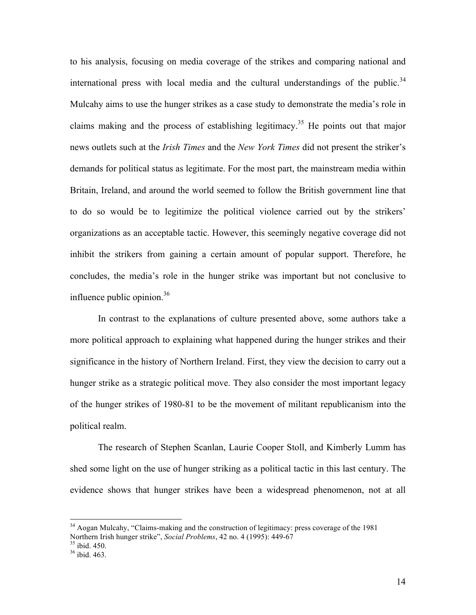to his analysis, focusing on media coverage of the strikes and comparing national and international press with local media and the cultural understandings of the public. $34$ Mulcahy aims to use the hunger strikes as a case study to demonstrate the media's role in claims making and the process of establishing legitimacy.<sup>35</sup> He points out that major news outlets such at the *Irish Times* and the *New York Times* did not present the striker's demands for political status as legitimate. For the most part, the mainstream media within Britain, Ireland, and around the world seemed to follow the British government line that to do so would be to legitimize the political violence carried out by the strikers' organizations as an acceptable tactic. However, this seemingly negative coverage did not inhibit the strikers from gaining a certain amount of popular support. Therefore, he concludes, the media's role in the hunger strike was important but not conclusive to influence public opinion. $36$ 

In contrast to the explanations of culture presented above, some authors take a more political approach to explaining what happened during the hunger strikes and their significance in the history of Northern Ireland. First, they view the decision to carry out a hunger strike as a strategic political move. They also consider the most important legacy of the hunger strikes of 1980-81 to be the movement of militant republicanism into the political realm.

The research of Stephen Scanlan, Laurie Cooper Stoll, and Kimberly Lumm has shed some light on the use of hunger striking as a political tactic in this last century. The evidence shows that hunger strikes have been a widespread phenomenon, not at all

<sup>&</sup>lt;sup>34</sup> Aogan Mulcahy, "Claims-making and the construction of legitimacy: press coverage of the 1981 Northern Irish hunger strike", *Social Problems*, 42 no. 4 (1995): 449-67<br><sup>35</sup> ibid. 450.

 $36$  ibid. 463.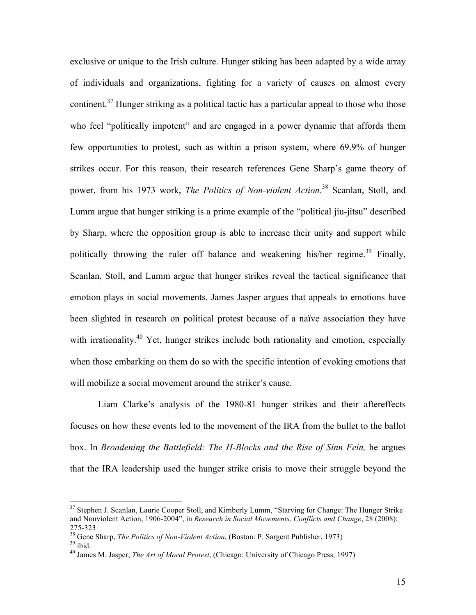exclusive or unique to the Irish culture. Hunger stiking has been adapted by a wide array of individuals and organizations, fighting for a variety of causes on almost every continent.<sup>37</sup> Hunger striking as a political tactic has a particular appeal to those who those who feel "politically impotent" and are engaged in a power dynamic that affords them few opportunities to protest, such as within a prison system, where 69.9% of hunger strikes occur. For this reason, their research references Gene Sharp's game theory of power, from his 1973 work, *The Politics of Non-violent Action*. 38 Scanlan, Stoll, and Lumm argue that hunger striking is a prime example of the "political jiu-jitsu" described by Sharp, where the opposition group is able to increase their unity and support while politically throwing the ruler off balance and weakening his/her regime.<sup>39</sup> Finally, Scanlan, Stoll, and Lumm argue that hunger strikes reveal the tactical significance that emotion plays in social movements. James Jasper argues that appeals to emotions have been slighted in research on political protest because of a naïve association they have with irrationality.<sup>40</sup> Yet, hunger strikes include both rationality and emotion, especially when those embarking on them do so with the specific intention of evoking emotions that will mobilize a social movement around the striker's cause.

Liam Clarke's analysis of the 1980-81 hunger strikes and their aftereffects focuses on how these events led to the movement of the IRA from the bullet to the ballot box. In *Broadening the Battlefield: The H-Blocks and the Rise of Sinn Fein,* he argues that the IRA leadership used the hunger strike crisis to move their struggle beyond the

<sup>&</sup>lt;sup>37</sup> Stephen J. Scanlan, Laurie Cooper Stoll, and Kimberly Lumm, "Starving for Change: The Hunger Strike and Nonviolent Action, 1906-2004", in *Research in Social Movements, Conflicts and Change*, 28 (2008):

<sup>275-323</sup> 38 Gene Sharp, *The Politics of Non-Violent Action*, (Boston: P. Sargent Publisher, 1973) 39 ibid.

<sup>40</sup> James M. Jasper, *The Art of Moral Protest*, (Chicago: University of Chicago Press, 1997)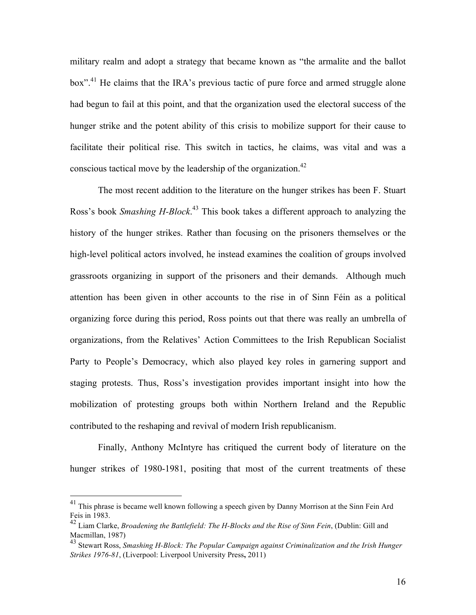military realm and adopt a strategy that became known as "the armalite and the ballot box".<sup>41</sup> He claims that the IRA's previous tactic of pure force and armed struggle alone had begun to fail at this point, and that the organization used the electoral success of the hunger strike and the potent ability of this crisis to mobilize support for their cause to facilitate their political rise. This switch in tactics, he claims, was vital and was a conscious tactical move by the leadership of the organization.<sup>42</sup>

The most recent addition to the literature on the hunger strikes has been F. Stuart Ross's book *Smashing H-Block*. <sup>43</sup> This book takes a different approach to analyzing the history of the hunger strikes. Rather than focusing on the prisoners themselves or the high-level political actors involved, he instead examines the coalition of groups involved grassroots organizing in support of the prisoners and their demands. Although much attention has been given in other accounts to the rise in of Sinn Féin as a political organizing force during this period, Ross points out that there was really an umbrella of organizations, from the Relatives' Action Committees to the Irish Republican Socialist Party to People's Democracy, which also played key roles in garnering support and staging protests. Thus, Ross's investigation provides important insight into how the mobilization of protesting groups both within Northern Ireland and the Republic contributed to the reshaping and revival of modern Irish republicanism.

Finally, Anthony McIntyre has critiqued the current body of literature on the hunger strikes of 1980-1981, positing that most of the current treatments of these

<sup>&</sup>lt;sup>41</sup> This phrase is became well known following a speech given by Danny Morrison at the Sinn Fein Ard Feis in 1983.

<sup>42</sup> Liam Clarke, *Broadening the Battlefield: The H-Blocks and the Rise of Sinn Fein*, (Dublin: Gill and Macmillan, 1987)

<sup>43</sup> Stewart Ross, *Smashing H-Block: The Popular Campaign against Criminalization and the Irish Hunger Strikes 1976-81*, (Liverpool: Liverpool University Press**,** 2011)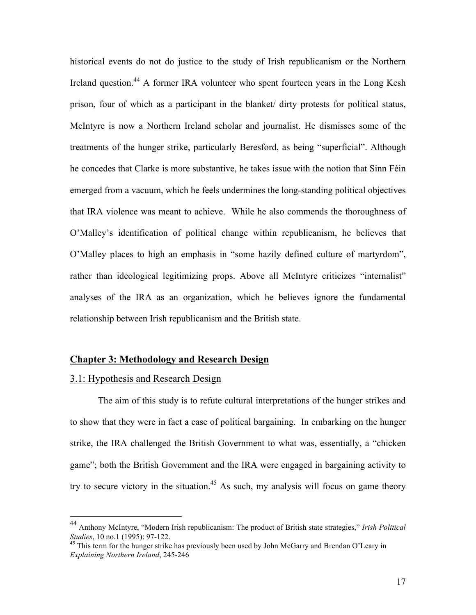historical events do not do justice to the study of Irish republicanism or the Northern Ireland question.<sup>44</sup> A former IRA volunteer who spent fourteen years in the Long Kesh prison, four of which as a participant in the blanket/ dirty protests for political status, McIntyre is now a Northern Ireland scholar and journalist. He dismisses some of the treatments of the hunger strike, particularly Beresford, as being "superficial". Although he concedes that Clarke is more substantive, he takes issue with the notion that Sinn Féin emerged from a vacuum, which he feels undermines the long-standing political objectives that IRA violence was meant to achieve. While he also commends the thoroughness of O'Malley's identification of political change within republicanism, he believes that O'Malley places to high an emphasis in "some hazily defined culture of martyrdom", rather than ideological legitimizing props. Above all McIntyre criticizes "internalist" analyses of the IRA as an organization, which he believes ignore the fundamental relationship between Irish republicanism and the British state.

# **Chapter 3: Methodology and Research Design**

#### 3.1: Hypothesis and Research Design

The aim of this study is to refute cultural interpretations of the hunger strikes and to show that they were in fact a case of political bargaining. In embarking on the hunger strike, the IRA challenged the British Government to what was, essentially, a "chicken game"; both the British Government and the IRA were engaged in bargaining activity to try to secure victory in the situation.<sup>45</sup> As such, my analysis will focus on game theory

 <sup>44</sup> Anthony McIntyre, "Modern Irish republicanism: The product of British state strategies," *Irish Political Studies*, 10 no.1 (1995): 97-122.<br><sup>45</sup> This term for the hunger strike has previously been used by John McGarry and Brendan O'Leary in

*Explaining Northern Ireland*, 245-246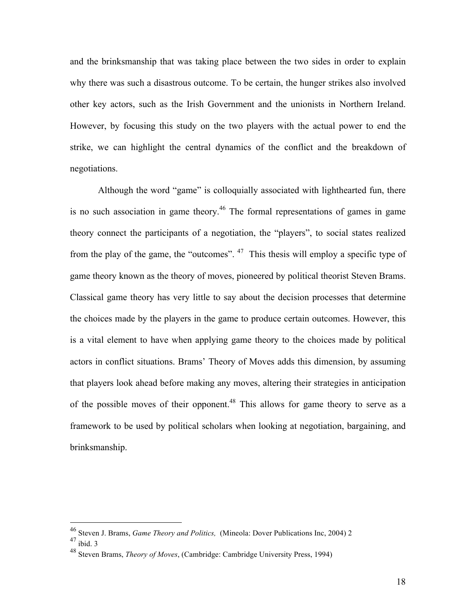and the brinksmanship that was taking place between the two sides in order to explain why there was such a disastrous outcome. To be certain, the hunger strikes also involved other key actors, such as the Irish Government and the unionists in Northern Ireland. However, by focusing this study on the two players with the actual power to end the strike, we can highlight the central dynamics of the conflict and the breakdown of negotiations.

Although the word "game" is colloquially associated with lighthearted fun, there is no such association in game theory.<sup>46</sup> The formal representations of games in game theory connect the participants of a negotiation, the "players", to social states realized from the play of the game, the "outcomes". 47 This thesis will employ a specific type of game theory known as the theory of moves, pioneered by political theorist Steven Brams. Classical game theory has very little to say about the decision processes that determine the choices made by the players in the game to produce certain outcomes. However, this is a vital element to have when applying game theory to the choices made by political actors in conflict situations. Brams' Theory of Moves adds this dimension, by assuming that players look ahead before making any moves, altering their strategies in anticipation of the possible moves of their opponent.<sup>48</sup> This allows for game theory to serve as a framework to be used by political scholars when looking at negotiation, bargaining, and brinksmanship.

 <sup>46</sup> Steven J. Brams, *Game Theory and Politics,* (Mineola: Dover Publications Inc, 2004) 2

 $47$  ibid. 3

<sup>48</sup> Steven Brams, *Theory of Moves*, (Cambridge: Cambridge University Press, 1994)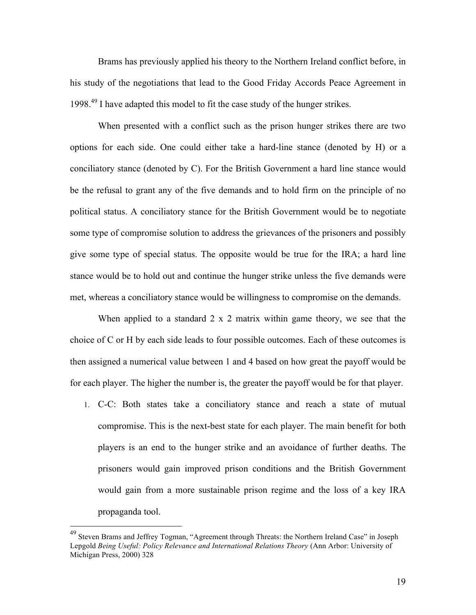Brams has previously applied his theory to the Northern Ireland conflict before, in his study of the negotiations that lead to the Good Friday Accords Peace Agreement in 1998.<sup>49</sup> I have adapted this model to fit the case study of the hunger strikes.

When presented with a conflict such as the prison hunger strikes there are two options for each side. One could either take a hard-line stance (denoted by H) or a conciliatory stance (denoted by C). For the British Government a hard line stance would be the refusal to grant any of the five demands and to hold firm on the principle of no political status. A conciliatory stance for the British Government would be to negotiate some type of compromise solution to address the grievances of the prisoners and possibly give some type of special status. The opposite would be true for the IRA; a hard line stance would be to hold out and continue the hunger strike unless the five demands were met, whereas a conciliatory stance would be willingness to compromise on the demands.

When applied to a standard 2 x 2 matrix within game theory, we see that the choice of C or H by each side leads to four possible outcomes. Each of these outcomes is then assigned a numerical value between 1 and 4 based on how great the payoff would be for each player. The higher the number is, the greater the payoff would be for that player.

1. C-C: Both states take a conciliatory stance and reach a state of mutual compromise. This is the next-best state for each player. The main benefit for both players is an end to the hunger strike and an avoidance of further deaths. The prisoners would gain improved prison conditions and the British Government would gain from a more sustainable prison regime and the loss of a key IRA propaganda tool.

 <sup>49</sup> Steven Brams and Jeffrey Togman, "Agreement through Threats: the Northern Ireland Case" in Joseph Lepgold *Being Useful: Policy Relevance and International Relations Theory* (Ann Arbor: University of Michigan Press, 2000) 328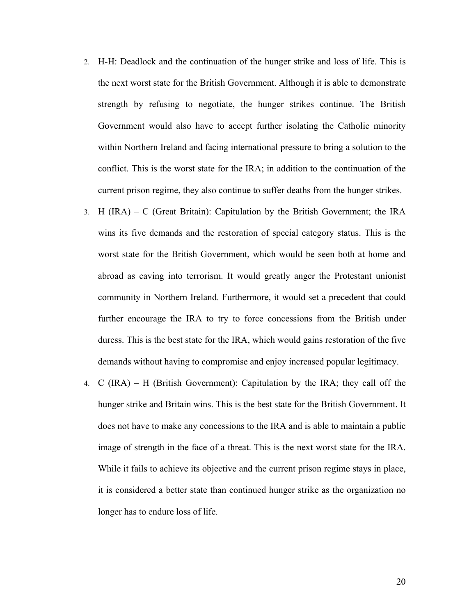- 2. H-H: Deadlock and the continuation of the hunger strike and loss of life. This is the next worst state for the British Government. Although it is able to demonstrate strength by refusing to negotiate, the hunger strikes continue. The British Government would also have to accept further isolating the Catholic minority within Northern Ireland and facing international pressure to bring a solution to the conflict. This is the worst state for the IRA; in addition to the continuation of the current prison regime, they also continue to suffer deaths from the hunger strikes.
- 3. H (IRA) C (Great Britain): Capitulation by the British Government; the IRA wins its five demands and the restoration of special category status. This is the worst state for the British Government, which would be seen both at home and abroad as caving into terrorism. It would greatly anger the Protestant unionist community in Northern Ireland. Furthermore, it would set a precedent that could further encourage the IRA to try to force concessions from the British under duress. This is the best state for the IRA, which would gains restoration of the five demands without having to compromise and enjoy increased popular legitimacy.
- 4. C (IRA) H (British Government): Capitulation by the IRA; they call off the hunger strike and Britain wins. This is the best state for the British Government. It does not have to make any concessions to the IRA and is able to maintain a public image of strength in the face of a threat. This is the next worst state for the IRA. While it fails to achieve its objective and the current prison regime stays in place, it is considered a better state than continued hunger strike as the organization no longer has to endure loss of life.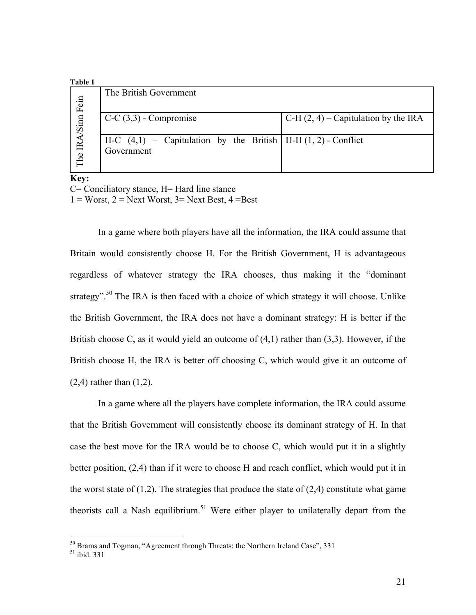#### **Table 1**

| таріе т           |                                                                                 |                                        |
|-------------------|---------------------------------------------------------------------------------|----------------------------------------|
|                   | The British Government                                                          |                                        |
|                   | $C-C(3,3)$ - Compromise                                                         | C-H $(2, 4)$ – Capitulation by the IRA |
| The IRA/Sinn Fein | $H-C$ (4,1) – Capitulation by the British   H-H (1, 2) - Conflict<br>Government |                                        |

**Key:** C= Conciliatory stance, H= Hard line stance

 $1 =$  Worst,  $2 =$  Next Worst,  $3 =$  Next Best,  $4 =$ Best

In a game where both players have all the information, the IRA could assume that Britain would consistently choose H. For the British Government, H is advantageous regardless of whatever strategy the IRA chooses, thus making it the "dominant strategy".<sup>50</sup> The IRA is then faced with a choice of which strategy it will choose. Unlike the British Government, the IRA does not have a dominant strategy: H is better if the British choose C, as it would yield an outcome of  $(4,1)$  rather than  $(3,3)$ . However, if the British choose H, the IRA is better off choosing C, which would give it an outcome of (2,4) rather than (1,2).

In a game where all the players have complete information, the IRA could assume that the British Government will consistently choose its dominant strategy of H. In that case the best move for the IRA would be to choose C, which would put it in a slightly better position, (2,4) than if it were to choose H and reach conflict, which would put it in the worst state of  $(1,2)$ . The strategies that produce the state of  $(2,4)$  constitute what game theorists call a Nash equilibrium.<sup>51</sup> Were either player to unilaterally depart from the

 $50$  Brams and Togman, "Agreement through Threats: the Northern Ireland Case", 331 ibid. 331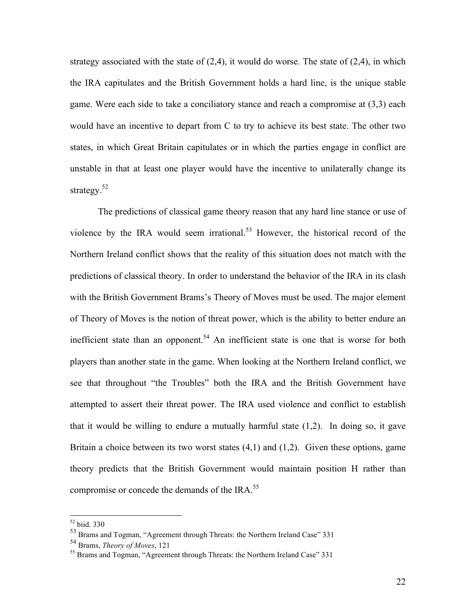strategy associated with the state of  $(2,4)$ , it would do worse. The state of  $(2,4)$ , in which the IRA capitulates and the British Government holds a hard line, is the unique stable game. Were each side to take a conciliatory stance and reach a compromise at (3,3) each would have an incentive to depart from C to try to achieve its best state. The other two states, in which Great Britain capitulates or in which the parties engage in conflict are unstable in that at least one player would have the incentive to unilaterally change its strategy.<sup>52</sup>

The predictions of classical game theory reason that any hard line stance or use of violence by the IRA would seem irrational.<sup>53</sup> However, the historical record of the Northern Ireland conflict shows that the reality of this situation does not match with the predictions of classical theory. In order to understand the behavior of the IRA in its clash with the British Government Brams's Theory of Moves must be used. The major element of Theory of Moves is the notion of threat power, which is the ability to better endure an inefficient state than an opponent.<sup>54</sup> An inefficient state is one that is worse for both players than another state in the game. When looking at the Northern Ireland conflict, we see that throughout "the Troubles" both the IRA and the British Government have attempted to assert their threat power. The IRA used violence and conflict to establish that it would be willing to endure a mutually harmful state  $(1,2)$ . In doing so, it gave Britain a choice between its two worst states  $(4,1)$  and  $(1,2)$ . Given these options, game theory predicts that the British Government would maintain position H rather than compromise or concede the demands of the IRA.<sup>55</sup>

 <sup>52</sup> biid. 330

<sup>53</sup> Brams and Togman, "Agreement through Threats: the Northern Ireland Case" 331

<sup>54</sup> Brams, *Theory of Moves*, 121

<sup>&</sup>lt;sup>55</sup> Brams and Togman, "Agreement through Threats: the Northern Ireland Case" 331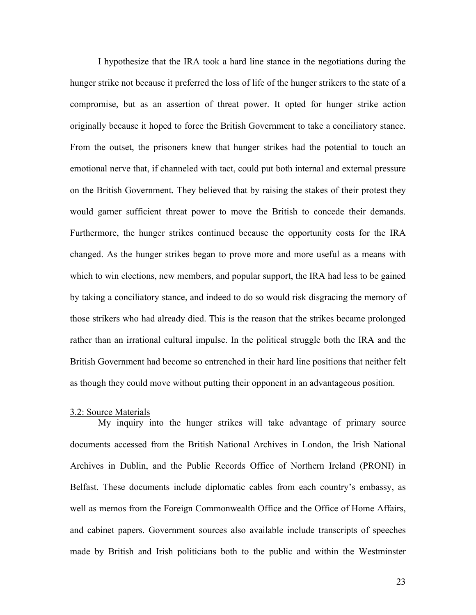I hypothesize that the IRA took a hard line stance in the negotiations during the hunger strike not because it preferred the loss of life of the hunger strikers to the state of a compromise, but as an assertion of threat power. It opted for hunger strike action originally because it hoped to force the British Government to take a conciliatory stance. From the outset, the prisoners knew that hunger strikes had the potential to touch an emotional nerve that, if channeled with tact, could put both internal and external pressure on the British Government. They believed that by raising the stakes of their protest they would garner sufficient threat power to move the British to concede their demands. Furthermore, the hunger strikes continued because the opportunity costs for the IRA changed. As the hunger strikes began to prove more and more useful as a means with which to win elections, new members, and popular support, the IRA had less to be gained by taking a conciliatory stance, and indeed to do so would risk disgracing the memory of those strikers who had already died. This is the reason that the strikes became prolonged rather than an irrational cultural impulse. In the political struggle both the IRA and the British Government had become so entrenched in their hard line positions that neither felt as though they could move without putting their opponent in an advantageous position.

#### 3.2: Source Materials

My inquiry into the hunger strikes will take advantage of primary source documents accessed from the British National Archives in London, the Irish National Archives in Dublin, and the Public Records Office of Northern Ireland (PRONI) in Belfast. These documents include diplomatic cables from each country's embassy, as well as memos from the Foreign Commonwealth Office and the Office of Home Affairs, and cabinet papers. Government sources also available include transcripts of speeches made by British and Irish politicians both to the public and within the Westminster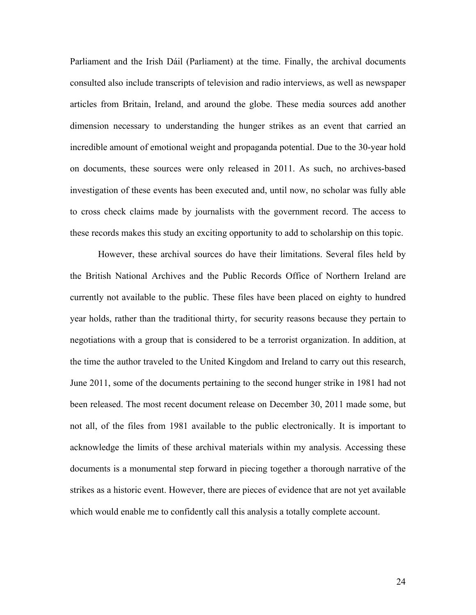Parliament and the Irish Dáil (Parliament) at the time. Finally, the archival documents consulted also include transcripts of television and radio interviews, as well as newspaper articles from Britain, Ireland, and around the globe. These media sources add another dimension necessary to understanding the hunger strikes as an event that carried an incredible amount of emotional weight and propaganda potential. Due to the 30-year hold on documents, these sources were only released in 2011. As such, no archives-based investigation of these events has been executed and, until now, no scholar was fully able to cross check claims made by journalists with the government record. The access to these records makes this study an exciting opportunity to add to scholarship on this topic.

However, these archival sources do have their limitations. Several files held by the British National Archives and the Public Records Office of Northern Ireland are currently not available to the public. These files have been placed on eighty to hundred year holds, rather than the traditional thirty, for security reasons because they pertain to negotiations with a group that is considered to be a terrorist organization. In addition, at the time the author traveled to the United Kingdom and Ireland to carry out this research, June 2011, some of the documents pertaining to the second hunger strike in 1981 had not been released. The most recent document release on December 30, 2011 made some, but not all, of the files from 1981 available to the public electronically. It is important to acknowledge the limits of these archival materials within my analysis. Accessing these documents is a monumental step forward in piecing together a thorough narrative of the strikes as a historic event. However, there are pieces of evidence that are not yet available which would enable me to confidently call this analysis a totally complete account.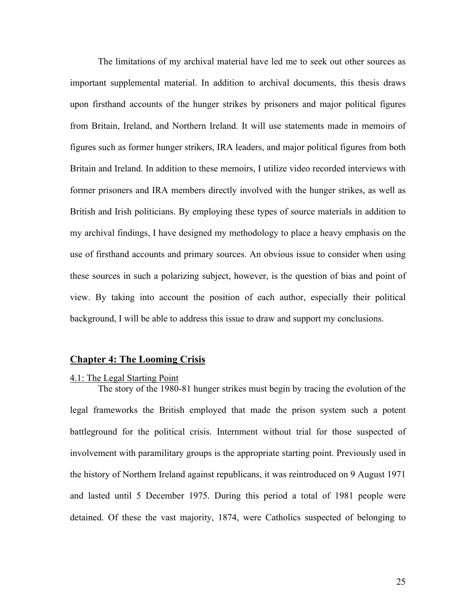The limitations of my archival material have led me to seek out other sources as important supplemental material. In addition to archival documents, this thesis draws upon firsthand accounts of the hunger strikes by prisoners and major political figures from Britain, Ireland, and Northern Ireland. It will use statements made in memoirs of figures such as former hunger strikers, IRA leaders, and major political figures from both Britain and Ireland. In addition to these memoirs, I utilize video recorded interviews with former prisoners and IRA members directly involved with the hunger strikes, as well as British and Irish politicians. By employing these types of source materials in addition to my archival findings, I have designed my methodology to place a heavy emphasis on the use of firsthand accounts and primary sources. An obvious issue to consider when using these sources in such a polarizing subject, however, is the question of bias and point of view. By taking into account the position of each author, especially their political background, I will be able to address this issue to draw and support my conclusions.

#### **Chapter 4: The Looming Crisis**

#### 4.1: The Legal Starting Point

The story of the 1980-81 hunger strikes must begin by tracing the evolution of the legal frameworks the British employed that made the prison system such a potent battleground for the political crisis. Internment without trial for those suspected of involvement with paramilitary groups is the appropriate starting point. Previously used in the history of Northern Ireland against republicans, it was reintroduced on 9 August 1971 and lasted until 5 December 1975. During this period a total of 1981 people were detained. Of these the vast majority, 1874, were Catholics suspected of belonging to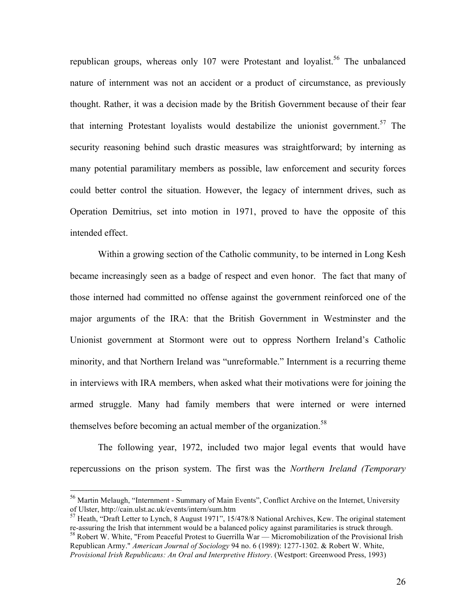republican groups, whereas only  $107$  were Protestant and loyalist.<sup>56</sup> The unbalanced nature of internment was not an accident or a product of circumstance, as previously thought. Rather, it was a decision made by the British Government because of their fear that interning Protestant loyalists would destabilize the unionist government.<sup>57</sup> The security reasoning behind such drastic measures was straightforward; by interning as many potential paramilitary members as possible, law enforcement and security forces could better control the situation. However, the legacy of internment drives, such as Operation Demitrius, set into motion in 1971, proved to have the opposite of this intended effect.

Within a growing section of the Catholic community, to be interned in Long Kesh became increasingly seen as a badge of respect and even honor. The fact that many of those interned had committed no offense against the government reinforced one of the major arguments of the IRA: that the British Government in Westminster and the Unionist government at Stormont were out to oppress Northern Ireland's Catholic minority, and that Northern Ireland was "unreformable." Internment is a recurring theme in interviews with IRA members, when asked what their motivations were for joining the armed struggle. Many had family members that were interned or were interned themselves before becoming an actual member of the organization.<sup>58</sup>

The following year, 1972, included two major legal events that would have repercussions on the prison system. The first was the *Northern Ireland (Temporary* 

<sup>&</sup>lt;sup>56</sup> Martin Melaugh, "Internment - Summary of Main Events", Conflict Archive on the Internet, University of Ulster, http://cain.ulst.ac.uk/events/intern/sum.htm

 $57$  Heath, "Draft Letter to Lynch, 8 August 1971", 15/478/8 National Archives, Kew. The original statement re-assuring the Irish that internment would be a balanced policy against paramilitaries is struck through. <sup>58</sup> Robert W. White, "From Peaceful Protest to Guerrilla  $\hat{W}$ ar — Micromobilization of the Provisional Irish Republican Army." *American Journal of Sociology* 94 no. 6 (1989): 1277-1302. & Robert W. White,

*Provisional Irish Republicans: An Oral and Interpretive History*. (Westport: Greenwood Press, 1993)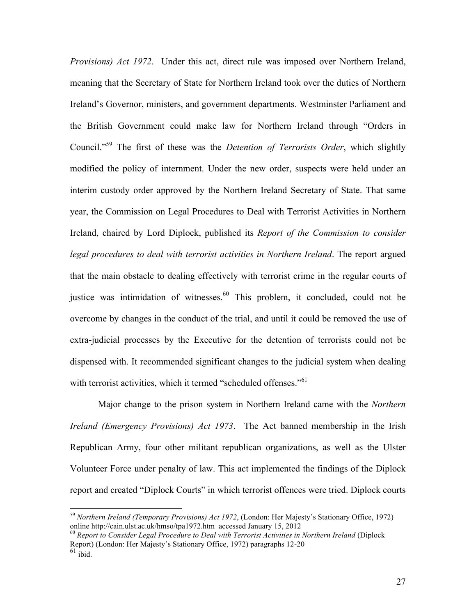*Provisions) Act 1972*. Under this act, direct rule was imposed over Northern Ireland, meaning that the Secretary of State for Northern Ireland took over the duties of Northern Ireland's Governor, ministers, and government departments. Westminster Parliament and the British Government could make law for Northern Ireland through "Orders in Council."59 The first of these was the *Detention of Terrorists Order*, which slightly modified the policy of internment. Under the new order, suspects were held under an interim custody order approved by the Northern Ireland Secretary of State. That same year, the Commission on Legal Procedures to Deal with Terrorist Activities in Northern Ireland, chaired by Lord Diplock, published its *Report of the Commission to consider legal procedures to deal with terrorist activities in Northern Ireland*. The report argued that the main obstacle to dealing effectively with terrorist crime in the regular courts of justice was intimidation of witnesses.<sup>60</sup> This problem, it concluded, could not be overcome by changes in the conduct of the trial, and until it could be removed the use of extra-judicial processes by the Executive for the detention of terrorists could not be dispensed with. It recommended significant changes to the judicial system when dealing with terrorist activities, which it termed "scheduled offenses."<sup>61</sup>

Major change to the prison system in Northern Ireland came with the *Northern Ireland (Emergency Provisions) Act 1973*. The Act banned membership in the Irish Republican Army, four other militant republican organizations, as well as the Ulster Volunteer Force under penalty of law. This act implemented the findings of the Diplock report and created "Diplock Courts" in which terrorist offences were tried. Diplock courts

<sup>&</sup>lt;sup>59</sup> *Northern Ireland (Temporary Provisions) Act 1972*, (London: Her Majesty's Stationary Office, 1972) online http://cain.ulst.ac.uk/hmso/tpa1972.htm accessed January 15, 2012

<sup>&</sup>lt;sup>60</sup> Report to Consider Legal Procedure to Deal with Terrorist Activities in Northern Ireland (Diplock Report) (London: Her Majesty's Stationary Office, 1972) paragraphs 12-20

 $61$  ibid.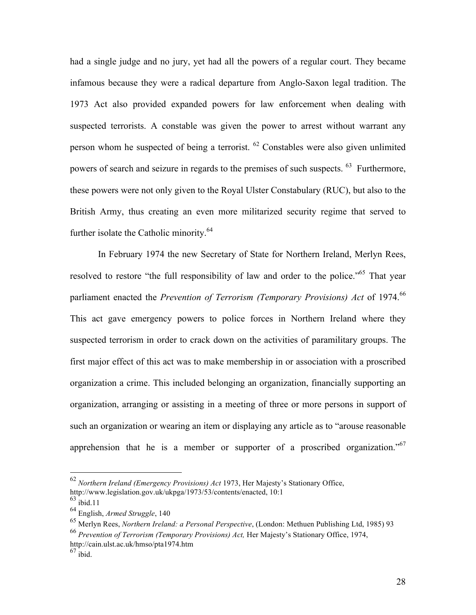had a single judge and no jury, yet had all the powers of a regular court. They became infamous because they were a radical departure from Anglo-Saxon legal tradition. The 1973 Act also provided expanded powers for law enforcement when dealing with suspected terrorists. A constable was given the power to arrest without warrant any person whom he suspected of being a terrorist.  $^{62}$  Constables were also given unlimited powers of search and seizure in regards to the premises of such suspects. 63 Furthermore, these powers were not only given to the Royal Ulster Constabulary (RUC), but also to the British Army, thus creating an even more militarized security regime that served to further isolate the Catholic minority.<sup>64</sup>

In February 1974 the new Secretary of State for Northern Ireland, Merlyn Rees, resolved to restore "the full responsibility of law and order to the police."<sup>65</sup> That year parliament enacted the *Prevention of Terrorism (Temporary Provisions) Act* of 1974.<sup>66</sup> This act gave emergency powers to police forces in Northern Ireland where they suspected terrorism in order to crack down on the activities of paramilitary groups. The first major effect of this act was to make membership in or association with a proscribed organization a crime. This included belonging an organization, financially supporting an organization, arranging or assisting in a meeting of three or more persons in support of such an organization or wearing an item or displaying any article as to "arouse reasonable apprehension that he is a member or supporter of a proscribed organization."<sup>67</sup>

 <sup>62</sup> *Northern Ireland (Emergency Provisions) Act* 1973, Her Majesty's Stationary Office, http://www.legislation.gov.uk/ukpga/1973/53/contents/enacted, 10:1

 $63$  ibid.11

<sup>64</sup> English, *Armed Struggle*, 140

<sup>65</sup> Merlyn Rees, *Northern Ireland: a Personal Perspective*, (London: Methuen Publishing Ltd, 1985) 93

<sup>66</sup> *Prevention of Terrorism (Temporary Provisions) Act,* Her Majesty's Stationary Office, 1974,

http://cain.ulst.ac.uk/hmso/pta1974.htm

 $67$  ibid.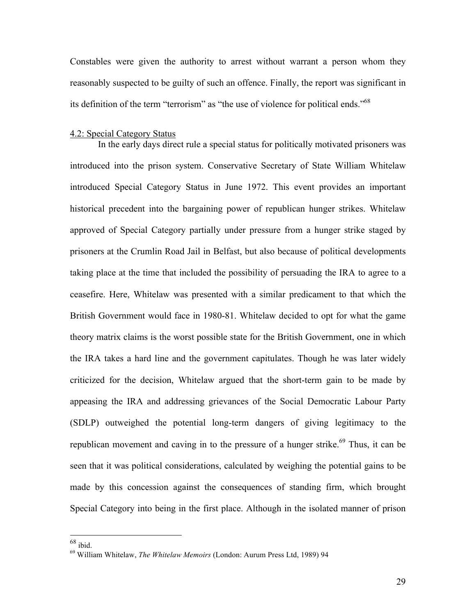Constables were given the authority to arrest without warrant a person whom they reasonably suspected to be guilty of such an offence. Finally, the report was significant in its definition of the term "terrorism" as "the use of violence for political ends."<sup>68</sup>

## 4.2: Special Category Status

In the early days direct rule a special status for politically motivated prisoners was introduced into the prison system. Conservative Secretary of State William Whitelaw introduced Special Category Status in June 1972. This event provides an important historical precedent into the bargaining power of republican hunger strikes. Whitelaw approved of Special Category partially under pressure from a hunger strike staged by prisoners at the Crumlin Road Jail in Belfast, but also because of political developments taking place at the time that included the possibility of persuading the IRA to agree to a ceasefire. Here, Whitelaw was presented with a similar predicament to that which the British Government would face in 1980-81. Whitelaw decided to opt for what the game theory matrix claims is the worst possible state for the British Government, one in which the IRA takes a hard line and the government capitulates. Though he was later widely criticized for the decision, Whitelaw argued that the short-term gain to be made by appeasing the IRA and addressing grievances of the Social Democratic Labour Party (SDLP) outweighed the potential long-term dangers of giving legitimacy to the republican movement and caving in to the pressure of a hunger strike.<sup>69</sup> Thus, it can be seen that it was political considerations, calculated by weighing the potential gains to be made by this concession against the consequences of standing firm, which brought Special Category into being in the first place. Although in the isolated manner of prison

 $68$  ibid.

<sup>69</sup> William Whitelaw, *The Whitelaw Memoirs* (London: Aurum Press Ltd, 1989) 94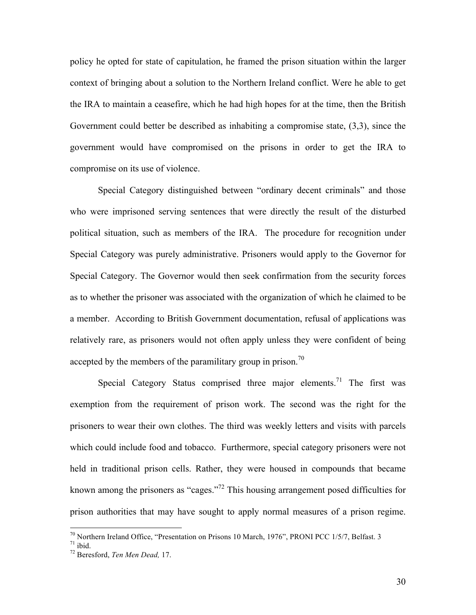policy he opted for state of capitulation, he framed the prison situation within the larger context of bringing about a solution to the Northern Ireland conflict. Were he able to get the IRA to maintain a ceasefire, which he had high hopes for at the time, then the British Government could better be described as inhabiting a compromise state, (3,3), since the government would have compromised on the prisons in order to get the IRA to compromise on its use of violence.

Special Category distinguished between "ordinary decent criminals" and those who were imprisoned serving sentences that were directly the result of the disturbed political situation, such as members of the IRA. The procedure for recognition under Special Category was purely administrative. Prisoners would apply to the Governor for Special Category. The Governor would then seek confirmation from the security forces as to whether the prisoner was associated with the organization of which he claimed to be a member. According to British Government documentation, refusal of applications was relatively rare, as prisoners would not often apply unless they were confident of being accepted by the members of the paramilitary group in prison.<sup>70</sup>

Special Category Status comprised three major elements.<sup>71</sup> The first was exemption from the requirement of prison work. The second was the right for the prisoners to wear their own clothes. The third was weekly letters and visits with parcels which could include food and tobacco. Furthermore, special category prisoners were not held in traditional prison cells. Rather, they were housed in compounds that became known among the prisoners as "cages."72 This housing arrangement posed difficulties for prison authorities that may have sought to apply normal measures of a prison regime.

<sup>&</sup>lt;sup>70</sup> Northern Ireland Office, "Presentation on Prisons 10 March, 1976", PRONI PCC 1/5/7, Belfast. 3<sup>71</sup> ibid.

<sup>72</sup> Beresford, *Ten Men Dead,* 17.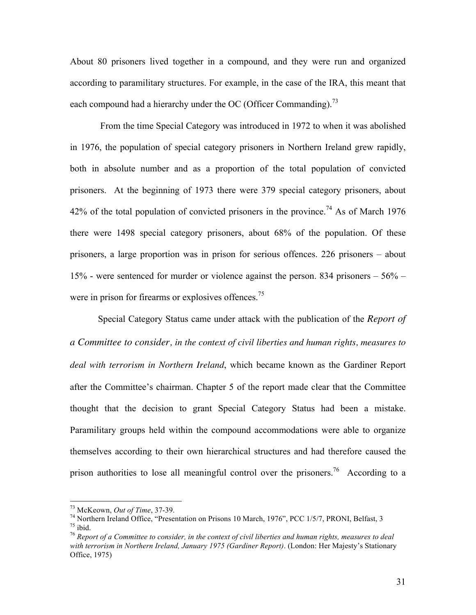About 80 prisoners lived together in a compound, and they were run and organized according to paramilitary structures. For example, in the case of the IRA, this meant that each compound had a hierarchy under the OC (Officer Commanding).<sup>73</sup>

 From the time Special Category was introduced in 1972 to when it was abolished in 1976, the population of special category prisoners in Northern Ireland grew rapidly, both in absolute number and as a proportion of the total population of convicted prisoners. At the beginning of 1973 there were 379 special category prisoners, about 42% of the total population of convicted prisoners in the province.<sup>74</sup> As of March 1976 there were 1498 special category prisoners, about 68% of the population. Of these prisoners, a large proportion was in prison for serious offences. 226 prisoners – about 15% - were sentenced for murder or violence against the person. 834 prisoners – 56% – were in prison for firearms or explosives offences.<sup>75</sup>

Special Category Status came under attack with the publication of the *Report of a Committee to consider, in the context of civil liberties and human rights, measures to deal with terrorism in Northern Ireland*, which became known as the Gardiner Report after the Committee's chairman. Chapter 5 of the report made clear that the Committee thought that the decision to grant Special Category Status had been a mistake. Paramilitary groups held within the compound accommodations were able to organize themselves according to their own hierarchical structures and had therefore caused the prison authorities to lose all meaningful control over the prisoners.<sup>76</sup> According to a

<sup>&</sup>lt;sup>73</sup> McKeown, *Out of Time*, 37-39.<br><sup>74</sup> Northern Ireland Office, "Presentation on Prisons 10 March, 1976", PCC 1/5/7, PRONI, Belfast, 3<br><sup>75</sup> ihid

<sup>&</sup>lt;sup>76</sup> Report of a Committee to consider, in the context of civil liberties and human rights, measures to deal *with terrorism in Northern Ireland, January 1975 (Gardiner Report)*. (London: Her Majesty's Stationary Office, 1975)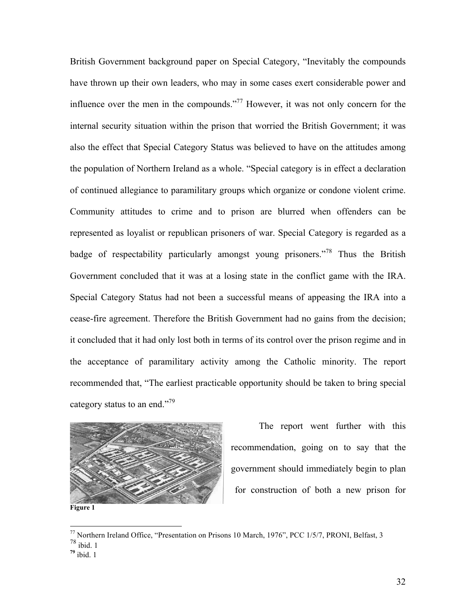British Government background paper on Special Category, "Inevitably the compounds have thrown up their own leaders, who may in some cases exert considerable power and influence over the men in the compounds."77 However, it was not only concern for the internal security situation within the prison that worried the British Government; it was also the effect that Special Category Status was believed to have on the attitudes among the population of Northern Ireland as a whole. "Special category is in effect a declaration of continued allegiance to paramilitary groups which organize or condone violent crime. Community attitudes to crime and to prison are blurred when offenders can be represented as loyalist or republican prisoners of war. Special Category is regarded as a badge of respectability particularly amongst young prisoners.<sup>778</sup> Thus the British Government concluded that it was at a losing state in the conflict game with the IRA. Special Category Status had not been a successful means of appeasing the IRA into a cease-fire agreement. Therefore the British Government had no gains from the decision; it concluded that it had only lost both in terms of its control over the prison regime and in the acceptance of paramilitary activity among the Catholic minority. The report recommended that, "The earliest practicable opportunity should be taken to bring special category status to an end."79



The report went further with this recommendation, going on to say that the government should immediately begin to plan for construction of both a new prison for

 <sup>77</sup> Northern Ireland Office, "Presentation on Prisons 10 March, 1976", PCC 1/5/7, PRONI, Belfast, 3

<sup>78</sup> ibid. 1

**<sup>79</sup>** ibid. 1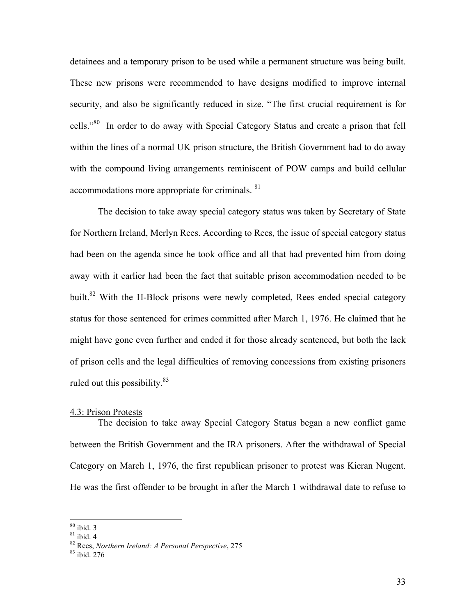detainees and a temporary prison to be used while a permanent structure was being built. These new prisons were recommended to have designs modified to improve internal security, and also be significantly reduced in size. "The first crucial requirement is for cells."80 In order to do away with Special Category Status and create a prison that fell within the lines of a normal UK prison structure, the British Government had to do away with the compound living arrangements reminiscent of POW camps and build cellular accommodations more appropriate for criminals. <sup>81</sup>

The decision to take away special category status was taken by Secretary of State for Northern Ireland, Merlyn Rees. According to Rees, the issue of special category status had been on the agenda since he took office and all that had prevented him from doing away with it earlier had been the fact that suitable prison accommodation needed to be built.<sup>82</sup> With the H-Block prisons were newly completed, Rees ended special category status for those sentenced for crimes committed after March 1, 1976. He claimed that he might have gone even further and ended it for those already sentenced, but both the lack of prison cells and the legal difficulties of removing concessions from existing prisoners ruled out this possibility.<sup>83</sup>

#### 4.3: Prison Protests

The decision to take away Special Category Status began a new conflict game between the British Government and the IRA prisoners. After the withdrawal of Special Category on March 1, 1976, the first republican prisoner to protest was Kieran Nugent. He was the first offender to be brought in after the March 1 withdrawal date to refuse to

 <sup>80</sup> ibid. 3 81 ibid. 4 82 Rees, *Northern Ireland: A Personal Perspective*, 275 83 ibid. 276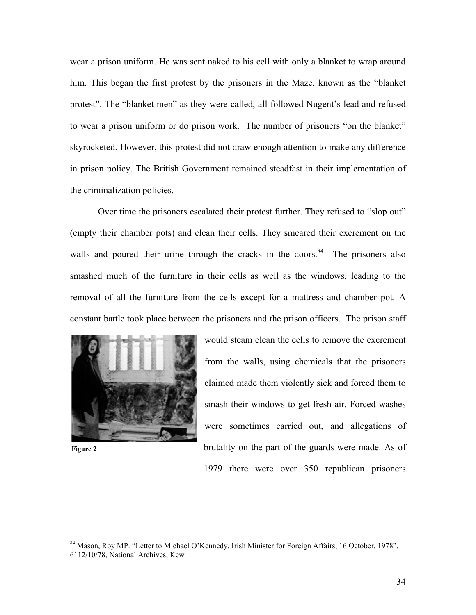wear a prison uniform. He was sent naked to his cell with only a blanket to wrap around him. This began the first protest by the prisoners in the Maze, known as the "blanket protest". The "blanket men" as they were called, all followed Nugent's lead and refused to wear a prison uniform or do prison work. The number of prisoners "on the blanket" skyrocketed. However, this protest did not draw enough attention to make any difference in prison policy. The British Government remained steadfast in their implementation of the criminalization policies.

Over time the prisoners escalated their protest further. They refused to "slop out" (empty their chamber pots) and clean their cells. They smeared their excrement on the walls and poured their urine through the cracks in the doors. $84$  The prisoners also smashed much of the furniture in their cells as well as the windows, leading to the removal of all the furniture from the cells except for a mattress and chamber pot. A constant battle took place between the prisoners and the prison officers. The prison staff



**Figure 2**

would steam clean the cells to remove the excrement from the walls, using chemicals that the prisoners claimed made them violently sick and forced them to smash their windows to get fresh air. Forced washes were sometimes carried out, and allegations of brutality on the part of the guards were made. As of 1979 there were over 350 republican prisoners

 <sup>84</sup> Mason, Roy MP. "Letter to Michael O'Kennedy, Irish Minister for Foreign Affairs, 16 October, 1978", 6112/10/78, National Archives, Kew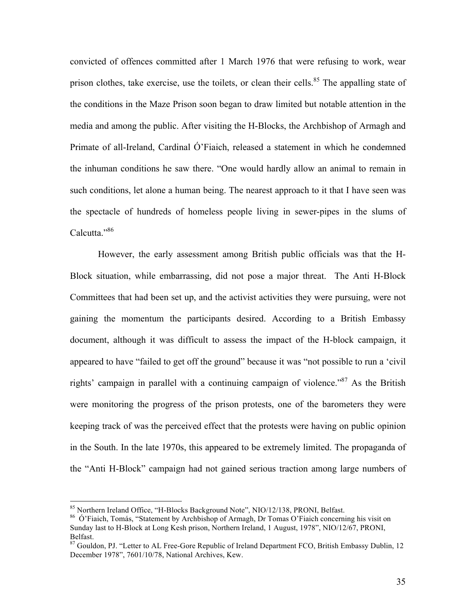convicted of offences committed after 1 March 1976 that were refusing to work, wear prison clothes, take exercise, use the toilets, or clean their cells.<sup>85</sup> The appalling state of the conditions in the Maze Prison soon began to draw limited but notable attention in the media and among the public. After visiting the H-Blocks, the Archbishop of Armagh and Primate of all-Ireland, Cardinal Ó'Fiaich, released a statement in which he condemned the inhuman conditions he saw there. "One would hardly allow an animal to remain in such conditions, let alone a human being. The nearest approach to it that I have seen was the spectacle of hundreds of homeless people living in sewer-pipes in the slums of Calcutta."<sup>86</sup>

However, the early assessment among British public officials was that the H-Block situation, while embarrassing, did not pose a major threat. The Anti H-Block Committees that had been set up, and the activist activities they were pursuing, were not gaining the momentum the participants desired. According to a British Embassy document, although it was difficult to assess the impact of the H-block campaign, it appeared to have "failed to get off the ground" because it was "not possible to run a 'civil rights' campaign in parallel with a continuing campaign of violence."<sup>87</sup> As the British were monitoring the progress of the prison protests, one of the barometers they were keeping track of was the perceived effect that the protests were having on public opinion in the South. In the late 1970s, this appeared to be extremely limited. The propaganda of the "Anti H-Block" campaign had not gained serious traction among large numbers of

<sup>&</sup>lt;sup>85</sup> Northern Ireland Office, "H-Blocks Background Note", NIO/12/138, PRONI, Belfast.<br><sup>86</sup> Ó'Fiaich, Tomás, "Statement by Archbishop of Armagh, Dr Tomas O'Fiaich concerning his visit on Sunday last to H-Block at Long Kesh prison, Northern Ireland, 1 August, 1978", NIO/12/67, PRONI,

Belfast.<br><sup>87</sup> Gouldon, PJ. "Letter to AL Free-Gore Republic of Ireland Department FCO, British Embassy Dublin, 12 December 1978", 7601/10/78, National Archives, Kew.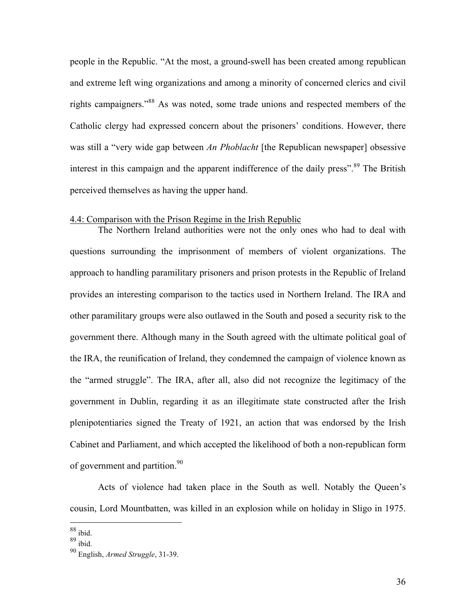people in the Republic. "At the most, a ground-swell has been created among republican and extreme left wing organizations and among a minority of concerned clerics and civil rights campaigners."88 As was noted, some trade unions and respected members of the Catholic clergy had expressed concern about the prisoners' conditions. However, there was still a "very wide gap between *An Phoblacht* [the Republican newspaper] obsessive interest in this campaign and the apparent indifference of the daily press".<sup>89</sup> The British perceived themselves as having the upper hand.

# 4.4: Comparison with the Prison Regime in the Irish Republic

The Northern Ireland authorities were not the only ones who had to deal with questions surrounding the imprisonment of members of violent organizations. The approach to handling paramilitary prisoners and prison protests in the Republic of Ireland provides an interesting comparison to the tactics used in Northern Ireland. The IRA and other paramilitary groups were also outlawed in the South and posed a security risk to the government there. Although many in the South agreed with the ultimate political goal of the IRA, the reunification of Ireland, they condemned the campaign of violence known as the "armed struggle". The IRA, after all, also did not recognize the legitimacy of the government in Dublin, regarding it as an illegitimate state constructed after the Irish plenipotentiaries signed the Treaty of 1921, an action that was endorsed by the Irish Cabinet and Parliament, and which accepted the likelihood of both a non-republican form of government and partition.<sup>90</sup>

Acts of violence had taken place in the South as well. Notably the Queen's cousin, Lord Mountbatten, was killed in an explosion while on holiday in Sligo in 1975.

 $88$  ibid.

 $89 \overline{\text{ibid}}$ .

<sup>90</sup> English, *Armed Struggle*, 31-39.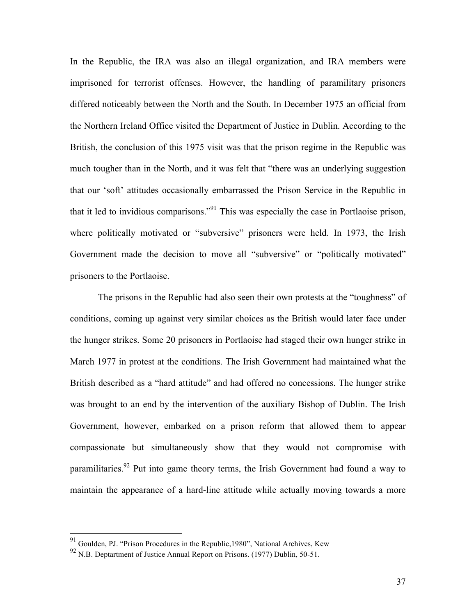In the Republic, the IRA was also an illegal organization, and IRA members were imprisoned for terrorist offenses. However, the handling of paramilitary prisoners differed noticeably between the North and the South. In December 1975 an official from the Northern Ireland Office visited the Department of Justice in Dublin. According to the British, the conclusion of this 1975 visit was that the prison regime in the Republic was much tougher than in the North, and it was felt that "there was an underlying suggestion that our 'soft' attitudes occasionally embarrassed the Prison Service in the Republic in that it led to invidious comparisons."<sup>91</sup> This was especially the case in Portlaoise prison, where politically motivated or "subversive" prisoners were held. In 1973, the Irish Government made the decision to move all "subversive" or "politically motivated" prisoners to the Portlaoise.

The prisons in the Republic had also seen their own protests at the "toughness" of conditions, coming up against very similar choices as the British would later face under the hunger strikes. Some 20 prisoners in Portlaoise had staged their own hunger strike in March 1977 in protest at the conditions. The Irish Government had maintained what the British described as a "hard attitude" and had offered no concessions. The hunger strike was brought to an end by the intervention of the auxiliary Bishop of Dublin. The Irish Government, however, embarked on a prison reform that allowed them to appear compassionate but simultaneously show that they would not compromise with paramilitaries.<sup>92</sup> Put into game theory terms, the Irish Government had found a way to maintain the appearance of a hard-line attitude while actually moving towards a more

<sup>&</sup>lt;sup>91</sup> Goulden, PJ. "Prison Procedures in the Republic,1980", National Archives, Kew N.B. Deptartment of Justice Annual Report on Prisons. (1977) Dublin, 50-51.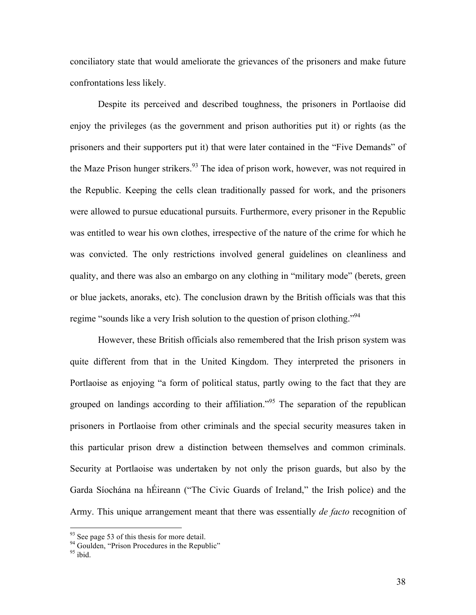conciliatory state that would ameliorate the grievances of the prisoners and make future confrontations less likely.

Despite its perceived and described toughness, the prisoners in Portlaoise did enjoy the privileges (as the government and prison authorities put it) or rights (as the prisoners and their supporters put it) that were later contained in the "Five Demands" of the Maze Prison hunger strikers.<sup>93</sup> The idea of prison work, however, was not required in the Republic. Keeping the cells clean traditionally passed for work, and the prisoners were allowed to pursue educational pursuits. Furthermore, every prisoner in the Republic was entitled to wear his own clothes, irrespective of the nature of the crime for which he was convicted. The only restrictions involved general guidelines on cleanliness and quality, and there was also an embargo on any clothing in "military mode" (berets, green or blue jackets, anoraks, etc). The conclusion drawn by the British officials was that this regime "sounds like a very Irish solution to the question of prison clothing."<sup>94</sup>

However, these British officials also remembered that the Irish prison system was quite different from that in the United Kingdom. They interpreted the prisoners in Portlaoise as enjoying "a form of political status, partly owing to the fact that they are grouped on landings according to their affiliation.<sup>995</sup> The separation of the republican prisoners in Portlaoise from other criminals and the special security measures taken in this particular prison drew a distinction between themselves and common criminals. Security at Portlaoise was undertaken by not only the prison guards, but also by the Garda Síochána na hÉireann ("The Civic Guards of Ireland," the Irish police) and the Army. This unique arrangement meant that there was essentially *de facto* recognition of

 $93$  See page 53 of this thesis for more detail.

 $^{94}$  Goulden, "Prison Procedures in the Republic"<br> $^{95}$  ibid.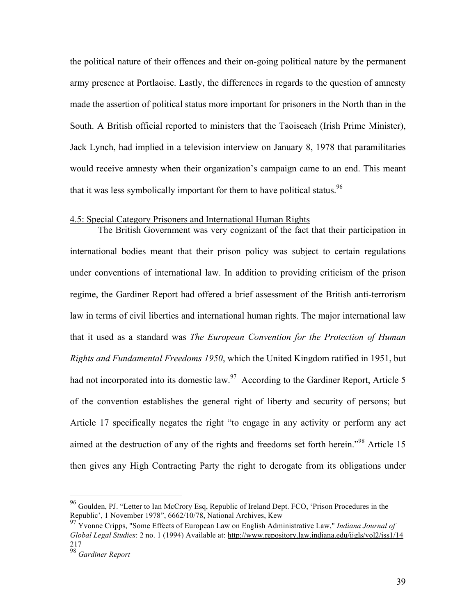the political nature of their offences and their on-going political nature by the permanent army presence at Portlaoise. Lastly, the differences in regards to the question of amnesty made the assertion of political status more important for prisoners in the North than in the South. A British official reported to ministers that the Taoiseach (Irish Prime Minister), Jack Lynch, had implied in a television interview on January 8, 1978 that paramilitaries would receive amnesty when their organization's campaign came to an end. This meant that it was less symbolically important for them to have political status.<sup>96</sup>

### 4.5: Special Category Prisoners and International Human Rights

The British Government was very cognizant of the fact that their participation in international bodies meant that their prison policy was subject to certain regulations under conventions of international law. In addition to providing criticism of the prison regime, the Gardiner Report had offered a brief assessment of the British anti-terrorism law in terms of civil liberties and international human rights. The major international law that it used as a standard was *The European Convention for the Protection of Human Rights and Fundamental Freedoms 1950*, which the United Kingdom ratified in 1951, but had not incorporated into its domestic law.<sup>97</sup> According to the Gardiner Report, Article 5 of the convention establishes the general right of liberty and security of persons; but Article 17 specifically negates the right "to engage in any activity or perform any act aimed at the destruction of any of the rights and freedoms set forth herein.<sup>"98</sup> Article 15 then gives any High Contracting Party the right to derogate from its obligations under

 <sup>96</sup> Goulden, PJ. "Letter to Ian McCrory Esq, Republic of Ireland Dept. FCO, 'Prison Procedures in the Republic', 1 November 1978", 6662/10/78, National Archives, Kew

<sup>97</sup> Yvonne Cripps, "Some Effects of European Law on English Administrative Law," *Indiana Journal of Global Legal Studies*: 2 no. 1 (1994) Available at: http://www.repository.law.indiana.edu/ijgls/vol2/iss1/14 217

<sup>98</sup> *Gardiner Report*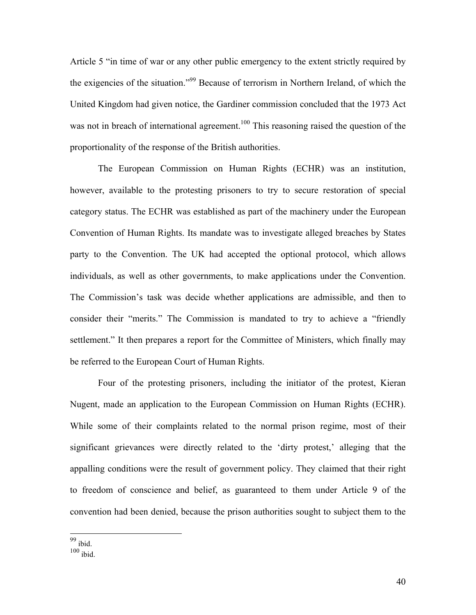Article 5 "in time of war or any other public emergency to the extent strictly required by the exigencies of the situation."99 Because of terrorism in Northern Ireland, of which the United Kingdom had given notice, the Gardiner commission concluded that the 1973 Act was not in breach of international agreement.<sup>100</sup> This reasoning raised the question of the proportionality of the response of the British authorities.

The European Commission on Human Rights (ECHR) was an institution, however, available to the protesting prisoners to try to secure restoration of special category status. The ECHR was established as part of the machinery under the European Convention of Human Rights. Its mandate was to investigate alleged breaches by States party to the Convention. The UK had accepted the optional protocol, which allows individuals, as well as other governments, to make applications under the Convention. The Commission's task was decide whether applications are admissible, and then to consider their "merits." The Commission is mandated to try to achieve a "friendly settlement." It then prepares a report for the Committee of Ministers, which finally may be referred to the European Court of Human Rights.

Four of the protesting prisoners, including the initiator of the protest, Kieran Nugent, made an application to the European Commission on Human Rights (ECHR). While some of their complaints related to the normal prison regime, most of their significant grievances were directly related to the 'dirty protest,' alleging that the appalling conditions were the result of government policy. They claimed that their right to freedom of conscience and belief, as guaranteed to them under Article 9 of the convention had been denied, because the prison authorities sought to subject them to the

99 ibid.

 $100$  ibid.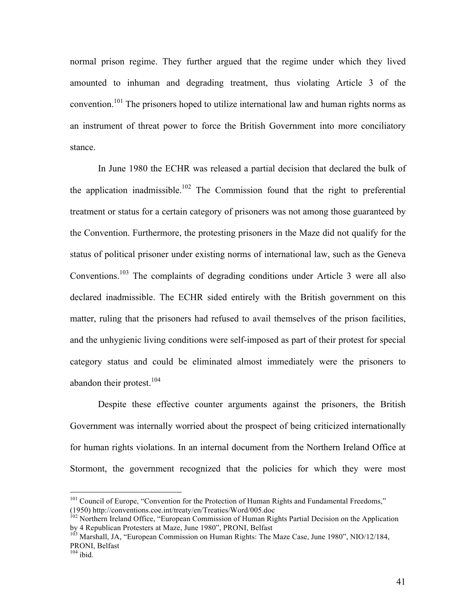normal prison regime. They further argued that the regime under which they lived amounted to inhuman and degrading treatment, thus violating Article 3 of the convention.<sup>101</sup> The prisoners hoped to utilize international law and human rights norms as an instrument of threat power to force the British Government into more conciliatory stance.

In June 1980 the ECHR was released a partial decision that declared the bulk of the application inadmissible.<sup>102</sup> The Commission found that the right to preferential treatment or status for a certain category of prisoners was not among those guaranteed by the Convention. Furthermore, the protesting prisoners in the Maze did not qualify for the status of political prisoner under existing norms of international law, such as the Geneva Conventions.103 The complaints of degrading conditions under Article 3 were all also declared inadmissible. The ECHR sided entirely with the British government on this matter, ruling that the prisoners had refused to avail themselves of the prison facilities, and the unhygienic living conditions were self-imposed as part of their protest for special category status and could be eliminated almost immediately were the prisoners to abandon their protest. $104$ 

Despite these effective counter arguments against the prisoners, the British Government was internally worried about the prospect of being criticized internationally for human rights violations. In an internal document from the Northern Ireland Office at Stormont, the government recognized that the policies for which they were most

<sup>&</sup>lt;sup>101</sup> Council of Europe, "Convention for the Protection of Human Rights and Fundamental Freedoms," (1950) http://conventions.coe.int/treaty/en/Treaties/Word/005.doc

<sup>&</sup>lt;sup>102</sup> Northern Ireland Office, "European Commission of Human Rights Partial Decision on the Application by 4 Republican Protesters at Maze, June 1980", PRONI, Belfast

 $\frac{103}{103}$  Marshall, JA, "European Commission on Human Rights: The Maze Case, June 1980", NIO/12/184, PRONI, Belfast  $104$  ibid.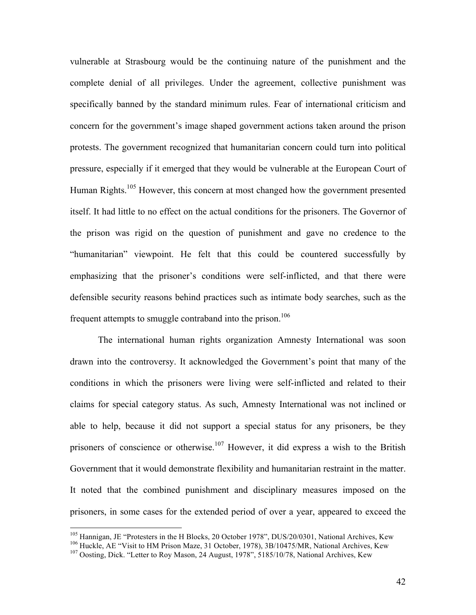vulnerable at Strasbourg would be the continuing nature of the punishment and the complete denial of all privileges. Under the agreement, collective punishment was specifically banned by the standard minimum rules. Fear of international criticism and concern for the government's image shaped government actions taken around the prison protests. The government recognized that humanitarian concern could turn into political pressure, especially if it emerged that they would be vulnerable at the European Court of Human Rights.<sup>105</sup> However, this concern at most changed how the government presented itself. It had little to no effect on the actual conditions for the prisoners. The Governor of the prison was rigid on the question of punishment and gave no credence to the "humanitarian" viewpoint. He felt that this could be countered successfully by emphasizing that the prisoner's conditions were self-inflicted, and that there were defensible security reasons behind practices such as intimate body searches, such as the frequent attempts to smuggle contraband into the prison.<sup>106</sup>

The international human rights organization Amnesty International was soon drawn into the controversy. It acknowledged the Government's point that many of the conditions in which the prisoners were living were self-inflicted and related to their claims for special category status. As such, Amnesty International was not inclined or able to help, because it did not support a special status for any prisoners, be they prisoners of conscience or otherwise.<sup>107</sup> However, it did express a wish to the British Government that it would demonstrate flexibility and humanitarian restraint in the matter. It noted that the combined punishment and disciplinary measures imposed on the prisoners, in some cases for the extended period of over a year, appeared to exceed the

<sup>&</sup>lt;sup>105</sup> Hannigan, JE "Protesters in the H Blocks, 20 October 1978", DUS/20/0301, National Archives, Kew <sup>106</sup> Huckle, AE "Visit to HM Prison Maze, 31 October, 1978), 3B/10475/MR, National Archives, Kew <sup>107</sup> Oosting, Dick.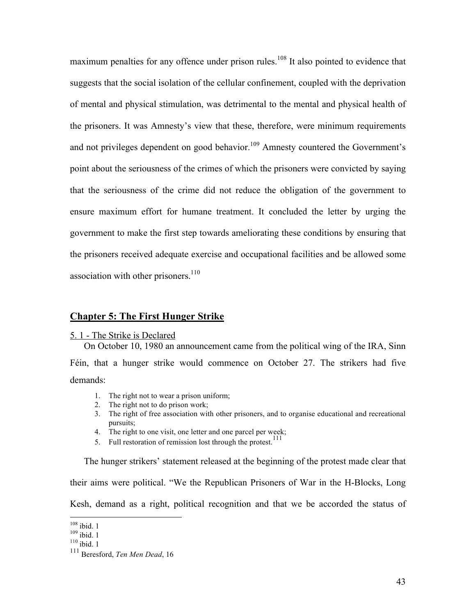maximum penalties for any offence under prison rules.<sup>108</sup> It also pointed to evidence that suggests that the social isolation of the cellular confinement, coupled with the deprivation of mental and physical stimulation, was detrimental to the mental and physical health of the prisoners. It was Amnesty's view that these, therefore, were minimum requirements and not privileges dependent on good behavior.<sup>109</sup> Amnesty countered the Government's point about the seriousness of the crimes of which the prisoners were convicted by saying that the seriousness of the crime did not reduce the obligation of the government to ensure maximum effort for humane treatment. It concluded the letter by urging the government to make the first step towards ameliorating these conditions by ensuring that the prisoners received adequate exercise and occupational facilities and be allowed some association with other prisoners. $110$ 

# **Chapter 5: The First Hunger Strike**

#### 5. 1 - The Strike is Declared

On October 10, 1980 an announcement came from the political wing of the IRA, Sinn Féin, that a hunger strike would commence on October 27. The strikers had five demands:

- 1. The right not to wear a prison uniform;
- 2. The right not to do prison work;
- 3. The right of free association with other prisoners, and to organise educational and recreational pursuits;
- 4. The right to one visit, one letter and one parcel per week;
- 5. Full restoration of remission lost through the protest.<sup>111</sup>

The hunger strikers' statement released at the beginning of the protest made clear that their aims were political. "We the Republican Prisoners of War in the H-Blocks, Long Kesh, demand as a right, political recognition and that we be accorded the status of

 $\frac{^{108}}{^{109}}$  ibid. 1<br> $\frac{^{110}}{^{110}}$  ibid. 1

<sup>111</sup> Beresford, *Ten Men Dead*, 16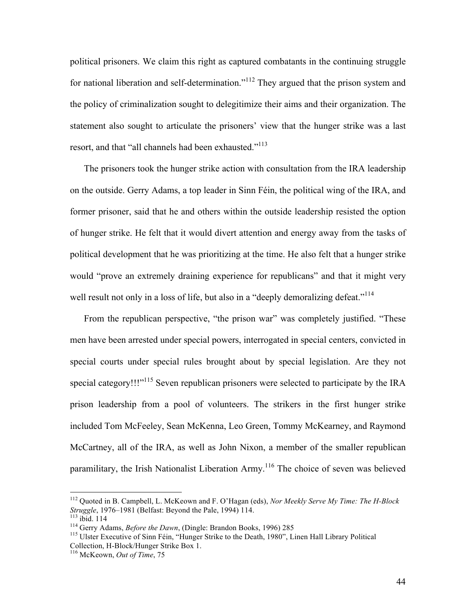political prisoners. We claim this right as captured combatants in the continuing struggle for national liberation and self-determination."<sup>112</sup> They argued that the prison system and the policy of criminalization sought to delegitimize their aims and their organization. The statement also sought to articulate the prisoners' view that the hunger strike was a last resort, and that "all channels had been exhausted."<sup>113</sup>

The prisoners took the hunger strike action with consultation from the IRA leadership on the outside. Gerry Adams, a top leader in Sinn Féin, the political wing of the IRA, and former prisoner, said that he and others within the outside leadership resisted the option of hunger strike. He felt that it would divert attention and energy away from the tasks of political development that he was prioritizing at the time. He also felt that a hunger strike would "prove an extremely draining experience for republicans" and that it might very well result not only in a loss of life, but also in a "deeply demoralizing defeat."<sup>114</sup>

From the republican perspective, "the prison war" was completely justified. "These men have been arrested under special powers, interrogated in special centers, convicted in special courts under special rules brought about by special legislation. Are they not special category!!!"<sup>115</sup> Seven republican prisoners were selected to participate by the IRA prison leadership from a pool of volunteers. The strikers in the first hunger strike included Tom McFeeley, Sean McKenna, Leo Green, Tommy McKearney, and Raymond McCartney, all of the IRA, as well as John Nixon, a member of the smaller republican paramilitary, the Irish Nationalist Liberation Army.<sup>116</sup> The choice of seven was believed

<sup>&</sup>lt;sup>112</sup> Quoted in B. Campbell, L. McKeown and F. O'Hagan (eds), *Nor Meekly Serve My Time: The H-Block Struggle*, 1976–1981 (Belfast: Beyond the Pale, 1994) 114.

<sup>&</sup>lt;sup>113</sup> ibid. 114<br><sup>114</sup> Gerry Adams, *Before the Dawn*, (Dingle: Brandon Books, 1996) 285<br><sup>115</sup> Ulster Executive of Sinn Féin, "Hunger Strike to the Death, 1980", Linen Hall Library Political Collection, H-Block/Hunger Strike Box 1. 116 McKeown, *Out of Time*, 75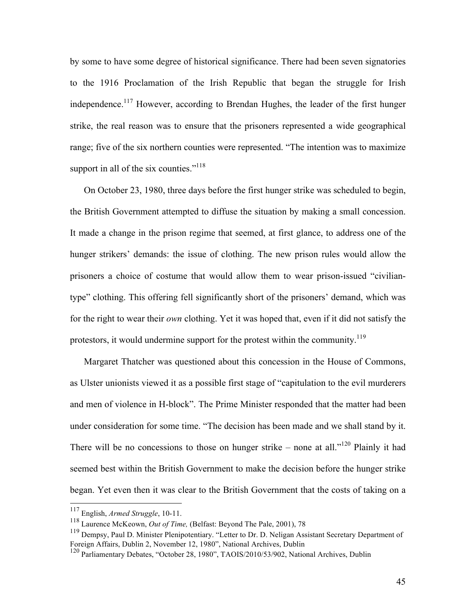by some to have some degree of historical significance. There had been seven signatories to the 1916 Proclamation of the Irish Republic that began the struggle for Irish independence.117 However, according to Brendan Hughes, the leader of the first hunger strike, the real reason was to ensure that the prisoners represented a wide geographical range; five of the six northern counties were represented. "The intention was to maximize support in all of the six counties."<sup>118</sup>

On October 23, 1980, three days before the first hunger strike was scheduled to begin, the British Government attempted to diffuse the situation by making a small concession. It made a change in the prison regime that seemed, at first glance, to address one of the hunger strikers' demands: the issue of clothing. The new prison rules would allow the prisoners a choice of costume that would allow them to wear prison-issued "civiliantype" clothing. This offering fell significantly short of the prisoners' demand, which was for the right to wear their *own* clothing. Yet it was hoped that, even if it did not satisfy the protestors, it would undermine support for the protest within the community.<sup>119</sup>

Margaret Thatcher was questioned about this concession in the House of Commons, as Ulster unionists viewed it as a possible first stage of "capitulation to the evil murderers and men of violence in H-block". The Prime Minister responded that the matter had been under consideration for some time. "The decision has been made and we shall stand by it. There will be no concessions to those on hunger strike – none at all."<sup>120</sup> Plainly it had seemed best within the British Government to make the decision before the hunger strike began. Yet even then it was clear to the British Government that the costs of taking on a

 <sup>117</sup> English, *Armed Struggle*, 10-11.

<sup>118</sup> Laurence McKeown, *Out of Time,* (Belfast: Beyond The Pale, 2001), 78

<sup>&</sup>lt;sup>119</sup> Dempsy, Paul D. Minister Plenipotentiary. "Letter to Dr. D. Neligan Assistant Secretary Department of Foreign Affairs, Dublin 2, November 12, 1980", National Archives, Dublin

<sup>120</sup> Parliamentary Debates, "October 28, 1980", TAOIS/2010/53/902, National Archives, Dublin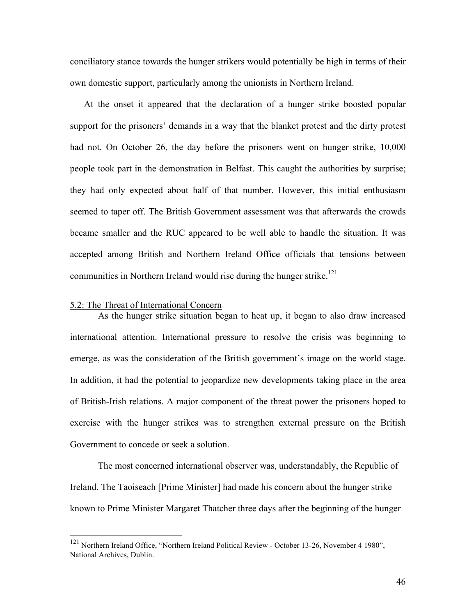conciliatory stance towards the hunger strikers would potentially be high in terms of their own domestic support, particularly among the unionists in Northern Ireland.

At the onset it appeared that the declaration of a hunger strike boosted popular support for the prisoners' demands in a way that the blanket protest and the dirty protest had not. On October 26, the day before the prisoners went on hunger strike, 10,000 people took part in the demonstration in Belfast. This caught the authorities by surprise; they had only expected about half of that number. However, this initial enthusiasm seemed to taper off. The British Government assessment was that afterwards the crowds became smaller and the RUC appeared to be well able to handle the situation. It was accepted among British and Northern Ireland Office officials that tensions between communities in Northern Ireland would rise during the hunger strike.<sup>121</sup>

#### 5.2: The Threat of International Concern

As the hunger strike situation began to heat up, it began to also draw increased international attention. International pressure to resolve the crisis was beginning to emerge, as was the consideration of the British government's image on the world stage. In addition, it had the potential to jeopardize new developments taking place in the area of British-Irish relations. A major component of the threat power the prisoners hoped to exercise with the hunger strikes was to strengthen external pressure on the British Government to concede or seek a solution.

The most concerned international observer was, understandably, the Republic of Ireland. The Taoiseach [Prime Minister] had made his concern about the hunger strike known to Prime Minister Margaret Thatcher three days after the beginning of the hunger

<sup>&</sup>lt;sup>121</sup> Northern Ireland Office, "Northern Ireland Political Review - October 13-26, November 4 1980", National Archives, Dublin.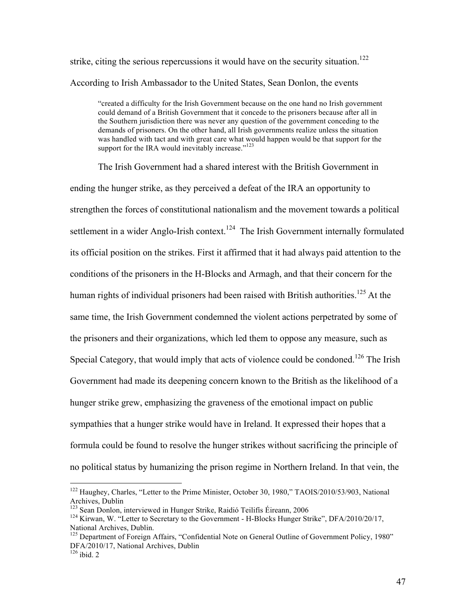strike, citing the serious repercussions it would have on the security situation.<sup>122</sup> According to Irish Ambassador to the United States, Sean Donlon, the events

"created a difficulty for the Irish Government because on the one hand no Irish government could demand of a British Government that it concede to the prisoners because after all in the Southern jurisdiction there was never any question of the government conceding to the demands of prisoners. On the other hand, all Irish governments realize unless the situation was handled with tact and with great care what would happen would be that support for the support for the IRA would inevitably increase."<sup>123</sup>

The Irish Government had a shared interest with the British Government in ending the hunger strike, as they perceived a defeat of the IRA an opportunity to strengthen the forces of constitutional nationalism and the movement towards a political settlement in a wider Anglo-Irish context.<sup>124</sup> The Irish Government internally formulated its official position on the strikes. First it affirmed that it had always paid attention to the conditions of the prisoners in the H-Blocks and Armagh, and that their concern for the human rights of individual prisoners had been raised with British authorities.<sup>125</sup> At the same time, the Irish Government condemned the violent actions perpetrated by some of the prisoners and their organizations, which led them to oppose any measure, such as Special Category, that would imply that acts of violence could be condoned.<sup>126</sup> The Irish Government had made its deepening concern known to the British as the likelihood of a hunger strike grew, emphasizing the graveness of the emotional impact on public sympathies that a hunger strike would have in Ireland. It expressed their hopes that a formula could be found to resolve the hunger strikes without sacrificing the principle of no political status by humanizing the prison regime in Northern Ireland. In that vein, the

<sup>&</sup>lt;sup>122</sup> Haughey, Charles, "Letter to the Prime Minister, October 30, 1980," TAOIS/2010/53/903, National Archives, Dublin<br><sup>123</sup> Sean Donlon, interviewed in Hunger Strike, Raidió Teilifís Éireann, 2006

<sup>&</sup>lt;sup>124</sup> Kirwan, W. "Letter to Secretary to the Government - H-Blocks Hunger Strike", DFA/2010/20/17, National Archives, Dublin.

<sup>&</sup>lt;sup>125</sup> Department of Foreign Affairs, "Confidential Note on General Outline of Government Policy, 1980" DFA/2010/17, National Archives, Dublin 126 ibid. 2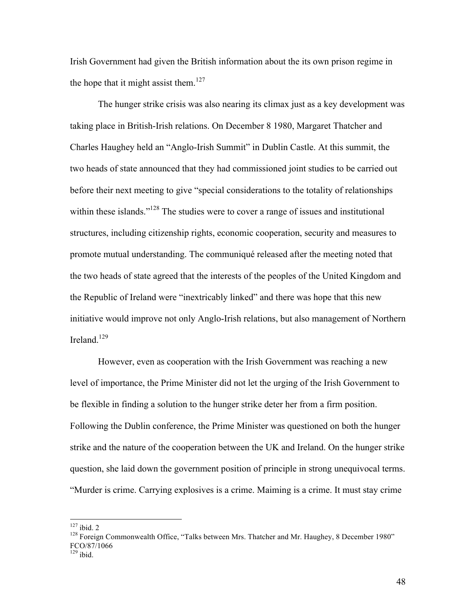Irish Government had given the British information about the its own prison regime in the hope that it might assist them.<sup>127</sup>

The hunger strike crisis was also nearing its climax just as a key development was taking place in British-Irish relations. On December 8 1980, Margaret Thatcher and Charles Haughey held an "Anglo-Irish Summit" in Dublin Castle. At this summit, the two heads of state announced that they had commissioned joint studies to be carried out before their next meeting to give "special considerations to the totality of relationships within these islands."<sup>128</sup> The studies were to cover a range of issues and institutional structures, including citizenship rights, economic cooperation, security and measures to promote mutual understanding. The communiqué released after the meeting noted that the two heads of state agreed that the interests of the peoples of the United Kingdom and the Republic of Ireland were "inextricably linked" and there was hope that this new initiative would improve not only Anglo-Irish relations, but also management of Northern Ireland. $129$ 

However, even as cooperation with the Irish Government was reaching a new level of importance, the Prime Minister did not let the urging of the Irish Government to be flexible in finding a solution to the hunger strike deter her from a firm position. Following the Dublin conference, the Prime Minister was questioned on both the hunger strike and the nature of the cooperation between the UK and Ireland. On the hunger strike question, she laid down the government position of principle in strong unequivocal terms. "Murder is crime. Carrying explosives is a crime. Maiming is a crime. It must stay crime

<sup>&</sup>lt;sup>127</sup> ibid. 2<br><sup>128</sup> Foreign Commonwealth Office, "Talks between Mrs. Thatcher and Mr. Haughey, 8 December 1980" FCO/87/1066  $129$  ibid.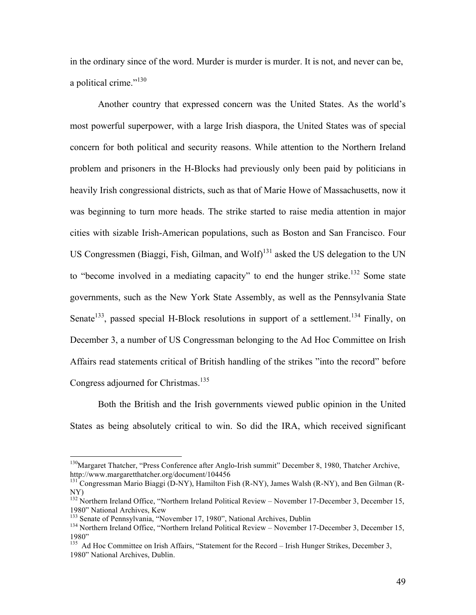in the ordinary since of the word. Murder is murder is murder. It is not, and never can be, a political crime."<sup>130</sup>

Another country that expressed concern was the United States. As the world's most powerful superpower, with a large Irish diaspora, the United States was of special concern for both political and security reasons. While attention to the Northern Ireland problem and prisoners in the H-Blocks had previously only been paid by politicians in heavily Irish congressional districts, such as that of Marie Howe of Massachusetts, now it was beginning to turn more heads. The strike started to raise media attention in major cities with sizable Irish-American populations, such as Boston and San Francisco. Four US Congressmen (Biaggi, Fish, Gilman, and Wolf)<sup>131</sup> asked the US delegation to the UN to "become involved in a mediating capacity" to end the hunger strike.<sup>132</sup> Some state governments, such as the New York State Assembly, as well as the Pennsylvania State Senate<sup>133</sup>, passed special H-Block resolutions in support of a settlement.<sup>134</sup> Finally, on December 3, a number of US Congressman belonging to the Ad Hoc Committee on Irish Affairs read statements critical of British handling of the strikes "into the record" before Congress adjourned for Christmas.<sup>135</sup>

Both the British and the Irish governments viewed public opinion in the United States as being absolutely critical to win. So did the IRA, which received significant

<sup>&</sup>lt;sup>130</sup>Margaret Thatcher, "Press Conference after Anglo-Irish summit" December 8, 1980, Thatcher Archive, http://www.margaretthatcher.org/document/104456

 $h^{131}$  Congressman Mario Biaggi (D-NY), Hamilton Fish (R-NY), James Walsh (R-NY), and Ben Gilman (R-NY)

<sup>&</sup>lt;sup>132</sup> Northern Ireland Office, "Northern Ireland Political Review – November 17-December 3, December 15, 1980" National Archives, Kew<br><sup>133</sup> Senate of Pennsylvania, "November 17, 1980", National Archives, Dublin<br><sup>134</sup> Northern Ireland Office, "Northern Ireland Political Review – November 17-December 3, December 15,

<sup>1980&</sup>quot;

<sup>&</sup>lt;sup>135</sup> Ad Hoc Committee on Irish Affairs, "Statement for the Record – Irish Hunger Strikes, December 3, 1980" National Archives, Dublin.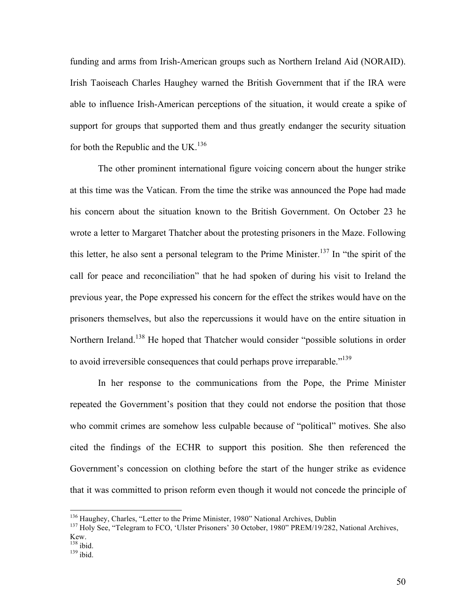funding and arms from Irish-American groups such as Northern Ireland Aid (NORAID). Irish Taoiseach Charles Haughey warned the British Government that if the IRA were able to influence Irish-American perceptions of the situation, it would create a spike of support for groups that supported them and thus greatly endanger the security situation for both the Republic and the UK.<sup>136</sup>

The other prominent international figure voicing concern about the hunger strike at this time was the Vatican. From the time the strike was announced the Pope had made his concern about the situation known to the British Government. On October 23 he wrote a letter to Margaret Thatcher about the protesting prisoners in the Maze. Following this letter, he also sent a personal telegram to the Prime Minister.<sup>137</sup> In "the spirit of the call for peace and reconciliation" that he had spoken of during his visit to Ireland the previous year, the Pope expressed his concern for the effect the strikes would have on the prisoners themselves, but also the repercussions it would have on the entire situation in Northern Ireland.<sup>138</sup> He hoped that Thatcher would consider "possible solutions in order to avoid irreversible consequences that could perhaps prove irreparable."<sup>139</sup>

 In her response to the communications from the Pope, the Prime Minister repeated the Government's position that they could not endorse the position that those who commit crimes are somehow less culpable because of "political" motives. She also cited the findings of the ECHR to support this position. She then referenced the Government's concession on clothing before the start of the hunger strike as evidence that it was committed to prison reform even though it would not concede the principle of

<sup>&</sup>lt;sup>136</sup> Haughey, Charles, "Letter to the Prime Minister, 1980" National Archives, Dublin  $137$  Holy See, "Telegram to FCO, 'Ulster Prisoners' 30 October, 1980" PREM/19/282, National Archives, Kew.

 $\frac{138}{139}$  ibid.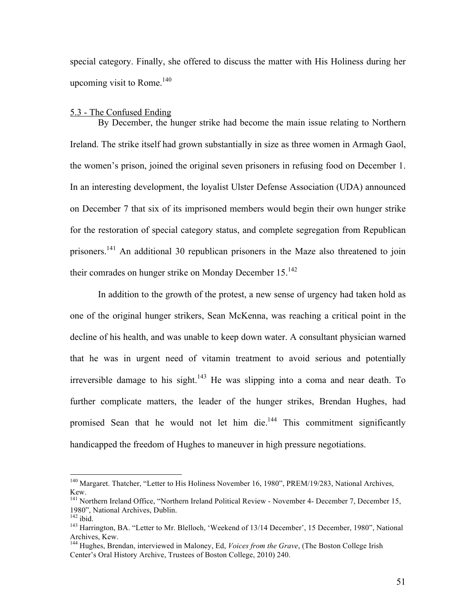special category. Finally, she offered to discuss the matter with His Holiness during her upcoming visit to Rome.<sup>140</sup>

### 5.3 - The Confused Ending

By December, the hunger strike had become the main issue relating to Northern Ireland. The strike itself had grown substantially in size as three women in Armagh Gaol, the women's prison, joined the original seven prisoners in refusing food on December 1. In an interesting development, the loyalist Ulster Defense Association (UDA) announced on December 7 that six of its imprisoned members would begin their own hunger strike for the restoration of special category status, and complete segregation from Republican prisoners.<sup>141</sup> An additional 30 republican prisoners in the Maze also threatened to join their comrades on hunger strike on Monday December  $15^{142}$ 

In addition to the growth of the protest, a new sense of urgency had taken hold as one of the original hunger strikers, Sean McKenna, was reaching a critical point in the decline of his health, and was unable to keep down water. A consultant physician warned that he was in urgent need of vitamin treatment to avoid serious and potentially irreversible damage to his sight.<sup>143</sup> He was slipping into a coma and near death. To further complicate matters, the leader of the hunger strikes, Brendan Hughes, had promised Sean that he would not let him die.<sup>144</sup> This commitment significantly handicapped the freedom of Hughes to maneuver in high pressure negotiations.

<sup>&</sup>lt;sup>140</sup> Margaret. Thatcher, "Letter to His Holiness November 16, 1980", PREM/19/283, National Archives,

Kew.<br><sup>141</sup> Northern Ireland Office, "Northern Ireland Political Review - November 4- December 7, December 15,<br>1980", National Archives, Dublin.

<sup>&</sup>lt;sup>142</sup> ibid. 143 harrington, BA. "Letter to Mr. Blelloch, 'Weekend of 13/14 December', 15 December, 1980", National Archives, Kew.

<sup>144</sup> Hughes, Brendan, interviewed in Maloney, Ed, *Voices from the Grave*, (The Boston College Irish Center's Oral History Archive, Trustees of Boston College, 2010) 240.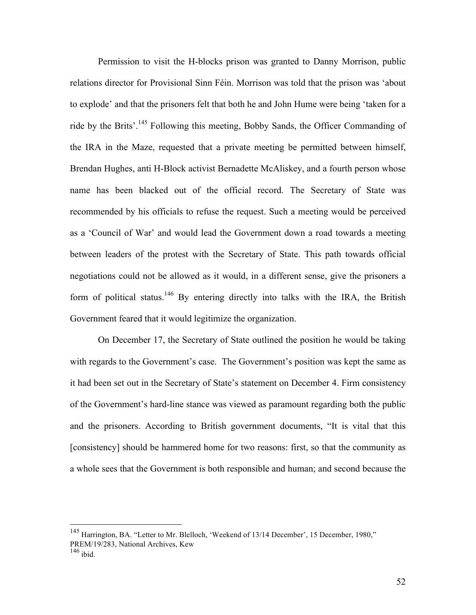Permission to visit the H-blocks prison was granted to Danny Morrison, public relations director for Provisional Sinn Féin. Morrison was told that the prison was 'about to explode' and that the prisoners felt that both he and John Hume were being 'taken for a ride by the Brits'.145 Following this meeting, Bobby Sands, the Officer Commanding of the IRA in the Maze, requested that a private meeting be permitted between himself, Brendan Hughes, anti H-Block activist Bernadette McAliskey, and a fourth person whose name has been blacked out of the official record. The Secretary of State was recommended by his officials to refuse the request. Such a meeting would be perceived as a 'Council of War' and would lead the Government down a road towards a meeting between leaders of the protest with the Secretary of State. This path towards official negotiations could not be allowed as it would, in a different sense, give the prisoners a form of political status.<sup>146</sup> By entering directly into talks with the IRA, the British Government feared that it would legitimize the organization.

On December 17, the Secretary of State outlined the position he would be taking with regards to the Government's case. The Government's position was kept the same as it had been set out in the Secretary of State's statement on December 4. Firm consistency of the Government's hard-line stance was viewed as paramount regarding both the public and the prisoners. According to British government documents, "It is vital that this [consistency] should be hammered home for two reasons: first, so that the community as a whole sees that the Government is both responsible and human; and second because the

<sup>&</sup>lt;sup>145</sup> Harrington, BA. "Letter to Mr. Blelloch, 'Weekend of 13/14 December', 15 December, 1980," PREM/19/283, National Archives, Kew

 $146$  ibid.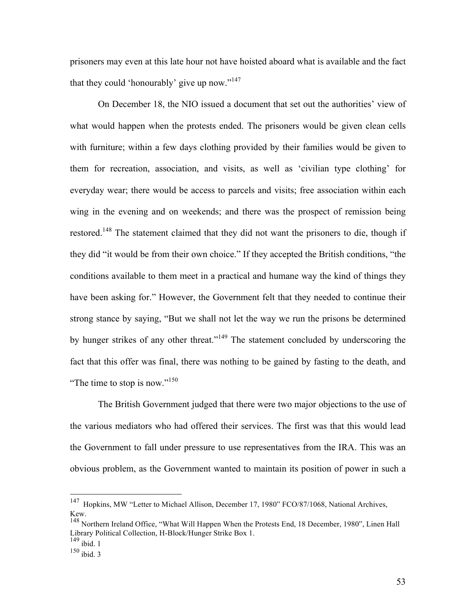prisoners may even at this late hour not have hoisted aboard what is available and the fact that they could 'honourably' give up now."<sup>147</sup>

On December 18, the NIO issued a document that set out the authorities' view of what would happen when the protests ended. The prisoners would be given clean cells with furniture; within a few days clothing provided by their families would be given to them for recreation, association, and visits, as well as 'civilian type clothing' for everyday wear; there would be access to parcels and visits; free association within each wing in the evening and on weekends; and there was the prospect of remission being restored.<sup>148</sup> The statement claimed that they did not want the prisoners to die, though if they did "it would be from their own choice." If they accepted the British conditions, "the conditions available to them meet in a practical and humane way the kind of things they have been asking for." However, the Government felt that they needed to continue their strong stance by saying, "But we shall not let the way we run the prisons be determined by hunger strikes of any other threat."<sup>149</sup> The statement concluded by underscoring the fact that this offer was final, there was nothing to be gained by fasting to the death, and "The time to stop is now."<sup>150</sup>

The British Government judged that there were two major objections to the use of the various mediators who had offered their services. The first was that this would lead the Government to fall under pressure to use representatives from the IRA. This was an obvious problem, as the Government wanted to maintain its position of power in such a

<sup>&</sup>lt;sup>147</sup> Hopkins, MW "Letter to Michael Allison, December 17, 1980" FCO/87/1068, National Archives, Kew.

<sup>&</sup>lt;sup>148</sup> Northern Ireland Office, "What Will Happen When the Protests End, 18 December, 1980", Linen Hall Library Political Collection, H-Block/Hunger Strike Box 1.

 $149$  ibid. 1

 $150$  ibid. 3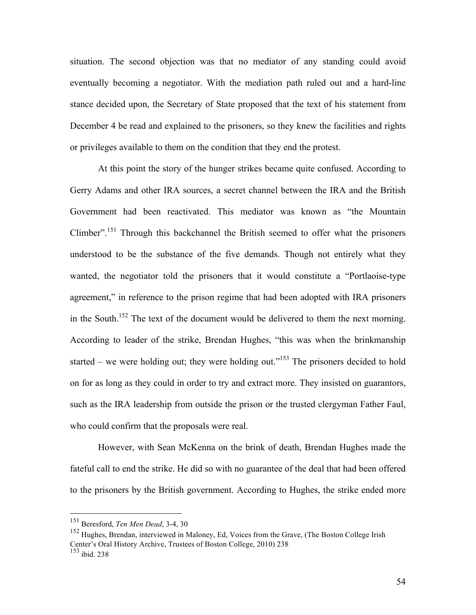situation. The second objection was that no mediator of any standing could avoid eventually becoming a negotiator. With the mediation path ruled out and a hard-line stance decided upon, the Secretary of State proposed that the text of his statement from December 4 be read and explained to the prisoners, so they knew the facilities and rights or privileges available to them on the condition that they end the protest.

At this point the story of the hunger strikes became quite confused. According to Gerry Adams and other IRA sources, a secret channel between the IRA and the British Government had been reactivated. This mediator was known as "the Mountain Climber".151 Through this backchannel the British seemed to offer what the prisoners understood to be the substance of the five demands. Though not entirely what they wanted, the negotiator told the prisoners that it would constitute a "Portlaoise-type agreement," in reference to the prison regime that had been adopted with IRA prisoners in the South.<sup>152</sup> The text of the document would be delivered to them the next morning. According to leader of the strike, Brendan Hughes, "this was when the brinkmanship started – we were holding out; they were holding out."<sup>153</sup> The prisoners decided to hold on for as long as they could in order to try and extract more. They insisted on guarantors, such as the IRA leadership from outside the prison or the trusted clergyman Father Faul, who could confirm that the proposals were real.

However, with Sean McKenna on the brink of death, Brendan Hughes made the fateful call to end the strike. He did so with no guarantee of the deal that had been offered to the prisoners by the British government. According to Hughes, the strike ended more

 <sup>151</sup> Beresford, *Ten Men Dead*, 3-4, 30

<sup>152</sup> Hughes, Brendan, interviewed in Maloney, Ed, Voices from the Grave, (The Boston College Irish Center's Oral History Archive, Trustees of Boston College, 2010) 238

 $153$  ibid. 238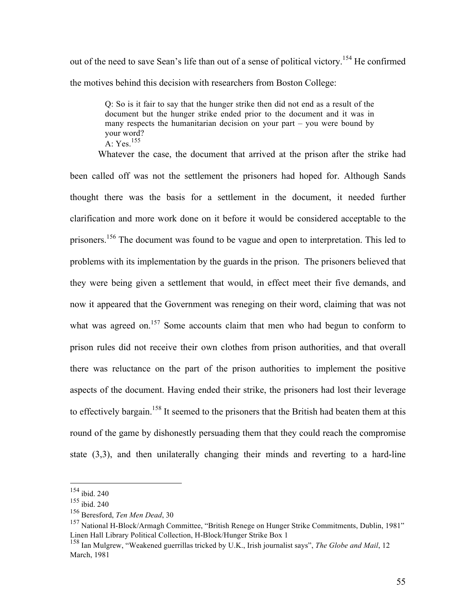out of the need to save Sean's life than out of a sense of political victory.<sup>154</sup> He confirmed the motives behind this decision with researchers from Boston College:

> Q: So is it fair to say that the hunger strike then did not end as a result of the document but the hunger strike ended prior to the document and it was in many respects the humanitarian decision on your part – you were bound by your word?  $A \cdot Yes$ <sup>155</sup>

Whatever the case, the document that arrived at the prison after the strike had been called off was not the settlement the prisoners had hoped for. Although Sands thought there was the basis for a settlement in the document, it needed further clarification and more work done on it before it would be considered acceptable to the prisoners.156 The document was found to be vague and open to interpretation. This led to problems with its implementation by the guards in the prison. The prisoners believed that they were being given a settlement that would, in effect meet their five demands, and now it appeared that the Government was reneging on their word, claiming that was not what was agreed on.<sup>157</sup> Some accounts claim that men who had begun to conform to prison rules did not receive their own clothes from prison authorities, and that overall there was reluctance on the part of the prison authorities to implement the positive aspects of the document. Having ended their strike, the prisoners had lost their leverage to effectively bargain.<sup>158</sup> It seemed to the prisoners that the British had beaten them at this round of the game by dishonestly persuading them that they could reach the compromise state (3,3), and then unilaterally changing their minds and reverting to a hard-line

 <sup>154</sup> ibid. 240

<sup>155</sup> ibid. 240

<sup>156</sup> Beresford, *Ten Men Dead*, 30

<sup>157</sup> National H-Block/Armagh Committee, "British Renege on Hunger Strike Commitments, Dublin, 1981" Linen Hall Library Political Collection, H-Block/Hunger Strike Box 1

<sup>158</sup> Ian Mulgrew, "Weakened guerrillas tricked by U.K., Irish journalist says", *The Globe and Mail*, 12 March, 1981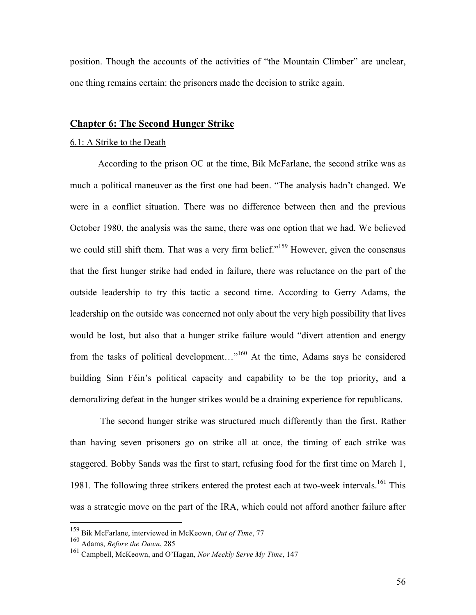position. Though the accounts of the activities of "the Mountain Climber" are unclear, one thing remains certain: the prisoners made the decision to strike again.

# **Chapter 6: The Second Hunger Strike**

#### 6.1: A Strike to the Death

According to the prison OC at the time, Bik McFarlane, the second strike was as much a political maneuver as the first one had been. "The analysis hadn't changed. We were in a conflict situation. There was no difference between then and the previous October 1980, the analysis was the same, there was one option that we had. We believed we could still shift them. That was a very firm belief."<sup>159</sup> However, given the consensus that the first hunger strike had ended in failure, there was reluctance on the part of the outside leadership to try this tactic a second time. According to Gerry Adams, the leadership on the outside was concerned not only about the very high possibility that lives would be lost, but also that a hunger strike failure would "divert attention and energy from the tasks of political development..."<sup>160</sup> At the time, Adams says he considered building Sinn Féin's political capacity and capability to be the top priority, and a demoralizing defeat in the hunger strikes would be a draining experience for republicans.

 The second hunger strike was structured much differently than the first. Rather than having seven prisoners go on strike all at once, the timing of each strike was staggered. Bobby Sands was the first to start, refusing food for the first time on March 1, 1981. The following three strikers entered the protest each at two-week intervals.<sup>161</sup> This was a strategic move on the part of the IRA, which could not afford another failure after

 <sup>159</sup> Bik McFarlane, interviewed in McKeown, *Out of Time*, 77

<sup>&</sup>lt;sup>160</sup> Adams, *Before the Dawn*, 285<sup>161</sup> Campbell, McKeown, and Q<sup>7</sup>

<sup>161</sup> Campbell, McKeown, and O'Hagan, *Nor Meekly Serve My Time*, 147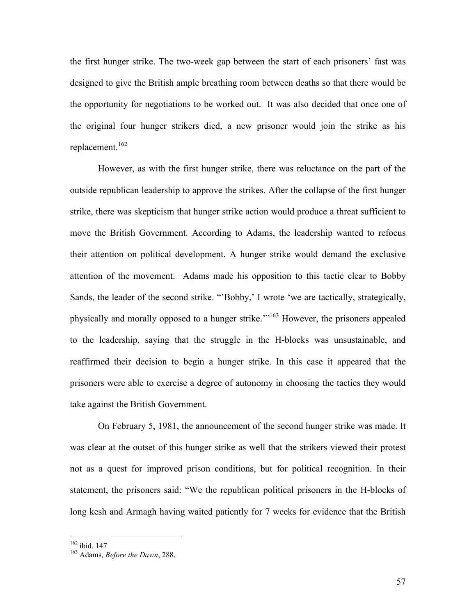the first hunger strike. The two-week gap between the start of each prisoners' fast was designed to give the British ample breathing room between deaths so that there would be the opportunity for negotiations to be worked out. It was also decided that once one of the original four hunger strikers died, a new prisoner would join the strike as his replacement.<sup>162</sup>

However, as with the first hunger strike, there was reluctance on the part of the outside republican leadership to approve the strikes. After the collapse of the first hunger strike, there was skepticism that hunger strike action would produce a threat sufficient to move the British Government. According to Adams, the leadership wanted to refocus their attention on political development. A hunger strike would demand the exclusive attention of the movement. Adams made his opposition to this tactic clear to Bobby Sands, the leader of the second strike. "'Bobby,' I wrote 'we are tactically, strategically, physically and morally opposed to a hunger strike.'"163 However, the prisoners appealed to the leadership, saying that the struggle in the H-blocks was unsustainable, and reaffirmed their decision to begin a hunger strike. In this case it appeared that the prisoners were able to exercise a degree of autonomy in choosing the tactics they would take against the British Government.

On February 5, 1981, the announcement of the second hunger strike was made. It was clear at the outset of this hunger strike as well that the strikers viewed their protest not as a quest for improved prison conditions, but for political recognition. In their statement, the prisoners said: "We the republican political prisoners in the H-blocks of long kesh and Armagh having waited patiently for 7 weeks for evidence that the British

 <sup>162</sup> ibid. 147 163 Adams, *Before the Dawn*, 288.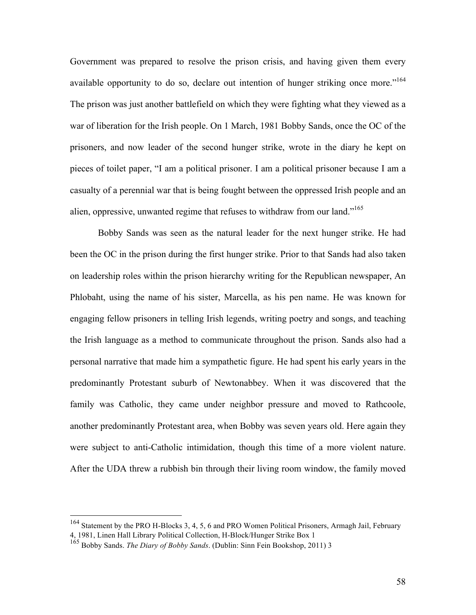Government was prepared to resolve the prison crisis, and having given them every available opportunity to do so, declare out intention of hunger striking once more."<sup>164</sup> The prison was just another battlefield on which they were fighting what they viewed as a war of liberation for the Irish people. On 1 March, 1981 Bobby Sands, once the OC of the prisoners, and now leader of the second hunger strike, wrote in the diary he kept on pieces of toilet paper, "I am a political prisoner. I am a political prisoner because I am a casualty of a perennial war that is being fought between the oppressed Irish people and an alien, oppressive, unwanted regime that refuses to withdraw from our land."<sup>165</sup>

Bobby Sands was seen as the natural leader for the next hunger strike. He had been the OC in the prison during the first hunger strike. Prior to that Sands had also taken on leadership roles within the prison hierarchy writing for the Republican newspaper, An Phlobaht, using the name of his sister, Marcella, as his pen name. He was known for engaging fellow prisoners in telling Irish legends, writing poetry and songs, and teaching the Irish language as a method to communicate throughout the prison. Sands also had a personal narrative that made him a sympathetic figure. He had spent his early years in the predominantly Protestant suburb of Newtonabbey. When it was discovered that the family was Catholic, they came under neighbor pressure and moved to Rathcoole, another predominantly Protestant area, when Bobby was seven years old. Here again they were subject to anti-Catholic intimidation, though this time of a more violent nature. After the UDA threw a rubbish bin through their living room window, the family moved

 <sup>164</sup> Statement by the PRO H-Blocks 3, 4, 5, 6 and PRO Women Political Prisoners, Armagh Jail, February 4, 1981, Linen Hall Library Political Collection, H-Block/Hunger Strike Box 1

<sup>165</sup> Bobby Sands. *The Diary of Bobby Sands*. (Dublin: Sinn Fein Bookshop, 2011) 3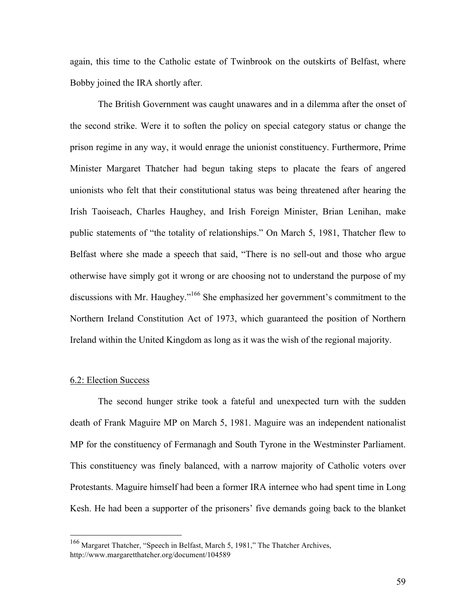again, this time to the Catholic estate of Twinbrook on the outskirts of Belfast, where Bobby joined the IRA shortly after.

The British Government was caught unawares and in a dilemma after the onset of the second strike. Were it to soften the policy on special category status or change the prison regime in any way, it would enrage the unionist constituency. Furthermore, Prime Minister Margaret Thatcher had begun taking steps to placate the fears of angered unionists who felt that their constitutional status was being threatened after hearing the Irish Taoiseach, Charles Haughey, and Irish Foreign Minister, Brian Lenihan, make public statements of "the totality of relationships." On March 5, 1981, Thatcher flew to Belfast where she made a speech that said, "There is no sell-out and those who argue otherwise have simply got it wrong or are choosing not to understand the purpose of my discussions with Mr. Haughey."166 She emphasized her government's commitment to the Northern Ireland Constitution Act of 1973, which guaranteed the position of Northern Ireland within the United Kingdom as long as it was the wish of the regional majority.

### 6.2: Election Success

The second hunger strike took a fateful and unexpected turn with the sudden death of Frank Maguire MP on March 5, 1981. Maguire was an independent nationalist MP for the constituency of Fermanagh and South Tyrone in the Westminster Parliament. This constituency was finely balanced, with a narrow majority of Catholic voters over Protestants. Maguire himself had been a former IRA internee who had spent time in Long Kesh. He had been a supporter of the prisoners' five demands going back to the blanket

 <sup>166</sup> Margaret Thatcher, "Speech in Belfast, March 5, 1981," The Thatcher Archives, http://www.margaretthatcher.org/document/104589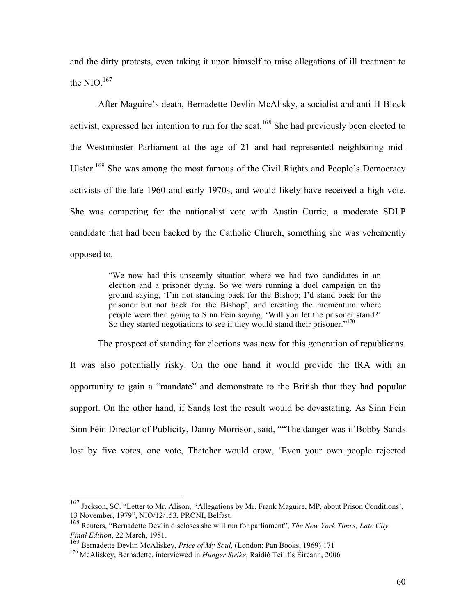and the dirty protests, even taking it upon himself to raise allegations of ill treatment to the NIO. $167$ 

After Maguire's death, Bernadette Devlin McAlisky, a socialist and anti H-Block activist, expressed her intention to run for the seat.<sup>168</sup> She had previously been elected to the Westminster Parliament at the age of 21 and had represented neighboring mid-Ulster.<sup>169</sup> She was among the most famous of the Civil Rights and People's Democracy activists of the late 1960 and early 1970s, and would likely have received a high vote. She was competing for the nationalist vote with Austin Currie, a moderate SDLP candidate that had been backed by the Catholic Church, something she was vehemently opposed to.

> "We now had this unseemly situation where we had two candidates in an election and a prisoner dying. So we were running a duel campaign on the ground saying, 'I'm not standing back for the Bishop; I'd stand back for the prisoner but not back for the Bishop', and creating the momentum where people were then going to Sinn Féin saying, 'Will you let the prisoner stand?' So they started negotiations to see if they would stand their prisoner."<sup>170</sup>

The prospect of standing for elections was new for this generation of republicans. It was also potentially risky. On the one hand it would provide the IRA with an opportunity to gain a "mandate" and demonstrate to the British that they had popular support. On the other hand, if Sands lost the result would be devastating. As Sinn Fein Sinn Féin Director of Publicity, Danny Morrison, said, ""The danger was if Bobby Sands lost by five votes, one vote, Thatcher would crow, 'Even your own people rejected

 <sup>167</sup> Jackson, SC. "Letter to Mr. Alison, 'Allegations by Mr. Frank Maguire, MP, about Prison Conditions', 13 November, 1979", NIO/12/153, PRONI, Belfast.

<sup>168</sup> Reuters, "Bernadette Devlin discloses she will run for parliament", *The New York Times, Late City Final Edition*, 22 March, 1981.

<sup>169</sup> Bernadette Devlin McAliskey, *Price of My Soul,* (London: Pan Books, 1969) 171

<sup>170</sup> McAliskey, Bernadette, interviewed in *Hunger Strike*, Raidió Teilifís Éireann, 2006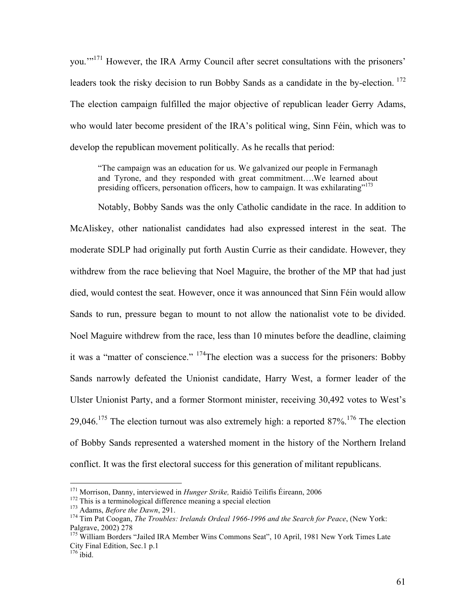you.'"171 However, the IRA Army Council after secret consultations with the prisoners' leaders took the risky decision to run Bobby Sands as a candidate in the by-election.<sup>172</sup> The election campaign fulfilled the major objective of republican leader Gerry Adams, who would later become president of the IRA's political wing, Sinn Féin, which was to develop the republican movement politically. As he recalls that period:

"The campaign was an education for us. We galvanized our people in Fermanagh and Tyrone, and they responded with great commitment….We learned about presiding officers, personation officers, how to campaign. It was exhilarating"<sup>173</sup>

Notably, Bobby Sands was the only Catholic candidate in the race. In addition to McAliskey, other nationalist candidates had also expressed interest in the seat. The moderate SDLP had originally put forth Austin Currie as their candidate. However, they withdrew from the race believing that Noel Maguire, the brother of the MP that had just died, would contest the seat. However, once it was announced that Sinn Féin would allow Sands to run, pressure began to mount to not allow the nationalist vote to be divided. Noel Maguire withdrew from the race, less than 10 minutes before the deadline, claiming it was a "matter of conscience." 174The election was a success for the prisoners: Bobby Sands narrowly defeated the Unionist candidate, Harry West, a former leader of the Ulster Unionist Party, and a former Stormont minister, receiving 30,492 votes to West's 29,046.<sup>175</sup> The election turnout was also extremely high: a reported  $87\%$ <sup>176</sup> The election of Bobby Sands represented a watershed moment in the history of the Northern Ireland conflict. It was the first electoral success for this generation of militant republicans.

<sup>&</sup>lt;sup>171</sup> Morrison, Danny, interviewed in *Hunger Strike*, Raidió Teilifís Éireann, 2006<br><sup>172</sup> This is a terminological difference meaning a special election<br><sup>173</sup> Adams, *Before the Dawn*, 291.<br><sup>174</sup> Tim Pat Coogan, *The Tro* 

<sup>&</sup>lt;sup>175</sup> William Borders "Jailed IRA Member Wins Commons Seat", 10 April, 1981 New York Times Late City Final Edition, Sec.1 p.1

 $176$  ibid.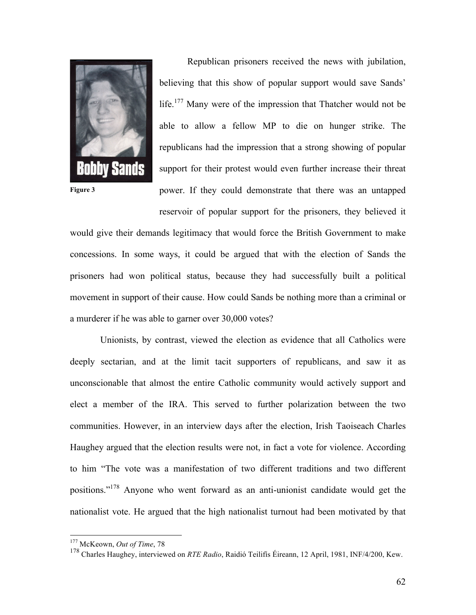

Republican prisoners received the news with jubilation, believing that this show of popular support would save Sands' life.<sup>177</sup> Many were of the impression that Thatcher would not be able to allow a fellow MP to die on hunger strike. The republicans had the impression that a strong showing of popular support for their protest would even further increase their threat power. If they could demonstrate that there was an untapped reservoir of popular support for the prisoners, they believed it

would give their demands legitimacy that would force the British Government to make concessions. In some ways, it could be argued that with the election of Sands the prisoners had won political status, because they had successfully built a political movement in support of their cause. How could Sands be nothing more than a criminal or a murderer if he was able to garner over 30,000 votes?

 Unionists, by contrast, viewed the election as evidence that all Catholics were deeply sectarian, and at the limit tacit supporters of republicans, and saw it as unconscionable that almost the entire Catholic community would actively support and elect a member of the IRA. This served to further polarization between the two communities. However, in an interview days after the election, Irish Taoiseach Charles Haughey argued that the election results were not, in fact a vote for violence. According to him "The vote was a manifestation of two different traditions and two different positions."178 Anyone who went forward as an anti-unionist candidate would get the nationalist vote. He argued that the high nationalist turnout had been motivated by that

 <sup>177</sup> McKeown, *Out of Time*, 78

<sup>178</sup> Charles Haughey, interviewed on *RTE Radio*, Raidió Teilifís Éireann, 12 April, 1981, INF/4/200, Kew.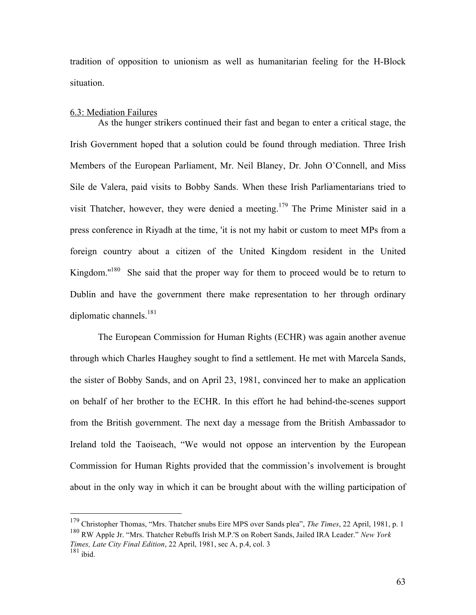tradition of opposition to unionism as well as humanitarian feeling for the H-Block situation.

#### 6.3: Mediation Failures

As the hunger strikers continued their fast and began to enter a critical stage, the Irish Government hoped that a solution could be found through mediation. Three Irish Members of the European Parliament, Mr. Neil Blaney, Dr. John O'Connell, and Miss Sile de Valera, paid visits to Bobby Sands. When these Irish Parliamentarians tried to visit Thatcher, however, they were denied a meeting.179 The Prime Minister said in a press conference in Riyadh at the time, 'it is not my habit or custom to meet MPs from a foreign country about a citizen of the United Kingdom resident in the United Kingdom."<sup>180</sup> She said that the proper way for them to proceed would be to return to Dublin and have the government there make representation to her through ordinary diplomatic channels. $^{181}$ 

The European Commission for Human Rights (ECHR) was again another avenue through which Charles Haughey sought to find a settlement. He met with Marcela Sands, the sister of Bobby Sands, and on April 23, 1981, convinced her to make an application on behalf of her brother to the ECHR. In this effort he had behind-the-scenes support from the British government. The next day a message from the British Ambassador to Ireland told the Taoiseach, "We would not oppose an intervention by the European Commission for Human Rights provided that the commission's involvement is brought about in the only way in which it can be brought about with the willing participation of

 <sup>179</sup> Christopher Thomas, "Mrs. Thatcher snubs Eire MPS over Sands plea", *The Times*, 22 April, 1981, p. 1 180 RW Apple Jr. "Mrs. Thatcher Rebuffs Irish M.P.'S on Robert Sands, Jailed IRA Leader." *New York* 

*Times, Late City Final Edition*, 22 April, 1981, sec A, p.4, col. 3  $181$  ibid.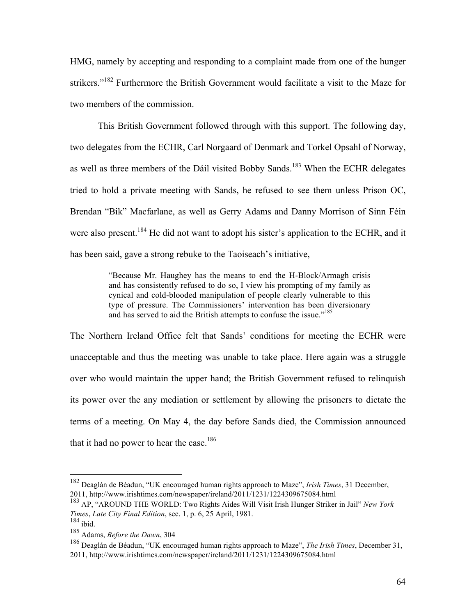HMG, namely by accepting and responding to a complaint made from one of the hunger strikers."<sup>182</sup> Furthermore the British Government would facilitate a visit to the Maze for two members of the commission.

This British Government followed through with this support. The following day, two delegates from the ECHR, Carl Norgaard of Denmark and Torkel Opsahl of Norway, as well as three members of the Dáil visited Bobby Sands.<sup>183</sup> When the ECHR delegates tried to hold a private meeting with Sands, he refused to see them unless Prison OC, Brendan "Bik" Macfarlane, as well as Gerry Adams and Danny Morrison of Sinn Féin were also present.<sup>184</sup> He did not want to adopt his sister's application to the ECHR, and it has been said, gave a strong rebuke to the Taoiseach's initiative,

> "Because Mr. Haughey has the means to end the H-Block/Armagh crisis and has consistently refused to do so, I view his prompting of my family as cynical and cold-blooded manipulation of people clearly vulnerable to this type of pressure. The Commissioners' intervention has been diversionary and has served to aid the British attempts to confuse the issue."<sup>185</sup>

The Northern Ireland Office felt that Sands' conditions for meeting the ECHR were unacceptable and thus the meeting was unable to take place. Here again was a struggle over who would maintain the upper hand; the British Government refused to relinquish its power over the any mediation or settlement by allowing the prisoners to dictate the terms of a meeting. On May 4, the day before Sands died, the Commission announced that it had no power to hear the case.<sup>186</sup>

 <sup>182</sup> Deaglán de Béadun, "UK encouraged human rights approach to Maze", *Irish Times*, 31 December, 2011, http://www.irishtimes.com/newspaper/ireland/2011/1231/1224309675084.html

<sup>183</sup> AP, "AROUND THE WORLD: Two Rights Aides Will Visit Irish Hunger Striker in Jail" *New York Times*, *Late City Final Edition*, sec. 1, p. 6, 25 April, 1981.

 $184$  ibid.

<sup>185</sup> Adams, *Before the Dawn*, 304

<sup>186</sup> Deaglán de Béadun, "UK encouraged human rights approach to Maze", *The Irish Times*, December 31, 2011, http://www.irishtimes.com/newspaper/ireland/2011/1231/1224309675084.html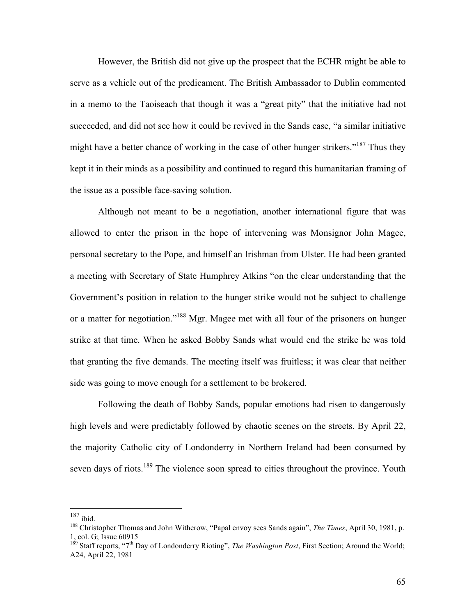However, the British did not give up the prospect that the ECHR might be able to serve as a vehicle out of the predicament. The British Ambassador to Dublin commented in a memo to the Taoiseach that though it was a "great pity" that the initiative had not succeeded, and did not see how it could be revived in the Sands case, "a similar initiative might have a better chance of working in the case of other hunger strikers."<sup>187</sup> Thus they kept it in their minds as a possibility and continued to regard this humanitarian framing of the issue as a possible face-saving solution.

Although not meant to be a negotiation, another international figure that was allowed to enter the prison in the hope of intervening was Monsignor John Magee, personal secretary to the Pope, and himself an Irishman from Ulster. He had been granted a meeting with Secretary of State Humphrey Atkins "on the clear understanding that the Government's position in relation to the hunger strike would not be subject to challenge or a matter for negotiation."188 Mgr. Magee met with all four of the prisoners on hunger strike at that time. When he asked Bobby Sands what would end the strike he was told that granting the five demands. The meeting itself was fruitless; it was clear that neither side was going to move enough for a settlement to be brokered.

Following the death of Bobby Sands, popular emotions had risen to dangerously high levels and were predictably followed by chaotic scenes on the streets. By April 22, the majority Catholic city of Londonderry in Northern Ireland had been consumed by seven days of riots.<sup>189</sup> The violence soon spread to cities throughout the province. Youth

 $^{187}$ ibid.

<sup>188</sup> Christopher Thomas and John Witherow, "Papal envoy sees Sands again", *The Times*, April 30, 1981, p. 1, col. G; Issue 60915

<sup>&</sup>lt;sup>189</sup> Staff reports, "7<sup>th</sup> Day of Londonderry Rioting", *The Washington Post*, First Section; Around the World; A24, April 22, 1981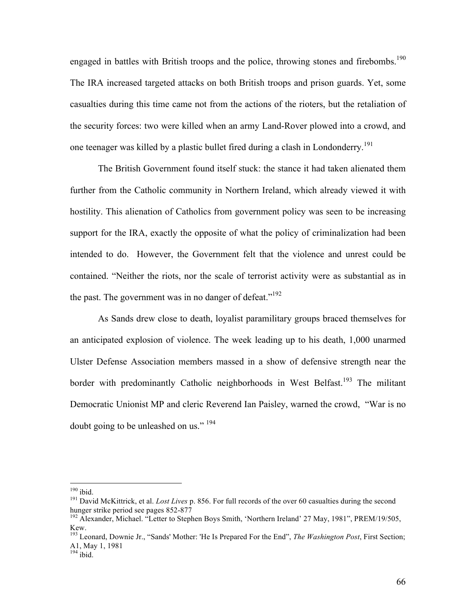engaged in battles with British troops and the police, throwing stones and firebombs.<sup>190</sup> The IRA increased targeted attacks on both British troops and prison guards. Yet, some casualties during this time came not from the actions of the rioters, but the retaliation of the security forces: two were killed when an army Land-Rover plowed into a crowd, and one teenager was killed by a plastic bullet fired during a clash in Londonderry.<sup>191</sup>

The British Government found itself stuck: the stance it had taken alienated them further from the Catholic community in Northern Ireland, which already viewed it with hostility. This alienation of Catholics from government policy was seen to be increasing support for the IRA, exactly the opposite of what the policy of criminalization had been intended to do. However, the Government felt that the violence and unrest could be contained. "Neither the riots, nor the scale of terrorist activity were as substantial as in the past. The government was in no danger of defeat."<sup>192</sup>

As Sands drew close to death, loyalist paramilitary groups braced themselves for an anticipated explosion of violence. The week leading up to his death, 1,000 unarmed Ulster Defense Association members massed in a show of defensive strength near the border with predominantly Catholic neighborhoods in West Belfast.<sup>193</sup> The militant Democratic Unionist MP and cleric Reverend Ian Paisley, warned the crowd, "War is no doubt going to be unleashed on us."<sup>194</sup>

<sup>&</sup>lt;sup>190</sup> ibid.<br><sup>191</sup> David McKittrick, et al. *Lost Lives* p. 856. For full records of the over 60 casualties during the second hunger strike period see pages 852-877<br><sup>192</sup> Alexander, Michael. "Letter to Stephen Boys Smith, 'Northern Ireland' 27 May, 1981", PREM/19/505,

Kew. 193 Leonard, Downie Jr., "Sands' Mother: 'He Is Prepared For the End", *The Washington Post*, First Section;

A1, May 1, 1981

 $194$  ibid.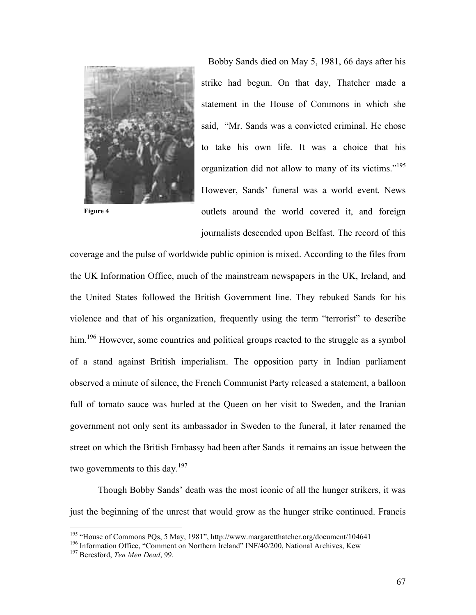

**Figure 4**

Bobby Sands died on May 5, 1981, 66 days after his strike had begun. On that day, Thatcher made a statement in the House of Commons in which she said, "Mr. Sands was a convicted criminal. He chose to take his own life. It was a choice that his organization did not allow to many of its victims."195 However, Sands' funeral was a world event. News outlets around the world covered it, and foreign journalists descended upon Belfast. The record of this

coverage and the pulse of worldwide public opinion is mixed. According to the files from the UK Information Office, much of the mainstream newspapers in the UK, Ireland, and the United States followed the British Government line. They rebuked Sands for his violence and that of his organization, frequently using the term "terrorist" to describe him.<sup>196</sup> However, some countries and political groups reacted to the struggle as a symbol of a stand against British imperialism. The opposition party in Indian parliament observed a minute of silence, the French Communist Party released a statement, a balloon full of tomato sauce was hurled at the Queen on her visit to Sweden, and the Iranian government not only sent its ambassador in Sweden to the funeral, it later renamed the street on which the British Embassy had been after Sands–it remains an issue between the two governments to this day.<sup>197</sup>

Though Bobby Sands' death was the most iconic of all the hunger strikers, it was just the beginning of the unrest that would grow as the hunger strike continued. Francis

<sup>&</sup>lt;sup>195</sup> "House of Commons PQs, 5 May, 1981", http://www.margaretthatcher.org/document/104641<br><sup>196</sup> Information Office, "Comment on Northern Ireland" INF/40/200, National Archives, Kew<br><sup>197</sup> Beresford, *Ten Men Dead*, 99.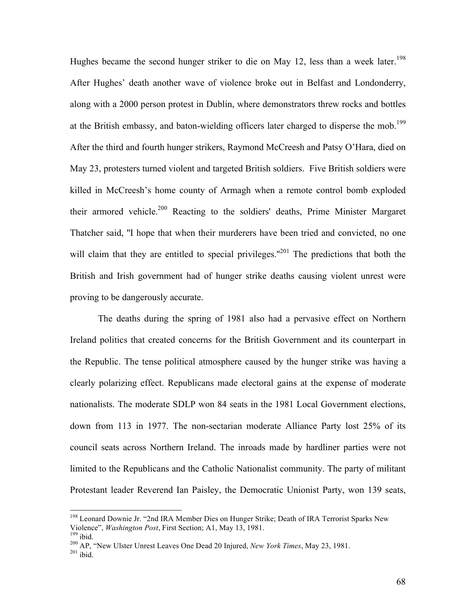Hughes became the second hunger striker to die on May 12, less than a week later.<sup>198</sup> After Hughes' death another wave of violence broke out in Belfast and Londonderry, along with a 2000 person protest in Dublin, where demonstrators threw rocks and bottles at the British embassy, and baton-wielding officers later charged to disperse the mob.<sup>199</sup> After the third and fourth hunger strikers, Raymond McCreesh and Patsy O'Hara, died on May 23, protesters turned violent and targeted British soldiers. Five British soldiers were killed in McCreesh's home county of Armagh when a remote control bomb exploded their armored vehicle.200 Reacting to the soldiers' deaths, Prime Minister Margaret Thatcher said, ''I hope that when their murderers have been tried and convicted, no one will claim that they are entitled to special privileges."<sup>201</sup> The predictions that both the British and Irish government had of hunger strike deaths causing violent unrest were proving to be dangerously accurate.

The deaths during the spring of 1981 also had a pervasive effect on Northern Ireland politics that created concerns for the British Government and its counterpart in the Republic. The tense political atmosphere caused by the hunger strike was having a clearly polarizing effect. Republicans made electoral gains at the expense of moderate nationalists. The moderate SDLP won 84 seats in the 1981 Local Government elections, down from 113 in 1977. The non-sectarian moderate Alliance Party lost 25% of its council seats across Northern Ireland. The inroads made by hardliner parties were not limited to the Republicans and the Catholic Nationalist community. The party of militant Protestant leader Reverend Ian Paisley, the Democratic Unionist Party, won 139 seats,

<sup>&</sup>lt;sup>198</sup> Leonard Downie Jr. "2nd IRA Member Dies on Hunger Strike; Death of IRA Terrorist Sparks New Violence", *Washington Post*, First Section; A1, May 13, 1981.<br><sup>199</sup> ibid. 200 AP, "New Ulster Unrest Leaves One Dead 20 Injured, *New York Times*, May 23, 1981.<br><sup>201</sup> ibid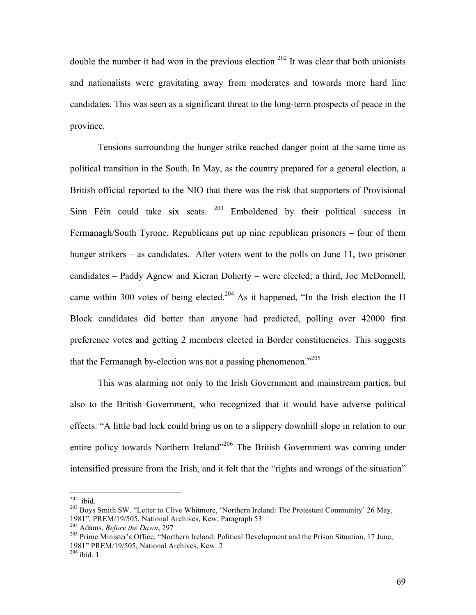double the number it had won in the previous election  $202$  It was clear that both unionists and nationalists were gravitating away from moderates and towards more hard line candidates. This was seen as a significant threat to the long-term prospects of peace in the province.

Tensions surrounding the hunger strike reached danger point at the same time as political transition in the South. In May, as the country prepared for a general election, a British official reported to the NIO that there was the risk that supporters of Provisional Sinn Féin could take six seats.  $203$  Emboldened by their political success in Fermanagh/South Tyrone, Republicans put up nine republican prisoners – four of them hunger strikers – as candidates. After voters went to the polls on June 11, two prisoner candidates – Paddy Agnew and Kieran Doherty – were elected; a third, Joe McDonnell, came within 300 votes of being elected.<sup>204</sup> As it happened, "In the Irish election the H Block candidates did better than anyone had predicted, polling over 42000 first preference votes and getting 2 members elected in Border constituencies. This suggests that the Fermanagh by-election was not a passing phenomenon.<sup> $205$ </sup>

This was alarming not only to the Irish Government and mainstream parties, but also to the British Government, who recognized that it would have adverse political effects. "A little bad luck could bring us on to a slippery downhill slope in relation to our entire policy towards Northern Ireland"<sup>206</sup> The British Government was coming under intensified pressure from the Irish, and it felt that the "rights and wrongs of the situation"

 $202$  ibid.<br><sup>203</sup> Boys Smith SW. "Letter to Clive Whitmore, 'Northern Ireland: The Protestant Community' 26 May, 1981", PREM/19/505, National Archives, Kew, Paragraph 53<br><sup>204</sup> Adams, *Before the Dawn*, 297<br><sup>205</sup> Prime Minister's Office, "Northern Ireland: Political Development and the Prison Situation, 17 June,

<sup>1981&</sup>quot; PREM/19/505, National Archives, Kew. 2 206 ibid. 1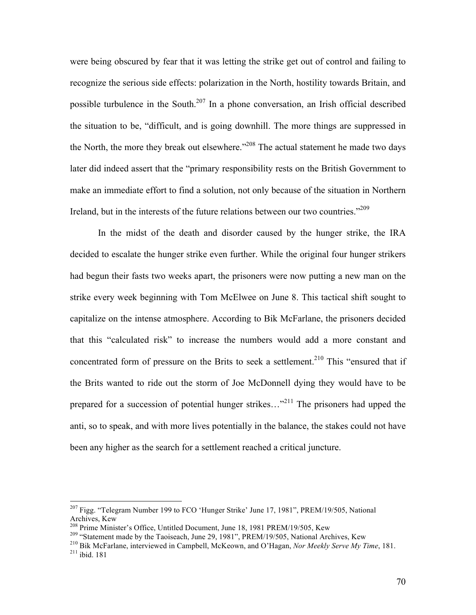were being obscured by fear that it was letting the strike get out of control and failing to recognize the serious side effects: polarization in the North, hostility towards Britain, and possible turbulence in the South.<sup>207</sup> In a phone conversation, an Irish official described the situation to be, "difficult, and is going downhill. The more things are suppressed in the North, the more they break out elsewhere."<sup>208</sup> The actual statement he made two days later did indeed assert that the "primary responsibility rests on the British Government to make an immediate effort to find a solution, not only because of the situation in Northern Ireland, but in the interests of the future relations between our two countries."<sup>209</sup>

In the midst of the death and disorder caused by the hunger strike, the IRA decided to escalate the hunger strike even further. While the original four hunger strikers had begun their fasts two weeks apart, the prisoners were now putting a new man on the strike every week beginning with Tom McElwee on June 8. This tactical shift sought to capitalize on the intense atmosphere. According to Bik McFarlane, the prisoners decided that this "calculated risk" to increase the numbers would add a more constant and concentrated form of pressure on the Brits to seek a settlement.<sup>210</sup> This "ensured that if the Brits wanted to ride out the storm of Joe McDonnell dying they would have to be prepared for a succession of potential hunger strikes..."<sup>211</sup> The prisoners had upped the anti, so to speak, and with more lives potentially in the balance, the stakes could not have been any higher as the search for a settlement reached a critical juncture.

 $^{207}$  Figg. "Telegram Number 199 to FCO 'Hunger Strike' June 17, 1981", PREM/19/505, National Archives, Kew<br><sup>208</sup> Prime Minister's Office, Untitled Document, June 18, 1981 PREM/19/505, Kew

<sup>&</sup>lt;sup>209</sup> "Statement made by the Taoiseach, June 29, 1981", PREM/19/505, National Archives, Kew<br><sup>210</sup> Bik McFarlane, interviewed in Campbell, McKeown, and O'Hagan, *Nor Meekly Serve My Time*, 181.<br><sup>211</sup> ibid. 181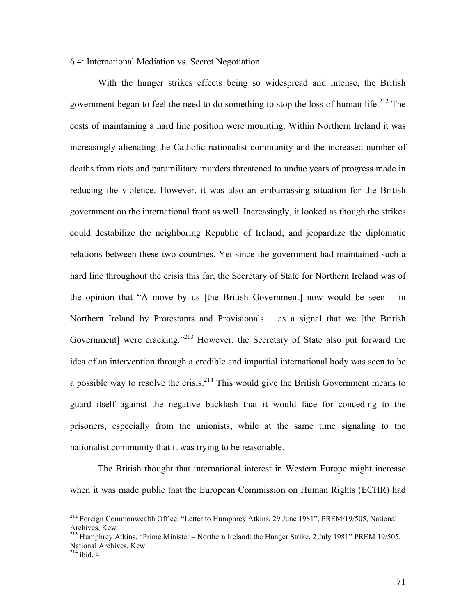## 6.4: International Mediation vs. Secret Negotiation

With the hunger strikes effects being so widespread and intense, the British government began to feel the need to do something to stop the loss of human life.<sup>212</sup> The costs of maintaining a hard line position were mounting. Within Northern Ireland it was increasingly alienating the Catholic nationalist community and the increased number of deaths from riots and paramilitary murders threatened to undue years of progress made in reducing the violence. However, it was also an embarrassing situation for the British government on the international front as well. Increasingly, it looked as though the strikes could destabilize the neighboring Republic of Ireland, and jeopardize the diplomatic relations between these two countries. Yet since the government had maintained such a hard line throughout the crisis this far, the Secretary of State for Northern Ireland was of the opinion that "A move by us [the British Government] now would be seen – in Northern Ireland by Protestants and Provisionals – as a signal that we [the British Government] were cracking."<sup>213</sup> However, the Secretary of State also put forward the idea of an intervention through a credible and impartial international body was seen to be a possible way to resolve the crisis.<sup>214</sup> This would give the British Government means to guard itself against the negative backlash that it would face for conceding to the prisoners, especially from the unionists, while at the same time signaling to the nationalist community that it was trying to be reasonable.

The British thought that international interest in Western Europe might increase when it was made public that the European Commission on Human Rights (ECHR) had

 <sup>212</sup> Foreign Commonwealth Office, "Letter to Humphrey Atkins, 29 June 1981", PREM/19/505, National Archives, Kew

<sup>&</sup>lt;sup>213</sup> Humphrey Atkins, "Prime Minister – Northern Ireland: the Hunger Strike, 2 July 1981" PREM 19/505, National Archives, Kew

 $214$  ibid. 4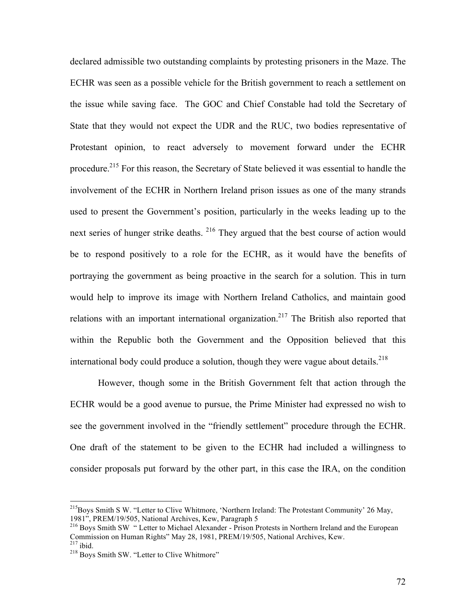declared admissible two outstanding complaints by protesting prisoners in the Maze. The ECHR was seen as a possible vehicle for the British government to reach a settlement on the issue while saving face. The GOC and Chief Constable had told the Secretary of State that they would not expect the UDR and the RUC, two bodies representative of Protestant opinion, to react adversely to movement forward under the ECHR procedure.<sup>215</sup> For this reason, the Secretary of State believed it was essential to handle the involvement of the ECHR in Northern Ireland prison issues as one of the many strands used to present the Government's position, particularly in the weeks leading up to the next series of hunger strike deaths. <sup>216</sup> They argued that the best course of action would be to respond positively to a role for the ECHR, as it would have the benefits of portraying the government as being proactive in the search for a solution. This in turn would help to improve its image with Northern Ireland Catholics, and maintain good relations with an important international organization.<sup>217</sup> The British also reported that within the Republic both the Government and the Opposition believed that this international body could produce a solution, though they were vague about details.<sup>218</sup>

However, though some in the British Government felt that action through the ECHR would be a good avenue to pursue, the Prime Minister had expressed no wish to see the government involved in the "friendly settlement" procedure through the ECHR. One draft of the statement to be given to the ECHR had included a willingness to consider proposals put forward by the other part, in this case the IRA, on the condition

<sup>&</sup>lt;sup>215</sup>Boys Smith S W. "Letter to Clive Whitmore, 'Northern Ireland: The Protestant Community' 26 May, 1981", PREM/19/505, National Archives, Kew, Paragraph 5

<sup>216</sup> Boys Smith SW " Letter to Michael Alexander - Prison Protests in Northern Ireland and the European Commission on Human Rights" May 28, 1981, PREM/19/505, National Archives, Kew.<br><sup>217</sup> ibid. <sup>218</sup> Boys Smith SW. "Letter to Clive Whitmore"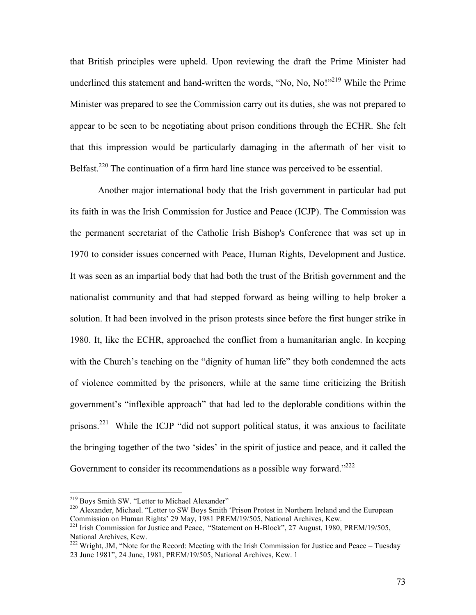that British principles were upheld. Upon reviewing the draft the Prime Minister had underlined this statement and hand-written the words, "No, No, No!"<sup>219</sup> While the Prime Minister was prepared to see the Commission carry out its duties, she was not prepared to appear to be seen to be negotiating about prison conditions through the ECHR. She felt that this impression would be particularly damaging in the aftermath of her visit to Belfast.<sup>220</sup> The continuation of a firm hard line stance was perceived to be essential.

Another major international body that the Irish government in particular had put its faith in was the Irish Commission for Justice and Peace (ICJP). The Commission was the permanent secretariat of the Catholic Irish Bishop's Conference that was set up in 1970 to consider issues concerned with Peace, Human Rights, Development and Justice. It was seen as an impartial body that had both the trust of the British government and the nationalist community and that had stepped forward as being willing to help broker a solution. It had been involved in the prison protests since before the first hunger strike in 1980. It, like the ECHR, approached the conflict from a humanitarian angle. In keeping with the Church's teaching on the "dignity of human life" they both condemned the acts of violence committed by the prisoners, while at the same time criticizing the British government's "inflexible approach" that had led to the deplorable conditions within the prisons.<sup>221</sup> While the ICJP "did not support political status, it was anxious to facilitate the bringing together of the two 'sides' in the spirit of justice and peace, and it called the Government to consider its recommendations as a possible way forward."<sup>222</sup>

<sup>&</sup>lt;sup>219</sup> Boys Smith SW. "Letter to Michael Alexander"<br><sup>220</sup> Alexander, Michael. "Letter to SW Boys Smith 'Prison Protest in Northern Ireland and the European Commission on Human Rights' 29 May, 1981 PREM/19/505, National Archives, Kew.

<sup>221</sup> Irish Commission for Justice and Peace, "Statement on H-Block", 27 August, 1980, PREM/19/505, National Archives, Kew.

National Archives, Ecc. 222 Wright, JM, "Note for the Record: Meeting with the Irish Commission for Justice and Peace – Tuesday 23 June 1981", 24 June, 1981, PREM/19/505, National Archives, Kew. 1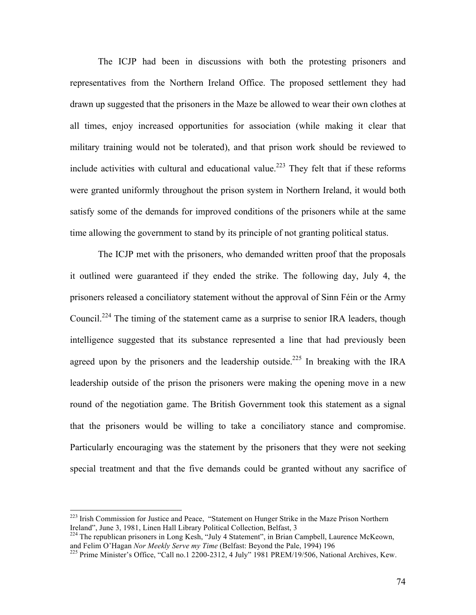The ICJP had been in discussions with both the protesting prisoners and representatives from the Northern Ireland Office. The proposed settlement they had drawn up suggested that the prisoners in the Maze be allowed to wear their own clothes at all times, enjoy increased opportunities for association (while making it clear that military training would not be tolerated), and that prison work should be reviewed to include activities with cultural and educational value.<sup>223</sup> They felt that if these reforms were granted uniformly throughout the prison system in Northern Ireland, it would both satisfy some of the demands for improved conditions of the prisoners while at the same time allowing the government to stand by its principle of not granting political status.

The ICJP met with the prisoners, who demanded written proof that the proposals it outlined were guaranteed if they ended the strike. The following day, July 4, the prisoners released a conciliatory statement without the approval of Sinn Féin or the Army Council.<sup>224</sup> The timing of the statement came as a surprise to senior IRA leaders, though intelligence suggested that its substance represented a line that had previously been agreed upon by the prisoners and the leadership outside.<sup>225</sup> In breaking with the IRA leadership outside of the prison the prisoners were making the opening move in a new round of the negotiation game. The British Government took this statement as a signal that the prisoners would be willing to take a conciliatory stance and compromise. Particularly encouraging was the statement by the prisoners that they were not seeking special treatment and that the five demands could be granted without any sacrifice of

<sup>&</sup>lt;sup>223</sup> Irish Commission for Justice and Peace, "Statement on Hunger Strike in the Maze Prison Northern Ireland", June 3, 1981, Linen Hall Library Political Collection, Belfast, 3

<sup>&</sup>lt;sup>224</sup> The republican prisoners in Long Kesh, "July 4 Statement", in Brian Campbell, Laurence McKeown, and Felim O'Hagan *Nor Meekly Serve my Time* (Belfast: Beyond the Pale, 1994) 196<br><sup>225</sup> Prime Minister's Office, "Call no.1 2200-2312, 4 July" 1981 PREM/19/506, National Archives, Kew.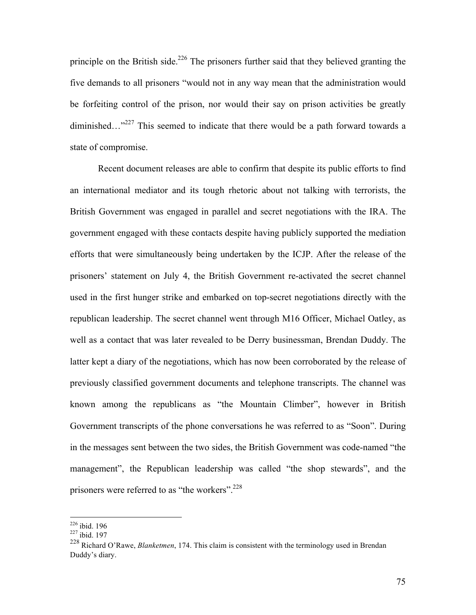principle on the British side.<sup>226</sup> The prisoners further said that they believed granting the five demands to all prisoners "would not in any way mean that the administration would be forfeiting control of the prison, nor would their say on prison activities be greatly diminished..."<sup>227</sup> This seemed to indicate that there would be a path forward towards a state of compromise.

Recent document releases are able to confirm that despite its public efforts to find an international mediator and its tough rhetoric about not talking with terrorists, the British Government was engaged in parallel and secret negotiations with the IRA. The government engaged with these contacts despite having publicly supported the mediation efforts that were simultaneously being undertaken by the ICJP. After the release of the prisoners' statement on July 4, the British Government re-activated the secret channel used in the first hunger strike and embarked on top-secret negotiations directly with the republican leadership. The secret channel went through M16 Officer, Michael Oatley, as well as a contact that was later revealed to be Derry businessman, Brendan Duddy. The latter kept a diary of the negotiations, which has now been corroborated by the release of previously classified government documents and telephone transcripts. The channel was known among the republicans as "the Mountain Climber", however in British Government transcripts of the phone conversations he was referred to as "Soon". During in the messages sent between the two sides, the British Government was code-named "the management", the Republican leadership was called "the shop stewards", and the prisoners were referred to as "the workers".<sup>228</sup>

 $\frac{226}{227}$  ibid. 196<br> $\frac{227}{1}$  ibid. 197

<sup>228</sup> Richard O'Rawe, *Blanketmen*, 174. This claim is consistent with the terminology used in Brendan Duddy's diary.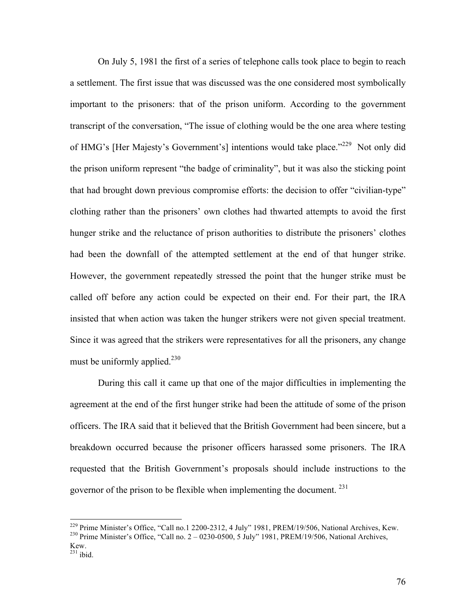On July 5, 1981 the first of a series of telephone calls took place to begin to reach a settlement. The first issue that was discussed was the one considered most symbolically important to the prisoners: that of the prison uniform. According to the government transcript of the conversation, "The issue of clothing would be the one area where testing of HMG's [Her Majesty's Government's] intentions would take place."<sup>229</sup> Not only did the prison uniform represent "the badge of criminality", but it was also the sticking point that had brought down previous compromise efforts: the decision to offer "civilian-type" clothing rather than the prisoners' own clothes had thwarted attempts to avoid the first hunger strike and the reluctance of prison authorities to distribute the prisoners' clothes had been the downfall of the attempted settlement at the end of that hunger strike. However, the government repeatedly stressed the point that the hunger strike must be called off before any action could be expected on their end. For their part, the IRA insisted that when action was taken the hunger strikers were not given special treatment. Since it was agreed that the strikers were representatives for all the prisoners, any change must be uniformly applied. $^{230}$ 

During this call it came up that one of the major difficulties in implementing the agreement at the end of the first hunger strike had been the attitude of some of the prison officers. The IRA said that it believed that the British Government had been sincere, but a breakdown occurred because the prisoner officers harassed some prisoners. The IRA requested that the British Government's proposals should include instructions to the governor of the prison to be flexible when implementing the document. <sup>231</sup>

<sup>&</sup>lt;sup>229</sup> Prime Minister's Office, "Call no.1 2200-2312, 4 July" 1981, PREM/19/506, National Archives, Kew. <sup>230</sup> Prime Minister's Office, "Call no. 2 – 0230-0500, 5 July" 1981, PREM/19/506, National Archives,

Kew.<br> $231$  ibid.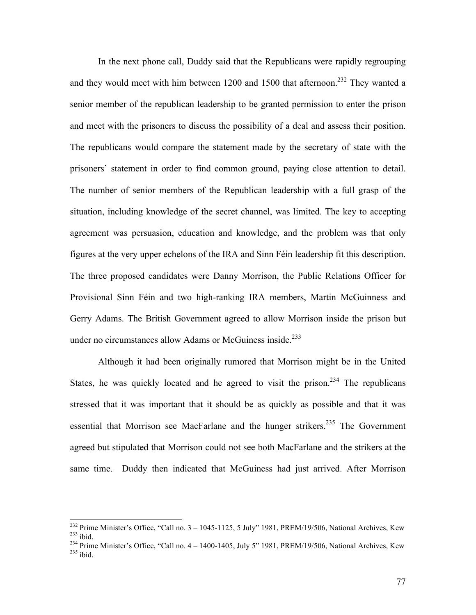In the next phone call, Duddy said that the Republicans were rapidly regrouping and they would meet with him between 1200 and 1500 that afternoon.<sup>232</sup> They wanted a senior member of the republican leadership to be granted permission to enter the prison and meet with the prisoners to discuss the possibility of a deal and assess their position. The republicans would compare the statement made by the secretary of state with the prisoners' statement in order to find common ground, paying close attention to detail. The number of senior members of the Republican leadership with a full grasp of the situation, including knowledge of the secret channel, was limited. The key to accepting agreement was persuasion, education and knowledge, and the problem was that only figures at the very upper echelons of the IRA and Sinn Féin leadership fit this description. The three proposed candidates were Danny Morrison, the Public Relations Officer for Provisional Sinn Féin and two high-ranking IRA members, Martin McGuinness and Gerry Adams. The British Government agreed to allow Morrison inside the prison but under no circumstances allow Adams or McGuiness inside.<sup>233</sup>

Although it had been originally rumored that Morrison might be in the United States, he was quickly located and he agreed to visit the prison.<sup>234</sup> The republicans stressed that it was important that it should be as quickly as possible and that it was essential that Morrison see MacFarlane and the hunger strikers.<sup>235</sup> The Government agreed but stipulated that Morrison could not see both MacFarlane and the strikers at the same time. Duddy then indicated that McGuiness had just arrived. After Morrison

<sup>&</sup>lt;sup>232</sup> Prime Minister's Office, "Call no.  $3 - 1045 - 1125$ , 5 July" 1981, PREM/19/506, National Archives, Kew<br><sup>233</sup> ibid.<br><sup>234</sup> Prime Minister's Office, "Call no.  $4 - 1400 - 1405$ , July 5" 1981, PREM/19/506, National Archive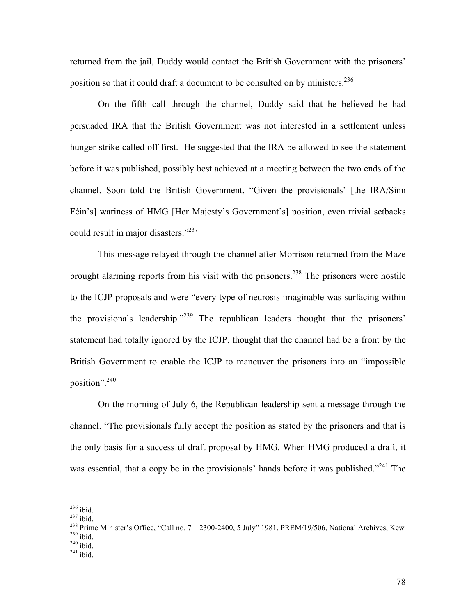returned from the jail, Duddy would contact the British Government with the prisoners' position so that it could draft a document to be consulted on by ministers.<sup>236</sup>

On the fifth call through the channel, Duddy said that he believed he had persuaded IRA that the British Government was not interested in a settlement unless hunger strike called off first. He suggested that the IRA be allowed to see the statement before it was published, possibly best achieved at a meeting between the two ends of the channel. Soon told the British Government, "Given the provisionals' [the IRA/Sinn Féin's] wariness of HMG [Her Majesty's Government's] position, even trivial setbacks could result in major disasters."<sup>237</sup>

This message relayed through the channel after Morrison returned from the Maze brought alarming reports from his visit with the prisoners.<sup>238</sup> The prisoners were hostile to the ICJP proposals and were "every type of neurosis imaginable was surfacing within the provisionals leadership."239 The republican leaders thought that the prisoners' statement had totally ignored by the ICJP, thought that the channel had be a front by the British Government to enable the ICJP to maneuver the prisoners into an "impossible position".<sup>240</sup>

On the morning of July 6, the Republican leadership sent a message through the channel. "The provisionals fully accept the position as stated by the prisoners and that is the only basis for a successful draft proposal by HMG. When HMG produced a draft, it was essential, that a copy be in the provisionals' hands before it was published."<sup>241</sup> The

<sup>&</sup>lt;sup>236</sup> ibid.<br><sup>237</sup> ibid.<br><sup>238</sup> Prime Minister's Office, "Call no. 7 – 2300-2400, 5 July" 1981, PREM/19/506, National Archives, Kew<br><sup>239</sup> ibid.<br><sup>240</sup> ibid.<br><sup>241</sup> ibid.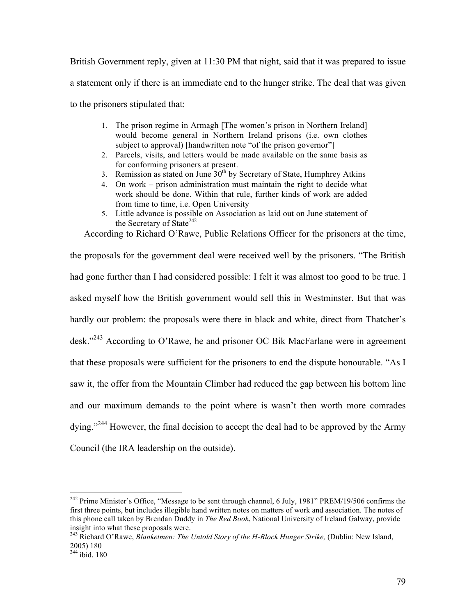British Government reply, given at 11:30 PM that night, said that it was prepared to issue a statement only if there is an immediate end to the hunger strike. The deal that was given to the prisoners stipulated that:

- 1. The prison regime in Armagh [The women's prison in Northern Ireland] would become general in Northern Ireland prisons (i.e. own clothes subject to approval) [handwritten note "of the prison governor"]
- 2. Parcels, visits, and letters would be made available on the same basis as for conforming prisoners at present.
- 3. Remission as stated on June  $30<sup>th</sup>$  by Secretary of State, Humphrey Atkins
- 4. On work prison administration must maintain the right to decide what work should be done. Within that rule, further kinds of work are added from time to time, i.e. Open University
- 5. Little advance is possible on Association as laid out on June statement of the Secretary of State<sup>242</sup>

According to Richard O'Rawe, Public Relations Officer for the prisoners at the time,

the proposals for the government deal were received well by the prisoners. "The British had gone further than I had considered possible: I felt it was almost too good to be true. I asked myself how the British government would sell this in Westminster. But that was hardly our problem: the proposals were there in black and white, direct from Thatcher's desk."243 According to O'Rawe, he and prisoner OC Bik MacFarlane were in agreement that these proposals were sufficient for the prisoners to end the dispute honourable. "As I saw it, the offer from the Mountain Climber had reduced the gap between his bottom line and our maximum demands to the point where is wasn't then worth more comrades dying."<sup>244</sup> However, the final decision to accept the deal had to be approved by the Army Council (the IRA leadership on the outside).

<sup>&</sup>lt;sup>242</sup> Prime Minister's Office, "Message to be sent through channel, 6 July, 1981" PREM/19/506 confirms the first three points, but includes illegible hand written notes on matters of work and association. The notes of this phone call taken by Brendan Duddy in *The Red Book*, National University of Ireland Galway, provide insight into what these proposals were.

<sup>243</sup> Richard O'Rawe, *Blanketmen: The Untold Story of the H-Block Hunger Strike,* (Dublin: New Island, 2005) 180 244 ibid. 180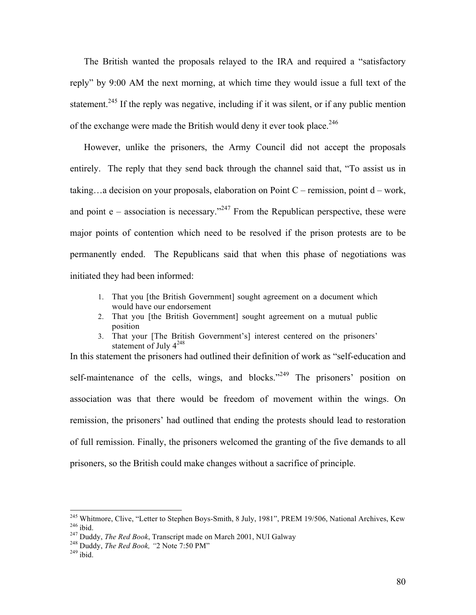The British wanted the proposals relayed to the IRA and required a "satisfactory reply" by 9:00 AM the next morning, at which time they would issue a full text of the statement.<sup>245</sup> If the reply was negative, including if it was silent, or if any public mention of the exchange were made the British would deny it ever took place.<sup>246</sup>

However, unlike the prisoners, the Army Council did not accept the proposals entirely. The reply that they send back through the channel said that, "To assist us in taking...a decision on your proposals, elaboration on Point  $C$  – remission, point  $d$  – work, and point  $e$  – association is necessary.<sup>247</sup> From the Republican perspective, these were major points of contention which need to be resolved if the prison protests are to be permanently ended. The Republicans said that when this phase of negotiations was initiated they had been informed:

- 1. That you [the British Government] sought agreement on a document which would have our endorsement
- 2. That you [the British Government] sought agreement on a mutual public position
- 3. That your [The British Government's] interest centered on the prisoners' statement of July  $4^{248}$

In this statement the prisoners had outlined their definition of work as "self-education and self-maintenance of the cells, wings, and blocks." $249$  The prisoners' position on association was that there would be freedom of movement within the wings. On remission, the prisoners' had outlined that ending the protests should lead to restoration of full remission. Finally, the prisoners welcomed the granting of the five demands to all prisoners, so the British could make changes without a sacrifice of principle.

<sup>&</sup>lt;sup>245</sup> Whitmore, Clive, "Letter to Stephen Boys-Smith, 8 July, 1981", PREM 19/506, National Archives, Kew <sup>246</sup> ibid.<br><sup>247</sup> Duddy, *The Red Book*, Transcript made on March 2001, NUI Galway <sup>248</sup> Duddy, *The Red Book*, "2 N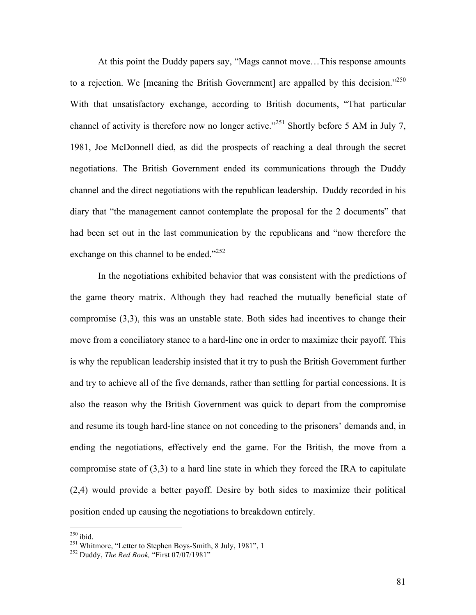At this point the Duddy papers say, "Mags cannot move…This response amounts to a rejection. We [meaning the British Government] are appalled by this decision."<sup>250</sup> With that unsatisfactory exchange, according to British documents, "That particular channel of activity is therefore now no longer active."<sup>251</sup> Shortly before 5 AM in July 7, 1981, Joe McDonnell died, as did the prospects of reaching a deal through the secret negotiations. The British Government ended its communications through the Duddy channel and the direct negotiations with the republican leadership. Duddy recorded in his diary that "the management cannot contemplate the proposal for the 2 documents" that had been set out in the last communication by the republicans and "now therefore the exchange on this channel to be ended." $252$ 

In the negotiations exhibited behavior that was consistent with the predictions of the game theory matrix. Although they had reached the mutually beneficial state of compromise (3,3), this was an unstable state. Both sides had incentives to change their move from a conciliatory stance to a hard-line one in order to maximize their payoff. This is why the republican leadership insisted that it try to push the British Government further and try to achieve all of the five demands, rather than settling for partial concessions. It is also the reason why the British Government was quick to depart from the compromise and resume its tough hard-line stance on not conceding to the prisoners' demands and, in ending the negotiations, effectively end the game. For the British, the move from a compromise state of (3,3) to a hard line state in which they forced the IRA to capitulate (2,4) would provide a better payoff. Desire by both sides to maximize their political position ended up causing the negotiations to breakdown entirely.

 <sup>250</sup> ibid. 251 Whitmore, "Letter to Stephen Boys-Smith, 8 July, 1981", 1 252 Duddy, *The Red Book,* "First 07/07/1981"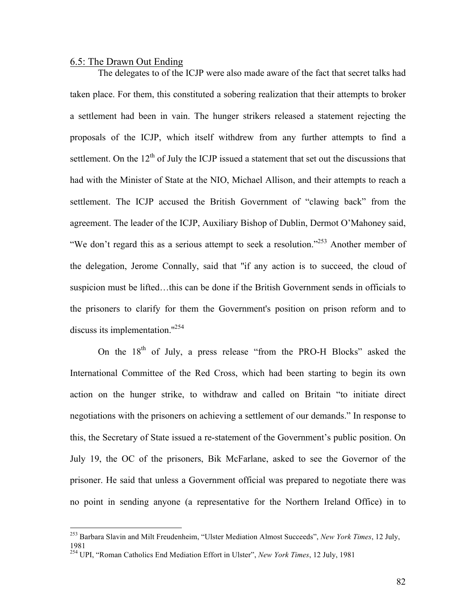## 6.5: The Drawn Out Ending

The delegates to of the ICJP were also made aware of the fact that secret talks had taken place. For them, this constituted a sobering realization that their attempts to broker a settlement had been in vain. The hunger strikers released a statement rejecting the proposals of the ICJP, which itself withdrew from any further attempts to find a settlement. On the  $12<sup>th</sup>$  of July the ICJP issued a statement that set out the discussions that had with the Minister of State at the NIO, Michael Allison, and their attempts to reach a settlement. The ICJP accused the British Government of "clawing back" from the agreement. The leader of the ICJP, Auxiliary Bishop of Dublin, Dermot O'Mahoney said, "We don't regard this as a serious attempt to seek a resolution."<sup>253</sup> Another member of the delegation, Jerome Connally, said that ''if any action is to succeed, the cloud of suspicion must be lifted…this can be done if the British Government sends in officials to the prisoners to clarify for them the Government's position on prison reform and to discuss its implementation."<sup>254</sup>

On the  $18<sup>th</sup>$  of July, a press release "from the PRO-H Blocks" asked the International Committee of the Red Cross, which had been starting to begin its own action on the hunger strike, to withdraw and called on Britain "to initiate direct negotiations with the prisoners on achieving a settlement of our demands." In response to this, the Secretary of State issued a re-statement of the Government's public position. On July 19, the OC of the prisoners, Bik McFarlane, asked to see the Governor of the prisoner. He said that unless a Government official was prepared to negotiate there was no point in sending anyone (a representative for the Northern Ireland Office) in to

 <sup>253</sup> Barbara Slavin and Milt Freudenheim, "Ulster Mediation Almost Succeeds", *New York Times*, 12 July, 1981

<sup>254</sup> UPI, "Roman Catholics End Mediation Effort in Ulster", *New York Times*, 12 July, 1981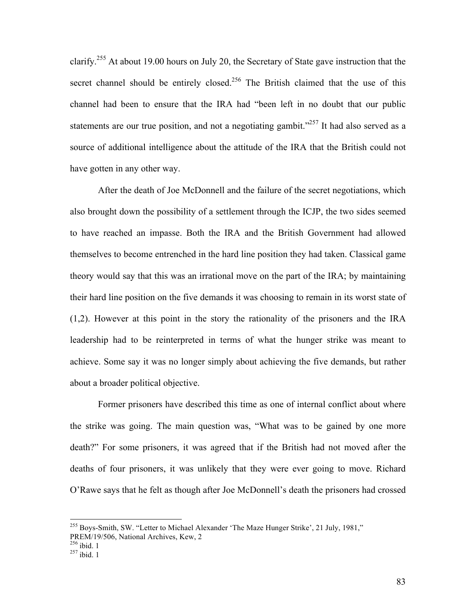clarify.<sup>255</sup> At about 19.00 hours on July 20, the Secretary of State gave instruction that the secret channel should be entirely closed.<sup>256</sup> The British claimed that the use of this channel had been to ensure that the IRA had "been left in no doubt that our public statements are our true position, and not a negotiating gambit.<sup>"257</sup> It had also served as a source of additional intelligence about the attitude of the IRA that the British could not have gotten in any other way.

After the death of Joe McDonnell and the failure of the secret negotiations, which also brought down the possibility of a settlement through the ICJP, the two sides seemed to have reached an impasse. Both the IRA and the British Government had allowed themselves to become entrenched in the hard line position they had taken. Classical game theory would say that this was an irrational move on the part of the IRA; by maintaining their hard line position on the five demands it was choosing to remain in its worst state of (1,2). However at this point in the story the rationality of the prisoners and the IRA leadership had to be reinterpreted in terms of what the hunger strike was meant to achieve. Some say it was no longer simply about achieving the five demands, but rather about a broader political objective.

Former prisoners have described this time as one of internal conflict about where the strike was going. The main question was, "What was to be gained by one more death?" For some prisoners, it was agreed that if the British had not moved after the deaths of four prisoners, it was unlikely that they were ever going to move. Richard O'Rawe says that he felt as though after Joe McDonnell's death the prisoners had crossed

<sup>&</sup>lt;sup>255</sup> Boys-Smith, SW. "Letter to Michael Alexander 'The Maze Hunger Strike', 21 July, 1981,"

PREM/19/506, National Archives, Kew, 2<br>
<sup>256</sup> ibid. 1<br>
<sup>257</sup> ibid. 1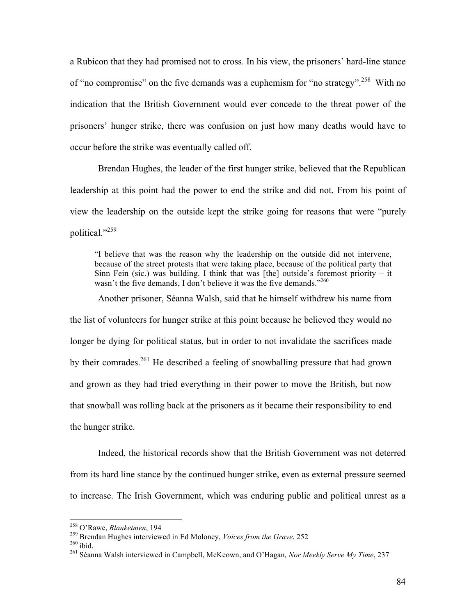a Rubicon that they had promised not to cross. In his view, the prisoners' hard-line stance of "no compromise" on the five demands was a euphemism for "no strategy".<sup>258</sup> With no indication that the British Government would ever concede to the threat power of the prisoners' hunger strike, there was confusion on just how many deaths would have to occur before the strike was eventually called off.

Brendan Hughes, the leader of the first hunger strike, believed that the Republican leadership at this point had the power to end the strike and did not. From his point of view the leadership on the outside kept the strike going for reasons that were "purely political."<sup>259</sup>

"I believe that was the reason why the leadership on the outside did not intervene, because of the street protests that were taking place, because of the political party that Sinn Fein (sic.) was building. I think that was [the] outside's foremost priority – it wasn't the five demands. I don't believe it was the five demands."<sup>260</sup>

Another prisoner, Séanna Walsh, said that he himself withdrew his name from the list of volunteers for hunger strike at this point because he believed they would no longer be dying for political status, but in order to not invalidate the sacrifices made by their comrades.261 He described a feeling of snowballing pressure that had grown and grown as they had tried everything in their power to move the British, but now that snowball was rolling back at the prisoners as it became their responsibility to end the hunger strike.

Indeed, the historical records show that the British Government was not deterred from its hard line stance by the continued hunger strike, even as external pressure seemed to increase. The Irish Government, which was enduring public and political unrest as a

<sup>&</sup>lt;sup>258</sup> O'Rawe, *Blanketmen*, 194<br><sup>259</sup> Brendan Hughes interviewed in Ed Moloney, *Voices from the Grave*, 252<br><sup>260</sup> ibid.<br><sup>261</sup> Séanna Walsh interviewed in Campbell, McKeown, and O'Hagan, *Nor Meekly Serve My Time*, 237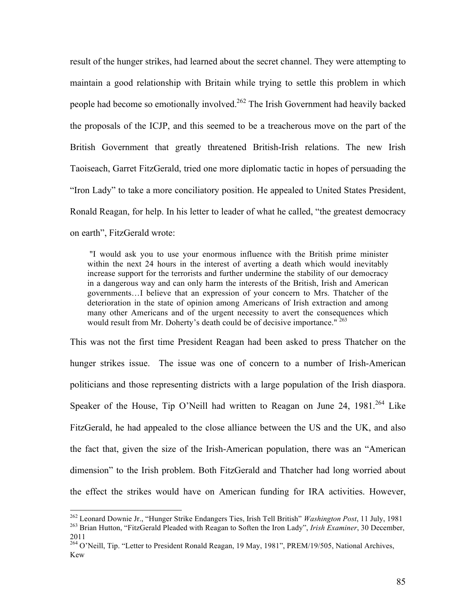result of the hunger strikes, had learned about the secret channel. They were attempting to maintain a good relationship with Britain while trying to settle this problem in which people had become so emotionally involved.<sup>262</sup> The Irish Government had heavily backed the proposals of the ICJP, and this seemed to be a treacherous move on the part of the British Government that greatly threatened British-Irish relations. The new Irish Taoiseach, Garret FitzGerald, tried one more diplomatic tactic in hopes of persuading the "Iron Lady" to take a more conciliatory position. He appealed to United States President, Ronald Reagan, for help. In his letter to leader of what he called, "the greatest democracy on earth", FitzGerald wrote:

 "I would ask you to use your enormous influence with the British prime minister within the next 24 hours in the interest of averting a death which would inevitably increase support for the terrorists and further undermine the stability of our democracy in a dangerous way and can only harm the interests of the British, Irish and American governments…I believe that an expression of your concern to Mrs. Thatcher of the deterioration in the state of opinion among Americans of Irish extraction and among many other Americans and of the urgent necessity to avert the consequences which would result from Mr. Doherty's death could be of decisive importance."<sup>263</sup>

This was not the first time President Reagan had been asked to press Thatcher on the hunger strikes issue. The issue was one of concern to a number of Irish-American politicians and those representing districts with a large population of the Irish diaspora. Speaker of the House, Tip O'Neill had written to Reagan on June 24, 1981.<sup>264</sup> Like FitzGerald, he had appealed to the close alliance between the US and the UK, and also the fact that, given the size of the Irish-American population, there was an "American dimension" to the Irish problem. Both FitzGerald and Thatcher had long worried about the effect the strikes would have on American funding for IRA activities. However,

<sup>&</sup>lt;sup>262</sup> Leonard Downie Jr., "Hunger Strike Endangers Ties, Irish Tell British" *Washington Post*, 11 July, 1981<br><sup>263</sup> Brian Hutton, "FitzGerald Pleaded with Reagan to Soften the Iron Lady", *Irish Examiner*, 30 December, 2011

<sup>&</sup>lt;sup>264</sup> O'Neill, Tip. "Letter to President Ronald Reagan, 19 May, 1981", PREM/19/505, National Archives, Kew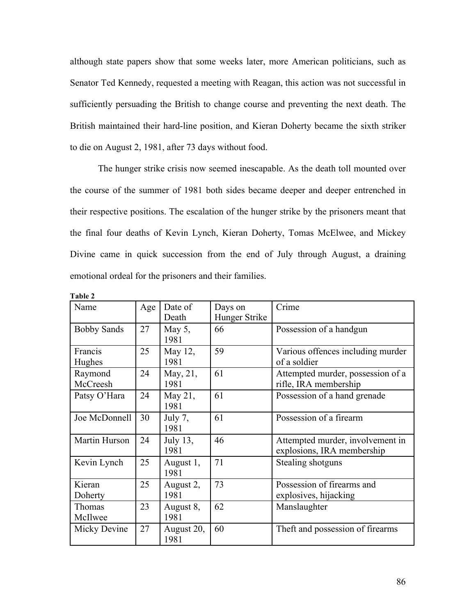although state papers show that some weeks later, more American politicians, such as Senator Ted Kennedy, requested a meeting with Reagan, this action was not successful in sufficiently persuading the British to change course and preventing the next death. The British maintained their hard-line position, and Kieran Doherty became the sixth striker to die on August 2, 1981, after 73 days without food.

The hunger strike crisis now seemed inescapable. As the death toll mounted over the course of the summer of 1981 both sides became deeper and deeper entrenched in their respective positions. The escalation of the hunger strike by the prisoners meant that the final four deaths of Kevin Lynch, Kieran Doherty, Tomas McElwee, and Mickey Divine came in quick succession from the end of July through August, a draining emotional ordeal for the prisoners and their families.

| 1 adie <i>2</i>     |     |                    |                          |                                                                |
|---------------------|-----|--------------------|--------------------------|----------------------------------------------------------------|
| Name                | Age | Date of<br>Death   | Days on<br>Hunger Strike | Crime                                                          |
| <b>Bobby Sands</b>  | 27  | May $5$ ,<br>1981  | 66                       | Possession of a handgun                                        |
| Francis<br>Hughes   | 25  | May 12,<br>1981    | 59                       | Various offences including murder<br>of a soldier              |
| Raymond<br>McCreesh | 24  | May, 21,<br>1981   | 61                       | Attempted murder, possession of a<br>rifle, IRA membership     |
| Patsy O'Hara        | 24  | May 21,<br>1981    | 61                       | Possession of a hand grenade                                   |
| Joe McDonnell       | 30  | July 7,<br>1981    | 61                       | Possession of a firearm                                        |
| Martin Hurson       | 24  | July 13,<br>1981   | 46                       | Attempted murder, involvement in<br>explosions, IRA membership |
| Kevin Lynch         | 25  | August 1,<br>1981  | 71                       | Stealing shotguns                                              |
| Kieran<br>Doherty   | 25  | August 2,<br>1981  | 73                       | Possession of firearms and<br>explosives, hijacking            |
| Thomas<br>McIlwee   | 23  | August 8,<br>1981  | 62                       | Manslaughter                                                   |
| Micky Devine        | 27  | August 20,<br>1981 | 60                       | Theft and possession of firearms                               |

**Table 2**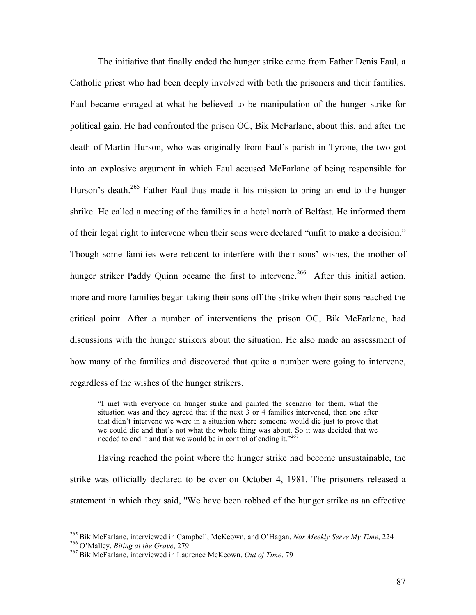The initiative that finally ended the hunger strike came from Father Denis Faul, a Catholic priest who had been deeply involved with both the prisoners and their families. Faul became enraged at what he believed to be manipulation of the hunger strike for political gain. He had confronted the prison OC, Bik McFarlane, about this, and after the death of Martin Hurson, who was originally from Faul's parish in Tyrone, the two got into an explosive argument in which Faul accused McFarlane of being responsible for Hurson's death.<sup>265</sup> Father Faul thus made it his mission to bring an end to the hunger shrike. He called a meeting of the families in a hotel north of Belfast. He informed them of their legal right to intervene when their sons were declared "unfit to make a decision." Though some families were reticent to interfere with their sons' wishes, the mother of hunger striker Paddy Quinn became the first to intervene.<sup>266</sup> After this initial action, more and more families began taking their sons off the strike when their sons reached the critical point. After a number of interventions the prison OC, Bik McFarlane, had discussions with the hunger strikers about the situation. He also made an assessment of how many of the families and discovered that quite a number were going to intervene, regardless of the wishes of the hunger strikers.

"I met with everyone on hunger strike and painted the scenario for them, what the situation was and they agreed that if the next 3 or 4 families intervened, then one after that didn't intervene we were in a situation where someone would die just to prove that we could die and that's not what the whole thing was about. So it was decided that we needed to end it and that we would be in control of ending it."267

Having reached the point where the hunger strike had become unsustainable, the strike was officially declared to be over on October 4, 1981. The prisoners released a statement in which they said, ''We have been robbed of the hunger strike as an effective

<sup>&</sup>lt;sup>265</sup> Bik McFarlane, interviewed in Campbell, McKeown, and O'Hagan, *Nor Meekly Serve My Time*, 224 <sup>266</sup> O'Malley, *Biting at the Grave*, 279 <sup>267</sup> Bik McFarlane, interviewed in Laurence McKeown, *Out of Time*, 79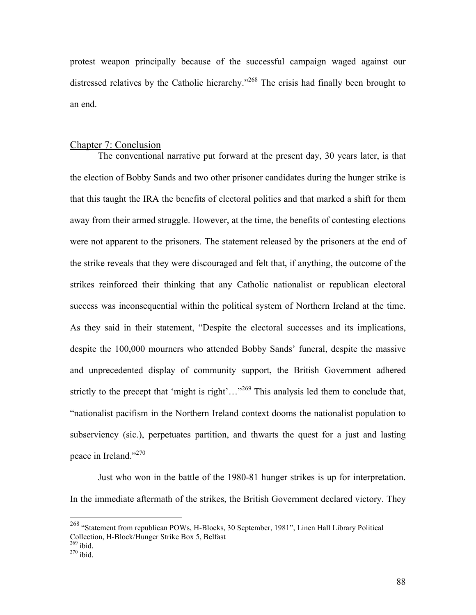protest weapon principally because of the successful campaign waged against our distressed relatives by the Catholic hierarchy."<sup>268</sup> The crisis had finally been brought to an end.

## Chapter 7: Conclusion

The conventional narrative put forward at the present day, 30 years later, is that the election of Bobby Sands and two other prisoner candidates during the hunger strike is that this taught the IRA the benefits of electoral politics and that marked a shift for them away from their armed struggle. However, at the time, the benefits of contesting elections were not apparent to the prisoners. The statement released by the prisoners at the end of the strike reveals that they were discouraged and felt that, if anything, the outcome of the strikes reinforced their thinking that any Catholic nationalist or republican electoral success was inconsequential within the political system of Northern Ireland at the time. As they said in their statement, "Despite the electoral successes and its implications, despite the 100,000 mourners who attended Bobby Sands' funeral, despite the massive and unprecedented display of community support, the British Government adhered strictly to the precept that 'might is right'..."<sup>269</sup> This analysis led them to conclude that, "nationalist pacifism in the Northern Ireland context dooms the nationalist population to subserviency (sic.), perpetuates partition, and thwarts the quest for a just and lasting peace in Ireland."270

Just who won in the battle of the 1980-81 hunger strikes is up for interpretation. In the immediate aftermath of the strikes, the British Government declared victory. They

 <sup>268 &</sup>quot;Statement from republican POWs, H-Blocks, 30 September, 1981", Linen Hall Library Political Collection, H-Block/Hunger Strike Box 5, Belfast <sup>269</sup> ibid.<br><sup>270</sup> ibid.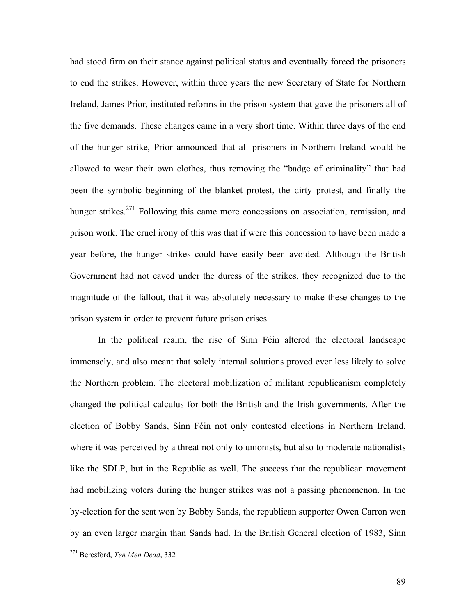had stood firm on their stance against political status and eventually forced the prisoners to end the strikes. However, within three years the new Secretary of State for Northern Ireland, James Prior, instituted reforms in the prison system that gave the prisoners all of the five demands. These changes came in a very short time. Within three days of the end of the hunger strike, Prior announced that all prisoners in Northern Ireland would be allowed to wear their own clothes, thus removing the "badge of criminality" that had been the symbolic beginning of the blanket protest, the dirty protest, and finally the hunger strikes.<sup>271</sup> Following this came more concessions on association, remission, and prison work. The cruel irony of this was that if were this concession to have been made a year before, the hunger strikes could have easily been avoided. Although the British Government had not caved under the duress of the strikes, they recognized due to the magnitude of the fallout, that it was absolutely necessary to make these changes to the prison system in order to prevent future prison crises.

In the political realm, the rise of Sinn Féin altered the electoral landscape immensely, and also meant that solely internal solutions proved ever less likely to solve the Northern problem. The electoral mobilization of militant republicanism completely changed the political calculus for both the British and the Irish governments. After the election of Bobby Sands, Sinn Féin not only contested elections in Northern Ireland, where it was perceived by a threat not only to unionists, but also to moderate nationalists like the SDLP, but in the Republic as well. The success that the republican movement had mobilizing voters during the hunger strikes was not a passing phenomenon. In the by-election for the seat won by Bobby Sands, the republican supporter Owen Carron won by an even larger margin than Sands had. In the British General election of 1983, Sinn

 <sup>271</sup> Beresford, *Ten Men Dead*, 332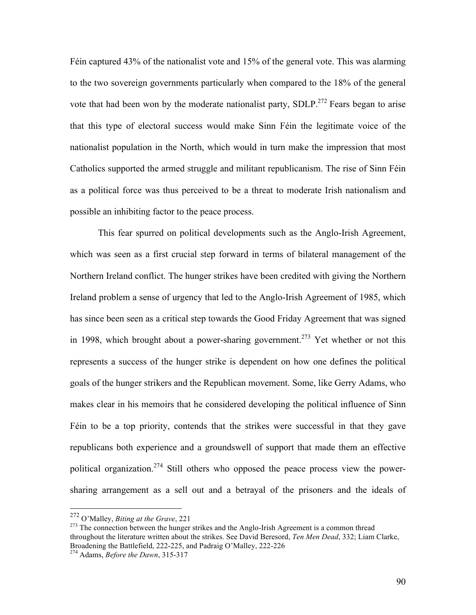Féin captured 43% of the nationalist vote and 15% of the general vote. This was alarming to the two sovereign governments particularly when compared to the 18% of the general vote that had been won by the moderate nationalist party,  $SDLP<sup>.272</sup>$  Fears began to arise that this type of electoral success would make Sinn Féin the legitimate voice of the nationalist population in the North, which would in turn make the impression that most Catholics supported the armed struggle and militant republicanism. The rise of Sinn Féin as a political force was thus perceived to be a threat to moderate Irish nationalism and possible an inhibiting factor to the peace process.

This fear spurred on political developments such as the Anglo-Irish Agreement, which was seen as a first crucial step forward in terms of bilateral management of the Northern Ireland conflict. The hunger strikes have been credited with giving the Northern Ireland problem a sense of urgency that led to the Anglo-Irish Agreement of 1985, which has since been seen as a critical step towards the Good Friday Agreement that was signed in 1998, which brought about a power-sharing government.<sup>273</sup> Yet whether or not this represents a success of the hunger strike is dependent on how one defines the political goals of the hunger strikers and the Republican movement. Some, like Gerry Adams, who makes clear in his memoirs that he considered developing the political influence of Sinn Féin to be a top priority, contends that the strikes were successful in that they gave republicans both experience and a groundswell of support that made them an effective political organization.<sup>274</sup> Still others who opposed the peace process view the powersharing arrangement as a sell out and a betrayal of the prisoners and the ideals of

 <sup>272</sup> O'Malley, *Biting at the Grave*, 221

 $273$  The connection between the hunger strikes and the Anglo-Irish Agreement is a common thread throughout the literature written about the strikes. See David Beresord, *Ten Men Dead*, 332; Liam Clarke, Broadening the Battlefield, 222-225, and Padraig O'Malley, 222-226 274 Adams, *Before the Dawn*, 315-317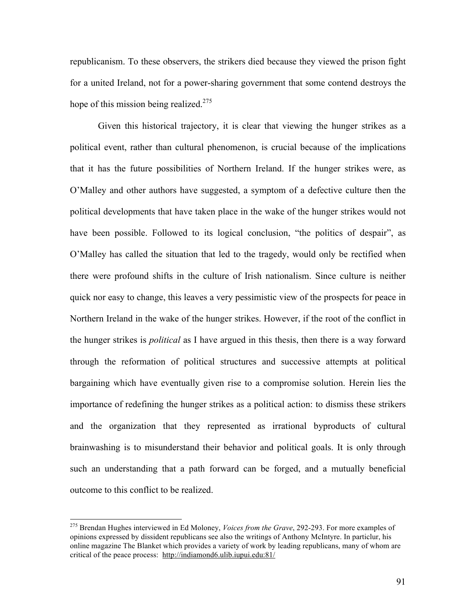republicanism. To these observers, the strikers died because they viewed the prison fight for a united Ireland, not for a power-sharing government that some contend destroys the hope of this mission being realized.<sup>275</sup>

Given this historical trajectory, it is clear that viewing the hunger strikes as a political event, rather than cultural phenomenon, is crucial because of the implications that it has the future possibilities of Northern Ireland. If the hunger strikes were, as O'Malley and other authors have suggested, a symptom of a defective culture then the political developments that have taken place in the wake of the hunger strikes would not have been possible. Followed to its logical conclusion, "the politics of despair", as O'Malley has called the situation that led to the tragedy, would only be rectified when there were profound shifts in the culture of Irish nationalism. Since culture is neither quick nor easy to change, this leaves a very pessimistic view of the prospects for peace in Northern Ireland in the wake of the hunger strikes. However, if the root of the conflict in the hunger strikes is *political* as I have argued in this thesis, then there is a way forward through the reformation of political structures and successive attempts at political bargaining which have eventually given rise to a compromise solution. Herein lies the importance of redefining the hunger strikes as a political action: to dismiss these strikers and the organization that they represented as irrational byproducts of cultural brainwashing is to misunderstand their behavior and political goals. It is only through such an understanding that a path forward can be forged, and a mutually beneficial outcome to this conflict to be realized.

 <sup>275</sup> Brendan Hughes interviewed in Ed Moloney, *Voices from the Grave*, 292-293. For more examples of opinions expressed by dissident republicans see also the writings of Anthony McIntyre. In particlur, his online magazine The Blanket which provides a variety of work by leading republicans, many of whom are critical of the peace process: http://indiamond6.ulib.iupui.edu:81/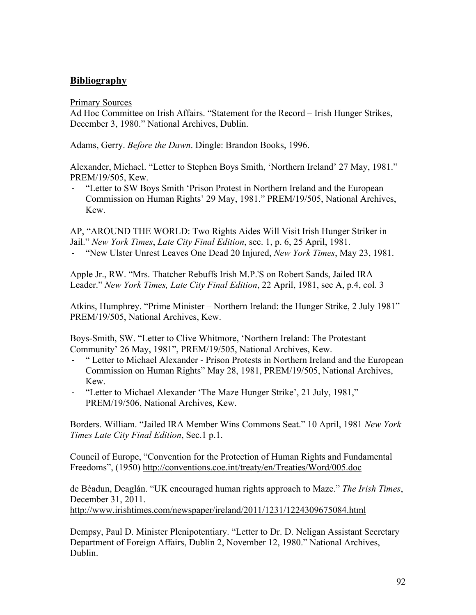# **Bibliography**

Primary Sources

Ad Hoc Committee on Irish Affairs. "Statement for the Record – Irish Hunger Strikes, December 3, 1980." National Archives, Dublin.

Adams, Gerry. *Before the Dawn*. Dingle: Brandon Books, 1996.

Alexander, Michael. "Letter to Stephen Boys Smith, 'Northern Ireland' 27 May, 1981." PREM/19/505, Kew.

‐ "Letter to SW Boys Smith 'Prison Protest in Northern Ireland and the European Commission on Human Rights' 29 May, 1981." PREM/19/505, National Archives, Kew.

AP, "AROUND THE WORLD: Two Rights Aides Will Visit Irish Hunger Striker in Jail." *New York Times*, *Late City Final Edition*, sec. 1, p. 6, 25 April, 1981.

‐ "New Ulster Unrest Leaves One Dead 20 Injured, *New York Times*, May 23, 1981.

Apple Jr., RW. "Mrs. Thatcher Rebuffs Irish M.P.'S on Robert Sands, Jailed IRA Leader." *New York Times, Late City Final Edition*, 22 April, 1981, sec A, p.4, col. 3

Atkins, Humphrey. "Prime Minister – Northern Ireland: the Hunger Strike, 2 July 1981" PREM/19/505, National Archives, Kew.

Boys-Smith, SW. "Letter to Clive Whitmore, 'Northern Ireland: The Protestant Community' 26 May, 1981", PREM/19/505, National Archives, Kew.

- ‐ " Letter to Michael Alexander Prison Protests in Northern Ireland and the European Commission on Human Rights" May 28, 1981, PREM/19/505, National Archives, Kew.
- ‐ "Letter to Michael Alexander 'The Maze Hunger Strike', 21 July, 1981," PREM/19/506, National Archives, Kew.

Borders. William. "Jailed IRA Member Wins Commons Seat." 10 April, 1981 *New York Times Late City Final Edition*, Sec.1 p.1.

Council of Europe, "Convention for the Protection of Human Rights and Fundamental Freedoms", (1950) http://conventions.coe.int/treaty/en/Treaties/Word/005.doc

de Béadun, Deaglán. "UK encouraged human rights approach to Maze." *The Irish Times*, December 31, 2011. http://www.irishtimes.com/newspaper/ireland/2011/1231/1224309675084.html

Dempsy, Paul D. Minister Plenipotentiary. "Letter to Dr. D. Neligan Assistant Secretary Department of Foreign Affairs, Dublin 2, November 12, 1980." National Archives, Dublin.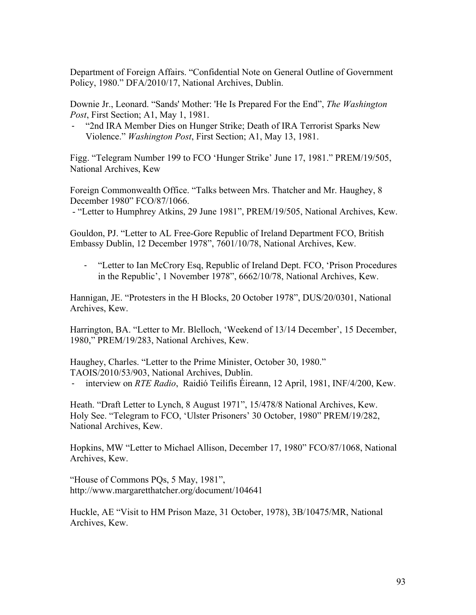Department of Foreign Affairs. "Confidential Note on General Outline of Government Policy, 1980." DFA/2010/17, National Archives, Dublin.

Downie Jr., Leonard. "Sands' Mother: 'He Is Prepared For the End", *The Washington Post*, First Section; A1, May 1, 1981.

‐ "2nd IRA Member Dies on Hunger Strike; Death of IRA Terrorist Sparks New Violence." *Washington Post*, First Section; A1, May 13, 1981.

Figg. "Telegram Number 199 to FCO 'Hunger Strike' June 17, 1981." PREM/19/505, National Archives, Kew

Foreign Commonwealth Office. "Talks between Mrs. Thatcher and Mr. Haughey, 8 December 1980" FCO/87/1066.

- "Letter to Humphrey Atkins, 29 June 1981", PREM/19/505, National Archives, Kew.

Gouldon, PJ. "Letter to AL Free-Gore Republic of Ireland Department FCO, British Embassy Dublin, 12 December 1978", 7601/10/78, National Archives, Kew.

‐ "Letter to Ian McCrory Esq, Republic of Ireland Dept. FCO, 'Prison Procedures in the Republic', 1 November 1978", 6662/10/78, National Archives, Kew.

Hannigan, JE. "Protesters in the H Blocks, 20 October 1978", DUS/20/0301, National Archives, Kew.

Harrington, BA. "Letter to Mr. Blelloch, 'Weekend of 13/14 December', 15 December, 1980," PREM/19/283, National Archives, Kew.

Haughey, Charles. "Letter to the Prime Minister, October 30, 1980." TAOIS/2010/53/903, National Archives, Dublin.

‐ interview on *RTE Radio*, Raidió Teilifís Éireann, 12 April, 1981, INF/4/200, Kew.

Heath. "Draft Letter to Lynch, 8 August 1971", 15/478/8 National Archives, Kew. Holy See. "Telegram to FCO, 'Ulster Prisoners' 30 October, 1980" PREM/19/282, National Archives, Kew.

Hopkins, MW "Letter to Michael Allison, December 17, 1980" FCO/87/1068, National Archives, Kew.

"House of Commons PQs, 5 May, 1981", http://www.margaretthatcher.org/document/104641

Huckle, AE "Visit to HM Prison Maze, 31 October, 1978), 3B/10475/MR, National Archives, Kew.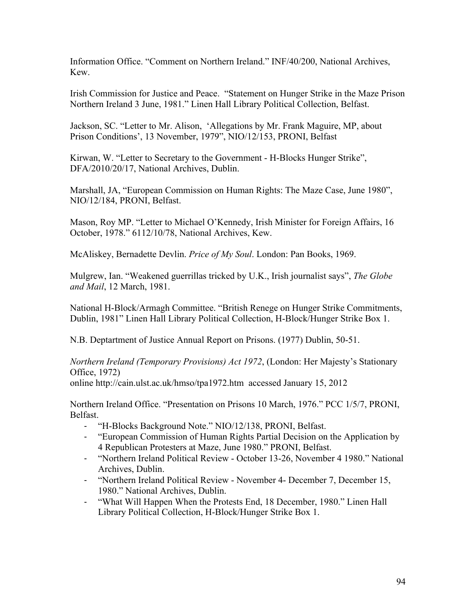Information Office. "Comment on Northern Ireland." INF/40/200, National Archives, Kew.

Irish Commission for Justice and Peace. "Statement on Hunger Strike in the Maze Prison Northern Ireland 3 June, 1981." Linen Hall Library Political Collection, Belfast.

Jackson, SC. "Letter to Mr. Alison, 'Allegations by Mr. Frank Maguire, MP, about Prison Conditions', 13 November, 1979", NIO/12/153, PRONI, Belfast

Kirwan, W. "Letter to Secretary to the Government - H-Blocks Hunger Strike", DFA/2010/20/17, National Archives, Dublin.

Marshall, JA, "European Commission on Human Rights: The Maze Case, June 1980", NIO/12/184, PRONI, Belfast.

Mason, Roy MP. "Letter to Michael O'Kennedy, Irish Minister for Foreign Affairs, 16 October, 1978." 6112/10/78, National Archives, Kew.

McAliskey, Bernadette Devlin. *Price of My Soul*. London: Pan Books, 1969.

Mulgrew, Ian. "Weakened guerrillas tricked by U.K., Irish journalist says", *The Globe and Mail*, 12 March, 1981.

National H-Block/Armagh Committee. "British Renege on Hunger Strike Commitments, Dublin, 1981" Linen Hall Library Political Collection, H-Block/Hunger Strike Box 1.

N.B. Deptartment of Justice Annual Report on Prisons. (1977) Dublin, 50-51.

*Northern Ireland (Temporary Provisions) Act 1972*, (London: Her Majesty's Stationary Office, 1972)

online http://cain.ulst.ac.uk/hmso/tpa1972.htm accessed January 15, 2012

Northern Ireland Office. "Presentation on Prisons 10 March, 1976." PCC 1/5/7, PRONI, Belfast.

- ‐ "H-Blocks Background Note." NIO/12/138, PRONI, Belfast.
- ‐ "European Commission of Human Rights Partial Decision on the Application by 4 Republican Protesters at Maze, June 1980." PRONI, Belfast.
- ‐ "Northern Ireland Political Review October 13-26, November 4 1980." National Archives, Dublin.
- ‐ "Northern Ireland Political Review November 4- December 7, December 15, 1980." National Archives, Dublin.
- ‐ "What Will Happen When the Protests End, 18 December, 1980." Linen Hall Library Political Collection, H-Block/Hunger Strike Box 1.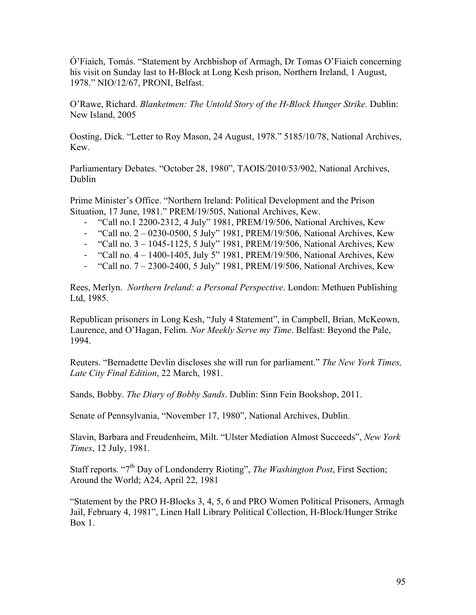Ó'Fiaich, Tomás. "Statement by Archbishop of Armagh, Dr Tomas O'Fiaich concerning his visit on Sunday last to H-Block at Long Kesh prison, Northern Ireland, 1 August, 1978." NIO/12/67, PRONI, Belfast.

O'Rawe, Richard. *Blanketmen: The Untold Story of the H-Block Hunger Strike.* Dublin: New Island, 2005

Oosting, Dick. "Letter to Roy Mason, 24 August, 1978." 5185/10/78, National Archives, Kew.

Parliamentary Debates. "October 28, 1980", TAOIS/2010/53/902, National Archives, Dublin

Prime Minister's Office. "Northern Ireland: Political Development and the Prison Situation, 17 June, 1981." PREM/19/505, National Archives, Kew.

- ‐ "Call no.1 2200-2312, 4 July" 1981, PREM/19/506, National Archives, Kew
- ‐ "Call no. 2 0230-0500, 5 July" 1981, PREM/19/506, National Archives, Kew
- ‐ "Call no. 3 1045-1125, 5 July" 1981, PREM/19/506, National Archives, Kew
- ‐ "Call no. 4 1400-1405, July 5" 1981, PREM/19/506, National Archives, Kew
- ‐ "Call no. 7 2300-2400, 5 July" 1981, PREM/19/506, National Archives, Kew

Rees, Merlyn. *Northern Ireland: a Personal Perspective*. London: Methuen Publishing Ltd, 1985.

Republican prisoners in Long Kesh, "July 4 Statement", in Campbell, Brian, McKeown, Laurence, and O'Hagan, Felim. *Nor Meekly Serve my Time*. Belfast: Beyond the Pale, 1994.

Reuters. "Bernadette Devlin discloses she will run for parliament." *The New York Times, Late City Final Edition*, 22 March, 1981.

Sands, Bobby. *The Diary of Bobby Sands*. Dublin: Sinn Fein Bookshop, 2011.

Senate of Pennsylvania, "November 17, 1980", National Archives, Dublin.

Slavin, Barbara and Freudenheim, Milt. "Ulster Mediation Almost Succeeds", *New York Times*, 12 July, 1981.

Staff reports. "7<sup>th</sup> Day of Londonderry Rioting", *The Washington Post*, First Section; Around the World; A24, April 22, 1981

"Statement by the PRO H-Blocks 3, 4, 5, 6 and PRO Women Political Prisoners, Armagh Jail, February 4, 1981", Linen Hall Library Political Collection, H-Block/Hunger Strike Box 1.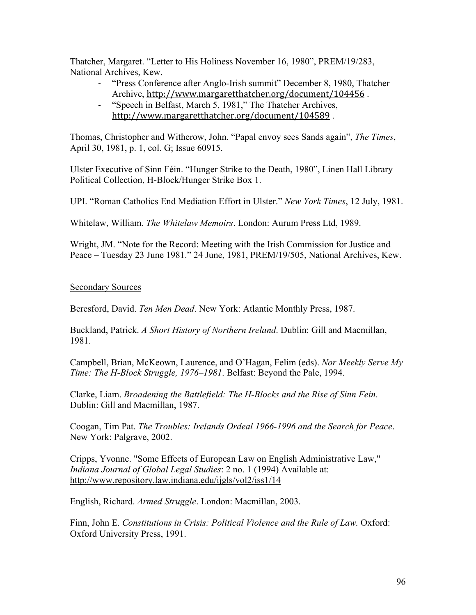Thatcher, Margaret. "Letter to His Holiness November 16, 1980", PREM/19/283, National Archives, Kew.

- ‐ "Press Conference after Anglo-Irish summit" December 8, 1980, Thatcher Archive, http://www.margaretthatcher.org/document/104456 .
- ‐ "Speech in Belfast, March 5, 1981," The Thatcher Archives, http://www.margaretthatcher.org/document/104589 .

Thomas, Christopher and Witherow, John. "Papal envoy sees Sands again", *The Times*, April 30, 1981, p. 1, col. G; Issue 60915.

Ulster Executive of Sinn Féin. "Hunger Strike to the Death, 1980", Linen Hall Library Political Collection, H-Block/Hunger Strike Box 1.

UPI. "Roman Catholics End Mediation Effort in Ulster." *New York Times*, 12 July, 1981.

Whitelaw, William. *The Whitelaw Memoirs*. London: Aurum Press Ltd, 1989.

Wright, JM. "Note for the Record: Meeting with the Irish Commission for Justice and Peace – Tuesday 23 June 1981." 24 June, 1981, PREM/19/505, National Archives, Kew.

# Secondary Sources

Beresford, David. *Ten Men Dead*. New York: Atlantic Monthly Press, 1987.

Buckland, Patrick. *A Short History of Northern Ireland*. Dublin: Gill and Macmillan, 1981.

Campbell, Brian, McKeown, Laurence, and O'Hagan, Felim (eds). *Nor Meekly Serve My Time: The H-Block Struggle, 1976–1981*. Belfast: Beyond the Pale, 1994.

Clarke, Liam. *Broadening the Battlefield: The H-Blocks and the Rise of Sinn Fein*. Dublin: Gill and Macmillan, 1987.

Coogan, Tim Pat. *The Troubles: Irelands Ordeal 1966-1996 and the Search for Peace*. New York: Palgrave, 2002.

Cripps, Yvonne. "Some Effects of European Law on English Administrative Law," *Indiana Journal of Global Legal Studies*: 2 no. 1 (1994) Available at: http://www.repository.law.indiana.edu/ijgls/vol2/iss1/14

English, Richard. *Armed Struggle*. London: Macmillan, 2003.

Finn, John E. *Constitutions in Crisis: Political Violence and the Rule of Law.* Oxford: Oxford University Press, 1991.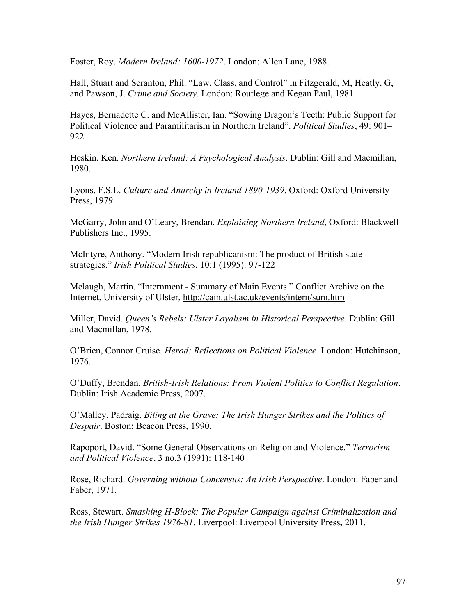Foster, Roy. *Modern Ireland: 1600-1972*. London: Allen Lane, 1988.

Hall, Stuart and Scranton, Phil. "Law, Class, and Control" in Fitzgerald, M, Heatly, G, and Pawson, J. *Crime and Society*. London: Routlege and Kegan Paul, 1981.

Hayes, Bernadette C. and McAllister, Ian. "Sowing Dragon's Teeth: Public Support for Political Violence and Paramilitarism in Northern Ireland". *Political Studies*, 49: 901– 922.

Heskin, Ken. *Northern Ireland: A Psychological Analysis*. Dublin: Gill and Macmillan, 1980.

Lyons, F.S.L. *Culture and Anarchy in Ireland 1890-1939*. Oxford: Oxford University Press, 1979.

McGarry, John and O'Leary, Brendan. *Explaining Northern Ireland*, Oxford: Blackwell Publishers Inc., 1995.

McIntyre, Anthony. "Modern Irish republicanism: The product of British state strategies." *Irish Political Studies*, 10:1 (1995): 97-122

Melaugh, Martin. "Internment - Summary of Main Events." Conflict Archive on the Internet, University of Ulster, http://cain.ulst.ac.uk/events/intern/sum.htm

Miller, David. *Queen's Rebels: Ulster Loyalism in Historical Perspective*. Dublin: Gill and Macmillan, 1978.

O'Brien, Connor Cruise. *Herod: Reflections on Political Violence.* London: Hutchinson, 1976.

O'Duffy, Brendan. *British-Irish Relations: From Violent Politics to Conflict Regulation*. Dublin: Irish Academic Press, 2007.

O'Malley, Padraig. *Biting at the Grave: The Irish Hunger Strikes and the Politics of Despair*. Boston: Beacon Press, 1990.

Rapoport, David. "Some General Observations on Religion and Violence." *Terrorism and Political Violence*, 3 no.3 (1991): 118-140

Rose, Richard. *Governing without Concensus: An Irish Perspective*. London: Faber and Faber, 1971.

Ross, Stewart. *Smashing H-Block: The Popular Campaign against Criminalization and the Irish Hunger Strikes 1976-81*. Liverpool: Liverpool University Press**,** 2011.